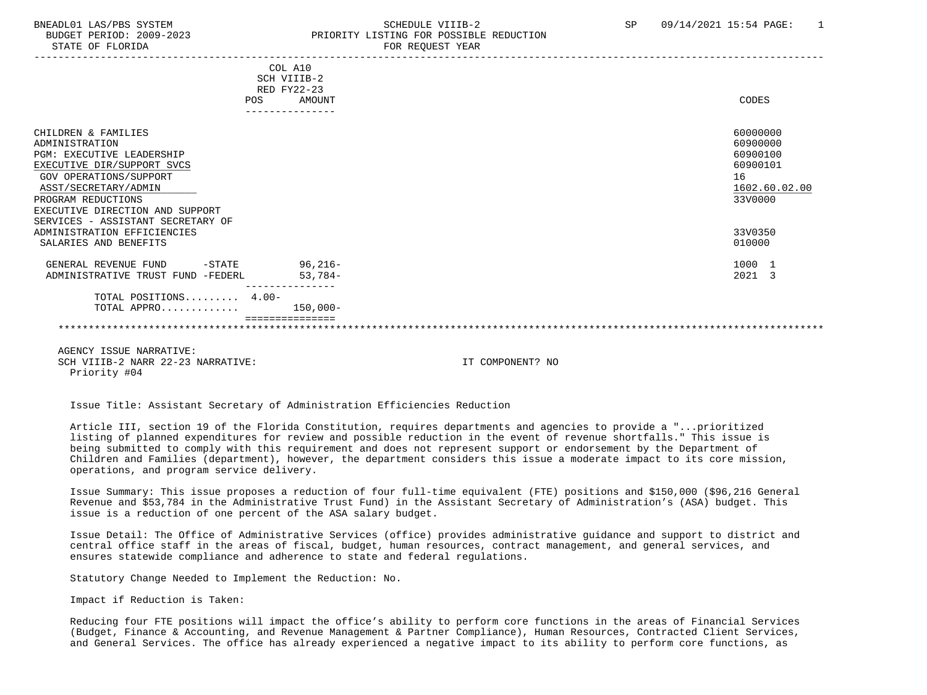## BNEADL01 LAS/PBS SYSTEM SCHEDULE VIIIB-2 SCHEDULE VIIIB-2 SP 09/14/2021 15:54 PAGE: 1 BUDGET PERIOD: 2009-2023 PRIORITY LISTING FOR POSSIBLE REDUCTION

|                                           | COL A10       |               |
|-------------------------------------------|---------------|---------------|
|                                           | SCH VIIIB-2   |               |
|                                           | RED FY22-23   |               |
|                                           | POS<br>AMOUNT | CODES         |
|                                           |               |               |
| CHILDREN & FAMILIES                       |               | 60000000      |
| ADMINISTRATION                            |               | 60900000      |
| PGM: EXECUTIVE LEADERSHIP                 |               | 60900100      |
| EXECUTIVE DIR/SUPPORT SVCS                |               | 60900101      |
| GOV OPERATIONS/SUPPORT                    |               | 16            |
| ASST/SECRETARY/ADMIN                      |               | 1602.60.02.00 |
| PROGRAM REDUCTIONS                        |               | 33V0000       |
| EXECUTIVE DIRECTION AND SUPPORT           |               |               |
| SERVICES - ASSISTANT SECRETARY OF         |               |               |
| ADMINISTRATION EFFICIENCIES               |               | 33V0350       |
| SALARIES AND BENEFITS                     |               | 010000        |
|                                           |               |               |
| $-\mathtt{STATE}$<br>GENERAL REVENUE FUND | $96,216-$     | 1000 1        |
| ADMINISTRATIVE TRUST FUND -FEDERL         | $53,784-$     | 2021 3        |
|                                           |               |               |
| TOTAL POSITIONS 4.00-                     |               |               |
| TOTAL APPRO                               | $150,000-$    |               |
|                                           |               |               |
|                                           |               |               |

 AGENCY ISSUE NARRATIVE: SCH VIIIB-2 NARR 22-23 NARRATIVE: IT COMPONENT? NO Priority #04

Issue Title: Assistant Secretary of Administration Efficiencies Reduction

 Article III, section 19 of the Florida Constitution, requires departments and agencies to provide a "...prioritized listing of planned expenditures for review and possible reduction in the event of revenue shortfalls." This issue is being submitted to comply with this requirement and does not represent support or endorsement by the Department of Children and Families (department), however, the department considers this issue a moderate impact to its core mission, operations, and program service delivery.

 Issue Summary: This issue proposes a reduction of four full-time equivalent (FTE) positions and \$150,000 (\$96,216 General Revenue and \$53,784 in the Administrative Trust Fund) in the Assistant Secretary of Administration's (ASA) budget. This issue is a reduction of one percent of the ASA salary budget.

 Issue Detail: The Office of Administrative Services (office) provides administrative guidance and support to district and central office staff in the areas of fiscal, budget, human resources, contract management, and general services, and ensures statewide compliance and adherence to state and federal regulations.

Statutory Change Needed to Implement the Reduction: No.

Impact if Reduction is Taken:

 Reducing four FTE positions will impact the office's ability to perform core functions in the areas of Financial Services (Budget, Finance & Accounting, and Revenue Management & Partner Compliance), Human Resources, Contracted Client Services, and General Services. The office has already experienced a negative impact to its ability to perform core functions, as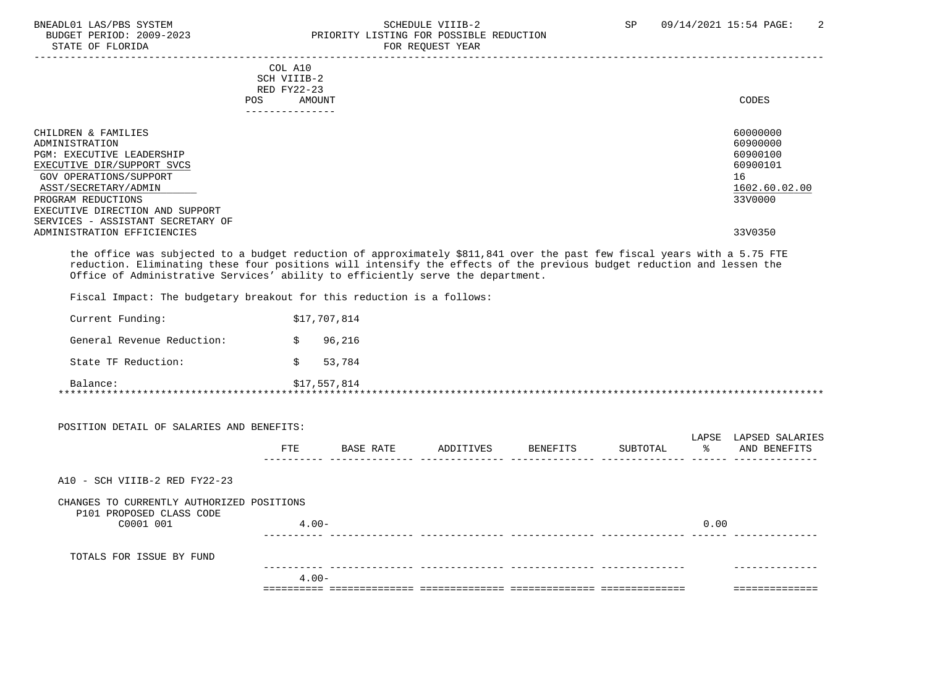### BNEADL01 LAS/PBS SYSTEM SCHEDULE VIIIB-2 SEREDUCTION SCHEDULE VIIIB-2 SP 09/14/2021 15:54 PAGE: 2<br>BUDGET PERIOD: 2009-2023 PRIORITY LISTING FOR POSSIBLE REDUCTION PRIORITY LISTING FOR POSSIBLE REDUCTION STATE OF FLORIDA FOR REQUEST YEAR FOR REQUEST YEAR

-----------------------------------------------------------------------------------------------------------------------------------

| COL A10         |       |
|-----------------|-------|
| SCH VIIIB-2     |       |
| RED FY22-23     |       |
| AMOUNT          | CODES |
| --------------- |       |
|                 |       |

| CHILDREN & FAMILIES<br>ADMINISTRATION                                | 60000000<br>60900000 |
|----------------------------------------------------------------------|----------------------|
| <b>PGM: EXECUTIVE LEADERSHIP</b><br>EXECUTIVE DIR/SUPPORT SVCS       | 60900100<br>60900101 |
| GOV OPERATIONS/SUPPORT                                               | 16                   |
| ASST/SECRETARY/ADMIN                                                 | 1602.60.02.00        |
| PROGRAM REDUCTIONS                                                   | 33V0000              |
| EXECUTIVE DIRECTION AND SUPPORT<br>SERVICES - ASSISTANT SECRETARY OF |                      |
| ADMINISTRATION EFFICIENCIES                                          | 33V0350              |

 the office was subjected to a budget reduction of approximately \$811,841 over the past few fiscal years with a 5.75 FTE reduction. Eliminating these four positions will intensify the effects of the previous budget reduction and lessen the Office of Administrative Services' ability to efficiently serve the department.

Fiscal Impact: The budgetary breakout for this reduction is a follows:

| Balance:                   | \$17,557,814 |
|----------------------------|--------------|
| State TF Reduction:        | 53,784       |
| General Revenue Reduction: | 96,216       |
| Current Funding:           | \$17,707,814 |

|                                                                                    | $4.00 -$   |           |           |          |          |      |                                       |
|------------------------------------------------------------------------------------|------------|-----------|-----------|----------|----------|------|---------------------------------------|
| TOTALS FOR ISSUE BY FUND                                                           |            |           |           |          |          |      |                                       |
| CHANGES TO CURRENTLY AUTHORIZED POSITIONS<br>P101 PROPOSED CLASS CODE<br>C0001 001 | $4.00 -$   |           |           |          |          | 0.00 |                                       |
| $A10 - SCH VIIIB-2 RED FY22-23$                                                    |            |           |           |          |          |      |                                       |
| POSITION DETAIL OF SALARIES AND BENEFITS:                                          | <b>FTE</b> | BASE RATE | ADDITIVES | BENEFITS | SUBTOTAL | ႜၟ   | LAPSE LAPSED SALARIES<br>AND BENEFITS |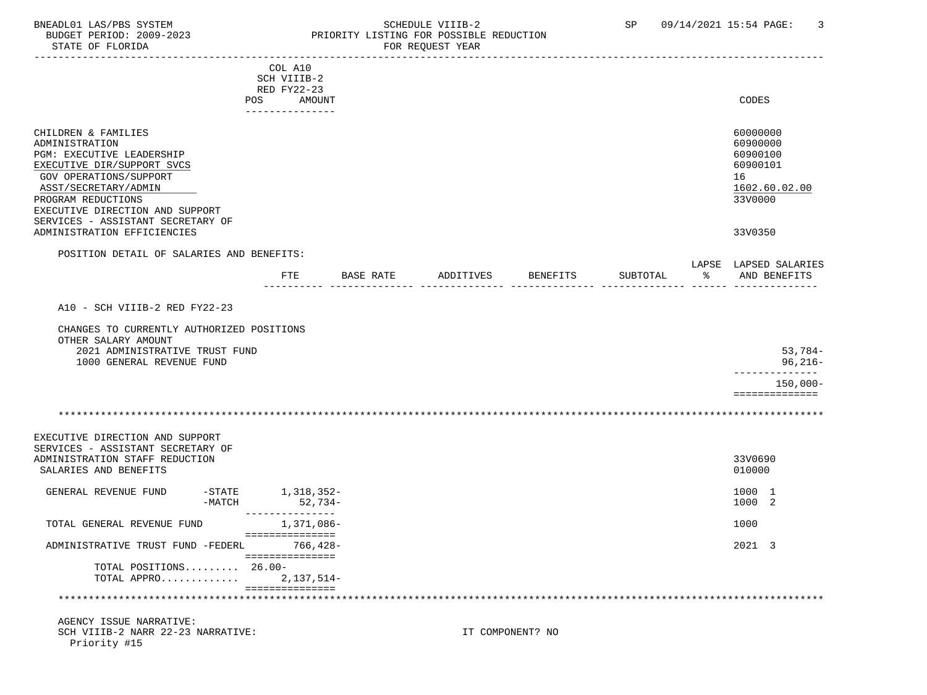Priority #15

### BNEADL01 LAS/PBS SYSTEM SCHEDULE VIIIB-2 SCHEDULE VIIIB-2 SP 09/14/2021 15:54 PAGE: 3<br>BUDGET PERIOD: 2009-2023 PRIORITY LISTING FOR POSSIBLE REDUCTION BUDGET PERIOD: 2009-2023 PRIORITY LISTING FOR POSSIBLE REDUCTION<br>FOR REQUEST YEAR FOR REQUEST YEAR

| --------------------------------                                                                                                                                                                                                                 |                       |                                          |           |           |                  |          |   |                                                                                |
|--------------------------------------------------------------------------------------------------------------------------------------------------------------------------------------------------------------------------------------------------|-----------------------|------------------------------------------|-----------|-----------|------------------|----------|---|--------------------------------------------------------------------------------|
|                                                                                                                                                                                                                                                  |                       | COL A10<br>SCH VIIIB-2                   |           |           |                  |          |   |                                                                                |
|                                                                                                                                                                                                                                                  | POS                   | RED FY22-23<br>AMOUNT<br>_______________ |           |           |                  |          |   | CODES                                                                          |
| CHILDREN & FAMILIES<br>ADMINISTRATION<br>PGM: EXECUTIVE LEADERSHIP<br>EXECUTIVE DIR/SUPPORT SVCS<br>GOV OPERATIONS/SUPPORT<br>ASST/SECRETARY/ADMIN<br>PROGRAM REDUCTIONS<br>EXECUTIVE DIRECTION AND SUPPORT<br>SERVICES - ASSISTANT SECRETARY OF |                       |                                          |           |           |                  |          |   | 60000000<br>60900000<br>60900100<br>60900101<br>16<br>1602.60.02.00<br>33V0000 |
| ADMINISTRATION EFFICIENCIES                                                                                                                                                                                                                      |                       |                                          |           |           |                  |          |   | 33V0350                                                                        |
| POSITION DETAIL OF SALARIES AND BENEFITS:                                                                                                                                                                                                        |                       |                                          |           |           |                  |          |   |                                                                                |
|                                                                                                                                                                                                                                                  |                       | FTE                                      | BASE RATE | ADDITIVES | <b>BENEFITS</b>  | SUBTOTAL | ႜ | LAPSE LAPSED SALARIES<br>AND BENEFITS                                          |
| A10 - SCH VIIIB-2 RED FY22-23                                                                                                                                                                                                                    |                       |                                          |           |           |                  |          |   |                                                                                |
| CHANGES TO CURRENTLY AUTHORIZED POSITIONS<br>OTHER SALARY AMOUNT<br>2021 ADMINISTRATIVE TRUST FUND                                                                                                                                               |                       |                                          |           |           |                  |          |   | $53,784-$                                                                      |
| 1000 GENERAL REVENUE FUND                                                                                                                                                                                                                        |                       |                                          |           |           |                  |          |   | $96,216-$                                                                      |
|                                                                                                                                                                                                                                                  |                       |                                          |           |           |                  |          |   | $150,000 -$<br>==============                                                  |
|                                                                                                                                                                                                                                                  |                       |                                          |           |           |                  |          |   |                                                                                |
| EXECUTIVE DIRECTION AND SUPPORT<br>SERVICES - ASSISTANT SECRETARY OF<br>ADMINISTRATION STAFF REDUCTION<br>SALARIES AND BENEFITS                                                                                                                  |                       |                                          |           |           |                  |          |   | 33V0690<br>010000                                                              |
| GENERAL REVENUE FUND                                                                                                                                                                                                                             | $-$ STATE<br>$-MATCH$ | 1,318,352-<br>52,734-                    |           |           |                  |          |   | 1000 1<br>1000 2                                                               |
| TOTAL GENERAL REVENUE FUND                                                                                                                                                                                                                       |                       | ---------------<br>1,371,086–            |           |           |                  |          |   | 1000                                                                           |
| ADMINISTRATIVE TRUST FUND -FEDERL 766,428-                                                                                                                                                                                                       |                       | ===============                          |           |           |                  |          |   | 2021 3                                                                         |
| TOTAL POSITIONS 26.00-<br>TOTAL APPRO                                                                                                                                                                                                            |                       | ===============<br>2,137,514-            |           |           |                  |          |   |                                                                                |
| *****************************                                                                                                                                                                                                                    |                       | ===============                          |           |           |                  |          |   |                                                                                |
| AGENCY ISSUE NARRATIVE:<br>SCH VIIIB-2 NARR 22-23 NARRATIVE:                                                                                                                                                                                     |                       |                                          |           |           | IT COMPONENT? NO |          |   |                                                                                |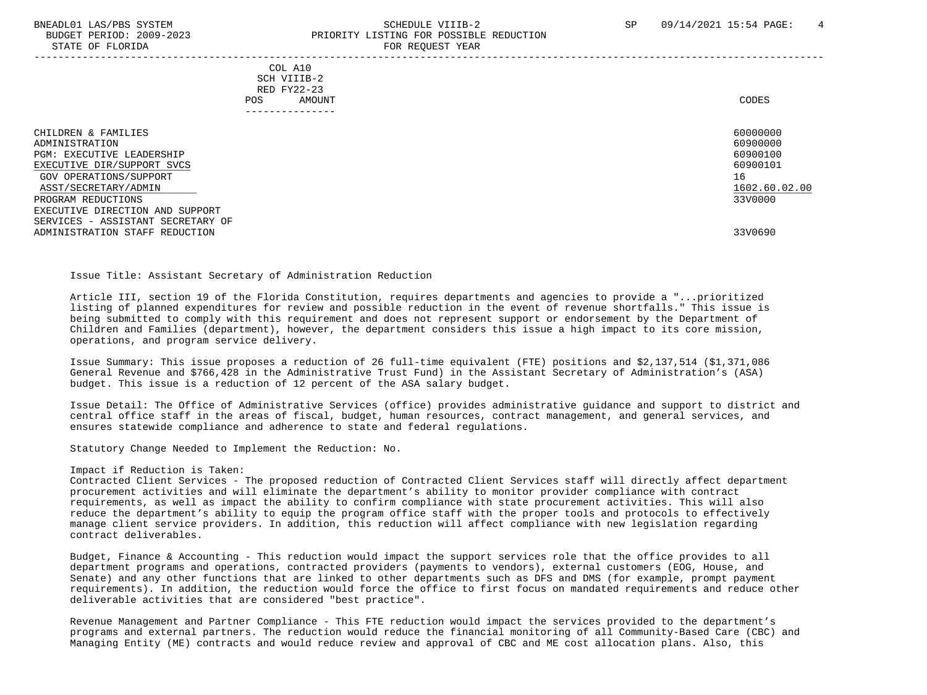### BNEADL01 LAS/PBS SYSTEM SCHEDULE VIIIB-2 SCHEDULE VIIIB-2 SP 09/14/2021 15:54 PAGE: 4 BUDGET PERIOD: 2009-2023 PRIORITY LISTING FOR POSSIBLE REDUCTION STATE OF FLORIDA FOR REQUEST YEAR FOR REQUEST THAT A STATE OF STATE OF STATE OF STATE OF STATE OF STATE OF STATE OF STATE OF STATE OF STATE OF STATE OF STATE OF STATE OF STATE OF STATE OF STATE OF STATE OF STATE OF STATE O

-----------------------------------------------------------------------------------------------------------------------------------

 COL A10 SCH VIIIB-2 RED FY22-23 POS AMOUNT NOTES AND AND A RESERVE AND A RESERVE AND LODGED AND LODGED AND LODGED AND LODGED AND LODGED AND LODGED AT A LODGED AND LODGED AT A LODGED AND LODGED AT A LODGED AND LODGED AT A LODGED AND LODGED AT A LODGED AND ---------------

| CHILDREN & FAMILIES               | 60000000      |
|-----------------------------------|---------------|
| ADMINISTRATION                    | 60900000      |
| <b>PGM: EXECUTIVE LEADERSHIP</b>  | 60900100      |
| EXECUTIVE DIR/SUPPORT SVCS        | 60900101      |
| GOV OPERATIONS/SUPPORT            | 16            |
| ASST/SECRETARY/ADMIN              | 1602.60.02.00 |
| PROGRAM REDUCTIONS                | 33V0000       |
| EXECUTIVE DIRECTION AND SUPPORT   |               |
| SERVICES - ASSISTANT SECRETARY OF |               |
| ADMINISTRATION STAFF REDUCTION    | 33V0690       |

Issue Title: Assistant Secretary of Administration Reduction

 Article III, section 19 of the Florida Constitution, requires departments and agencies to provide a "...prioritized listing of planned expenditures for review and possible reduction in the event of revenue shortfalls." This issue is being submitted to comply with this requirement and does not represent support or endorsement by the Department of Children and Families (department), however, the department considers this issue a high impact to its core mission, operations, and program service delivery.

 Issue Summary: This issue proposes a reduction of 26 full-time equivalent (FTE) positions and \$2,137,514 (\$1,371,086 General Revenue and \$766,428 in the Administrative Trust Fund) in the Assistant Secretary of Administration's (ASA) budget. This issue is a reduction of 12 percent of the ASA salary budget.

 Issue Detail: The Office of Administrative Services (office) provides administrative guidance and support to district and central office staff in the areas of fiscal, budget, human resources, contract management, and general services, and ensures statewide compliance and adherence to state and federal regulations.

Statutory Change Needed to Implement the Reduction: No.

#### Impact if Reduction is Taken:

 Contracted Client Services - The proposed reduction of Contracted Client Services staff will directly affect department procurement activities and will eliminate the department's ability to monitor provider compliance with contract requirements, as well as impact the ability to confirm compliance with state procurement activities. This will also reduce the department's ability to equip the program office staff with the proper tools and protocols to effectively manage client service providers. In addition, this reduction will affect compliance with new legislation regarding contract deliverables.

 Budget, Finance & Accounting - This reduction would impact the support services role that the office provides to all department programs and operations, contracted providers (payments to vendors), external customers (EOG, House, and Senate) and any other functions that are linked to other departments such as DFS and DMS (for example, prompt payment requirements). In addition, the reduction would force the office to first focus on mandated requirements and reduce other deliverable activities that are considered "best practice".

 Revenue Management and Partner Compliance - This FTE reduction would impact the services provided to the department's programs and external partners. The reduction would reduce the financial monitoring of all Community-Based Care (CBC) and Managing Entity (ME) contracts and would reduce review and approval of CBC and ME cost allocation plans. Also, this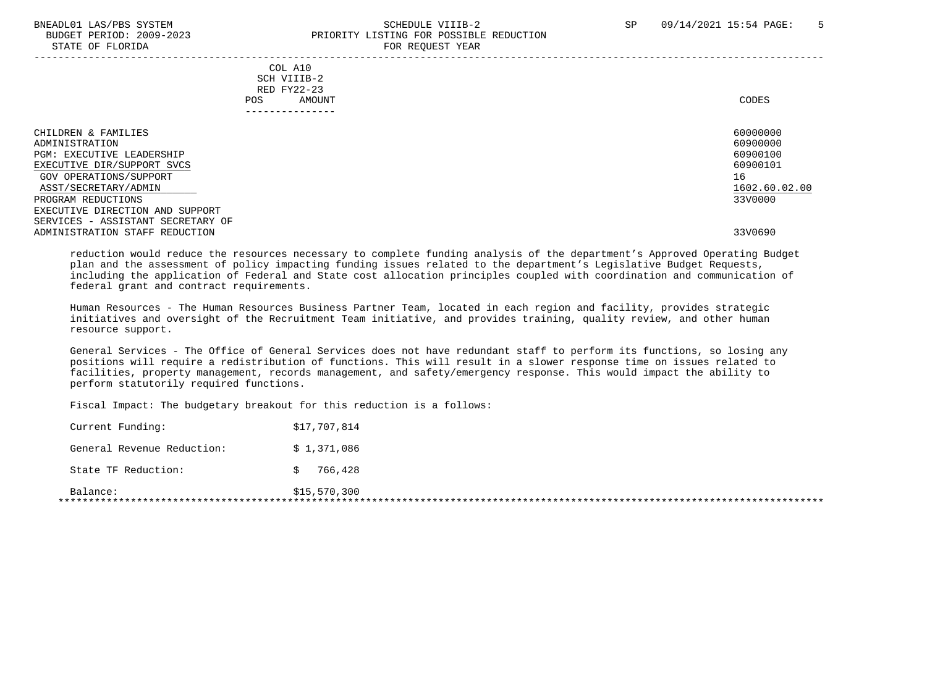STATE OF FLORIDA

# BNEADL01 LAS/PBS SYSTEM SCHEDULE VIIIB-2 SCHEDULE VIIIB-2 SP 09/14/2021 15:54 PAGE: 5 BUDGET PERIOD: 2009-2023<br>
STATE OF FLORIDA

|                                                                                                                                                                                                                                                                                           |                                                                           | ron nagonor rami |                                                                                           |
|-------------------------------------------------------------------------------------------------------------------------------------------------------------------------------------------------------------------------------------------------------------------------------------------|---------------------------------------------------------------------------|------------------|-------------------------------------------------------------------------------------------|
|                                                                                                                                                                                                                                                                                           | COL A10<br>SCH VIIIB-2<br>RED FY22-23<br>POS<br>AMOUNT<br>--------------- |                  | CODES                                                                                     |
| CHILDREN & FAMILIES<br>ADMINISTRATION<br><b>PGM: EXECUTIVE LEADERSHIP</b><br>EXECUTIVE DIR/SUPPORT SVCS<br>GOV OPERATIONS/SUPPORT<br>ASST/SECRETARY/ADMIN<br>PROGRAM REDUCTIONS<br>EXECUTIVE DIRECTION AND SUPPORT<br>SERVICES - ASSISTANT SECRETARY OF<br>ADMINISTRATION STAFF REDUCTION |                                                                           |                  | 60000000<br>60900000<br>60900100<br>60900101<br>16<br>1602.60.02.00<br>33V0000<br>33V0690 |

 reduction would reduce the resources necessary to complete funding analysis of the department's Approved Operating Budget plan and the assessment of policy impacting funding issues related to the department's Legislative Budget Requests, including the application of Federal and State cost allocation principles coupled with coordination and communication of federal grant and contract requirements.

 Human Resources - The Human Resources Business Partner Team, located in each region and facility, provides strategic initiatives and oversight of the Recruitment Team initiative, and provides training, quality review, and other human resource support.

 General Services - The Office of General Services does not have redundant staff to perform its functions, so losing any positions will require a redistribution of functions. This will result in a slower response time on issues related to facilities, property management, records management, and safety/emergency response. This would impact the ability to perform statutorily required functions.

Fiscal Impact: The budgetary breakout for this reduction is a follows:

| Balance:                   | \$15,570,300 |
|----------------------------|--------------|
| State TF Reduction:        | 766,428      |
| General Revenue Reduction: | \$1,371,086  |
| Current Funding:           | \$17,707,814 |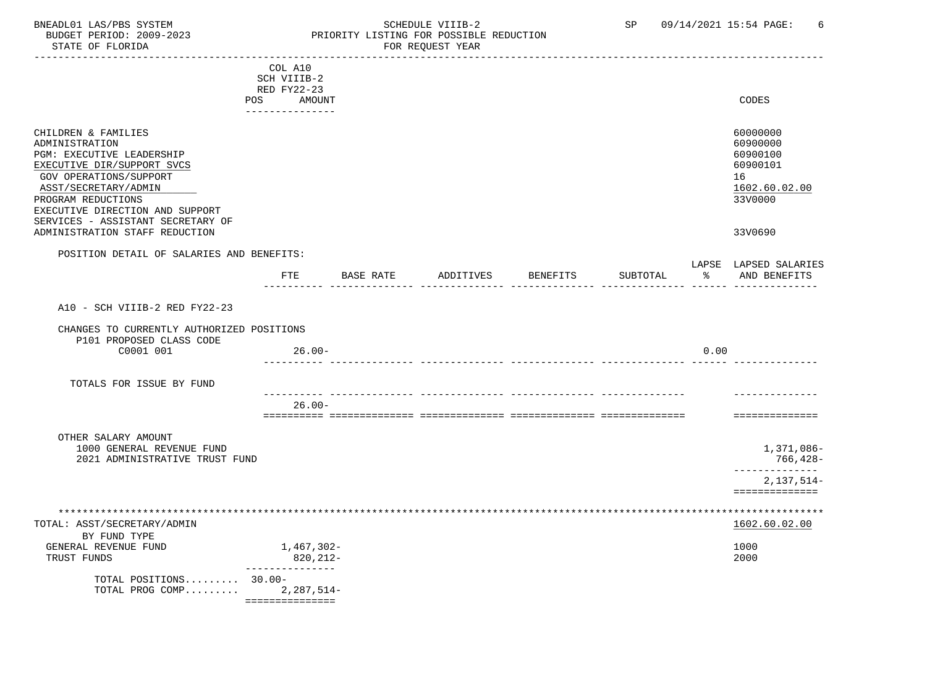### BNEADL01 LAS/PBS SYSTEM SCHEDULE VIIIB-2 SCHEDULE VIIIB-2 SP 09/14/2021 15:54 PAGE: 6<br>BUDGET PERIOD: 2009-2023 PRIORITY LISTING FOR POSSIBLE REDUCTION BUDGET PERIOD: 2009-2023 PRIORITY LISTING FOR POSSIBLE REDUCTION FOR REQUEST YEAR

|                                                                                                                                                                                                             |     | COL A10<br>SCH VIIIB-2        |           |           |          |          |      |                                                                                |
|-------------------------------------------------------------------------------------------------------------------------------------------------------------------------------------------------------------|-----|-------------------------------|-----------|-----------|----------|----------|------|--------------------------------------------------------------------------------|
|                                                                                                                                                                                                             |     | RED FY22-23                   |           |           |          |          |      |                                                                                |
|                                                                                                                                                                                                             | POS | AMOUNT<br>---------------     |           |           |          |          |      | CODES                                                                          |
| CHILDREN & FAMILIES<br>ADMINISTRATION<br>PGM: EXECUTIVE LEADERSHIP<br>EXECUTIVE DIR/SUPPORT SVCS<br>GOV OPERATIONS/SUPPORT<br>ASST/SECRETARY/ADMIN<br>PROGRAM REDUCTIONS<br>EXECUTIVE DIRECTION AND SUPPORT |     |                               |           |           |          |          |      | 60000000<br>60900000<br>60900100<br>60900101<br>16<br>1602.60.02.00<br>33V0000 |
| SERVICES - ASSISTANT SECRETARY OF<br>ADMINISTRATION STAFF REDUCTION                                                                                                                                         |     |                               |           |           |          |          |      | 33V0690                                                                        |
| POSITION DETAIL OF SALARIES AND BENEFITS:                                                                                                                                                                   |     |                               |           |           |          |          |      |                                                                                |
|                                                                                                                                                                                                             |     | FTE                           | BASE RATE | ADDITIVES | BENEFITS | SUBTOTAL | ႜ    | LAPSE LAPSED SALARIES<br>AND BENEFITS                                          |
| A10 - SCH VIIIB-2 RED FY22-23                                                                                                                                                                               |     |                               |           |           |          |          |      |                                                                                |
|                                                                                                                                                                                                             |     |                               |           |           |          |          |      |                                                                                |
| CHANGES TO CURRENTLY AUTHORIZED POSITIONS<br>P101 PROPOSED CLASS CODE                                                                                                                                       |     |                               |           |           |          |          |      |                                                                                |
| C0001 001                                                                                                                                                                                                   |     | $26.00 -$                     |           |           |          |          | 0.00 |                                                                                |
| TOTALS FOR ISSUE BY FUND                                                                                                                                                                                    |     |                               |           |           |          |          |      |                                                                                |
|                                                                                                                                                                                                             |     | $26.00 -$                     |           |           |          |          |      |                                                                                |
|                                                                                                                                                                                                             |     |                               |           |           |          |          |      | ==============                                                                 |
| OTHER SALARY AMOUNT<br>1000 GENERAL REVENUE FUND<br>2021 ADMINISTRATIVE TRUST FUND                                                                                                                          |     |                               |           |           |          |          |      | 1,371,086-<br>766,428-                                                         |
|                                                                                                                                                                                                             |     |                               |           |           |          |          |      | ------------<br>$2,137,514-$                                                   |
|                                                                                                                                                                                                             |     |                               |           |           |          |          |      | ==============                                                                 |
|                                                                                                                                                                                                             |     |                               |           |           |          |          |      |                                                                                |
| TOTAL: ASST/SECRETARY/ADMIN<br>BY FUND TYPE                                                                                                                                                                 |     |                               |           |           |          |          |      | 1602.60.02.00                                                                  |
| GENERAL REVENUE FUND<br>TRUST FUNDS                                                                                                                                                                         |     | 1,467,302-<br>820,212-        |           |           |          |          |      | 1000<br>2000                                                                   |
|                                                                                                                                                                                                             |     | ----------------              |           |           |          |          |      |                                                                                |
| TOTAL POSITIONS $30.00 -$<br>TOTAL PROG COMP                                                                                                                                                                |     | 2,287,514-<br>=============== |           |           |          |          |      |                                                                                |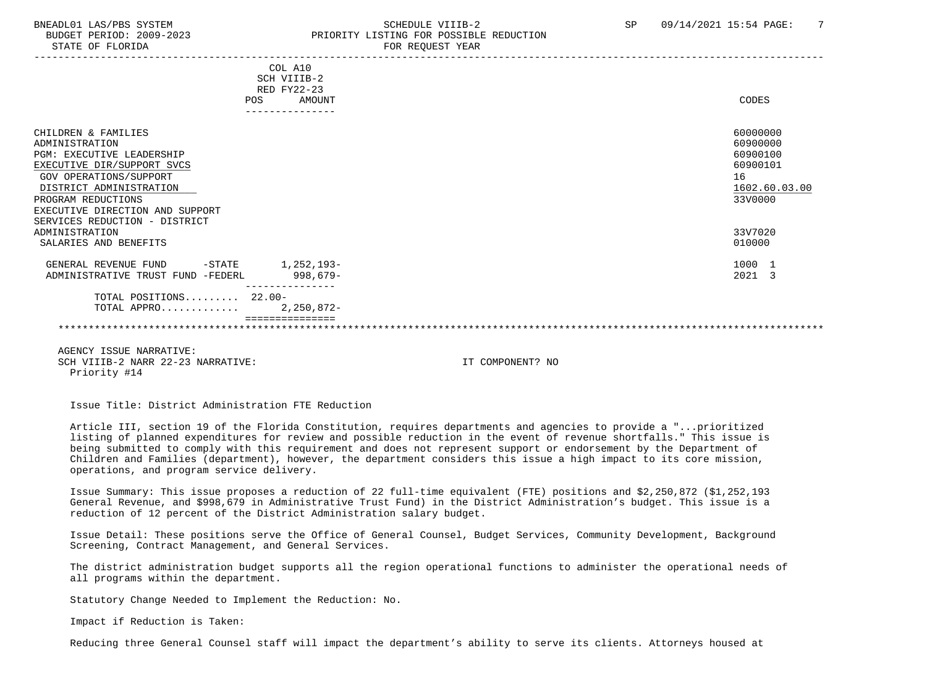## BNEADL01 LAS/PBS SYSTEM SCHEDULE VIIIB-2 SCHEDULE VIIIB-2 SP 09/14/2021 15:54 PAGE: 7 BUDGET PERIOD: 2009-2023 PRIORITY LISTING FOR POSSIBLE REDUCTION

|                                             | COL A10     |               |
|---------------------------------------------|-------------|---------------|
|                                             | SCH VIIIB-2 |               |
|                                             | RED FY22-23 |               |
| POS                                         | AMOUNT      | CODES         |
|                                             |             |               |
| CHILDREN & FAMILIES                         |             | 60000000      |
| ADMINISTRATION                              |             | 60900000      |
| PGM: EXECUTIVE LEADERSHIP                   |             | 60900100      |
| EXECUTIVE DIR/SUPPORT SVCS                  |             | 60900101      |
| GOV OPERATIONS/SUPPORT                      |             | 16            |
| DISTRICT ADMINISTRATION                     |             | 1602.60.03.00 |
| PROGRAM REDUCTIONS                          |             | 33V0000       |
| EXECUTIVE DIRECTION AND SUPPORT             |             |               |
| SERVICES REDUCTION - DISTRICT               |             |               |
| ADMINISTRATION                              |             | 33V7020       |
| SALARIES AND BENEFITS                       |             | 010000        |
| -STATE 1, 252, 193-<br>GENERAL REVENUE FUND |             | 1000 1        |
| ADMINISTRATIVE TRUST FUND -FEDERL           | 998,679-    | 2021 3        |
|                                             |             |               |
| TOTAL POSITIONS 22.00-                      |             |               |
| TOTAL APPRO 2, 250, 872-                    |             |               |
|                                             |             |               |
|                                             |             |               |

 AGENCY ISSUE NARRATIVE: SCH VIIIB-2 NARR 22-23 NARRATIVE: IT COMPONENT? NO Priority #14

Issue Title: District Administration FTE Reduction

 Article III, section 19 of the Florida Constitution, requires departments and agencies to provide a "...prioritized listing of planned expenditures for review and possible reduction in the event of revenue shortfalls." This issue is being submitted to comply with this requirement and does not represent support or endorsement by the Department of Children and Families (department), however, the department considers this issue a high impact to its core mission, operations, and program service delivery.

 Issue Summary: This issue proposes a reduction of 22 full-time equivalent (FTE) positions and \$2,250,872 (\$1,252,193 General Revenue, and \$998,679 in Administrative Trust Fund) in the District Administration's budget. This issue is a reduction of 12 percent of the District Administration salary budget.

 Issue Detail: These positions serve the Office of General Counsel, Budget Services, Community Development, Background Screening, Contract Management, and General Services.

 The district administration budget supports all the region operational functions to administer the operational needs of all programs within the department.

Statutory Change Needed to Implement the Reduction: No.

Impact if Reduction is Taken:

Reducing three General Counsel staff will impact the department's ability to serve its clients. Attorneys housed at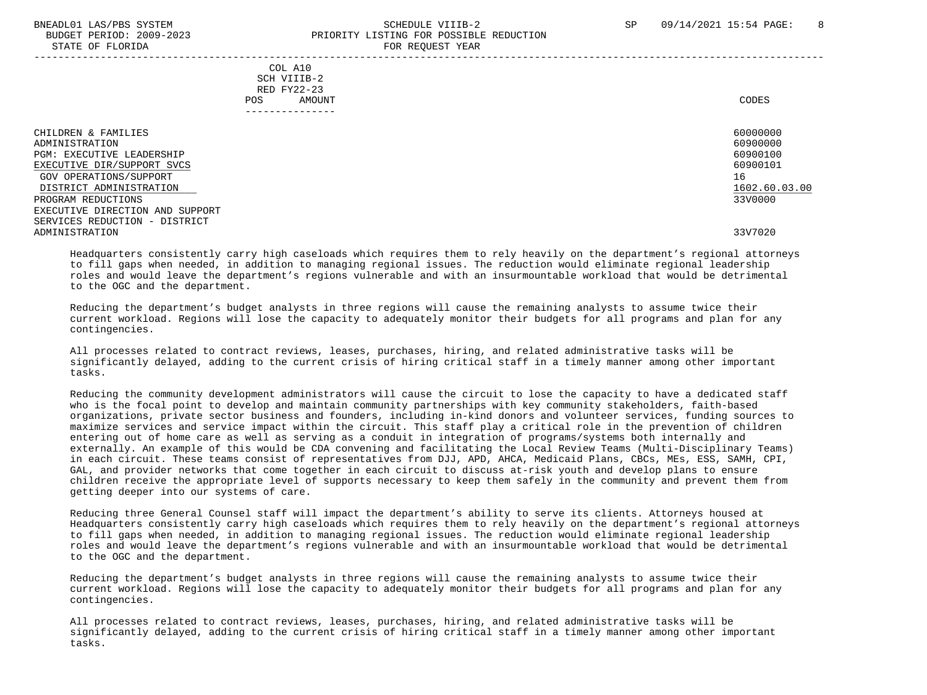#### BNEADL01 LAS/PBS SYSTEM SCHEDULE VIIIB-2 SCHEDULE VIIIB-2 SP 09/14/2021 15:54 PAGE: 8 BUDGET PERIOD: 2009-2023 PRIORITY LISTING FOR POSSIBLE REDUCTION STATE OF FLORIDA FOR REQUEST YEAR FOR REQUEST THAT THE REDUCT OF STATE OF STATE OF STATE OF STATE OF STATE OF STATE OF STATE OF STATE OF STATE OF STATE OF STATE OF STATE OF STATE OF STATE OF STATE OF STATE OF STATE OF STAT -----------------------------------------------------------------------------------------------------------------------------------

|     | --------------- |       |
|-----|-----------------|-------|
| POS | AMOUNT          | CODES |
|     | RED FY22-23     |       |
|     | SCH VIIIB-2     |       |
| COL | A10             |       |

| CHILDREN & FAMILIES<br>ADMINISTRATION<br><b>PGM: EXECUTIVE LEADERSHIP</b>                             | 60000000<br>60900000<br>60900100<br>60900101 |
|-------------------------------------------------------------------------------------------------------|----------------------------------------------|
| EXECUTIVE DIR/SUPPORT SVCS<br>GOV OPERATIONS/SUPPORT<br>DISTRICT ADMINISTRATION<br>PROGRAM REDUCTIONS | 16<br>1602.60.03.00<br>33V0000               |
| EXECUTIVE DIRECTION AND SUPPORT<br>SERVICES REDUCTION - DISTRICT<br>ADMINISTRATION                    | 33V7020                                      |

 Headquarters consistently carry high caseloads which requires them to rely heavily on the department's regional attorneys to fill gaps when needed, in addition to managing regional issues. The reduction would eliminate regional leadership roles and would leave the department's regions vulnerable and with an insurmountable workload that would be detrimental to the OGC and the department.

 Reducing the department's budget analysts in three regions will cause the remaining analysts to assume twice their current workload. Regions will lose the capacity to adequately monitor their budgets for all programs and plan for any contingencies.

 All processes related to contract reviews, leases, purchases, hiring, and related administrative tasks will be significantly delayed, adding to the current crisis of hiring critical staff in a timely manner among other important tasks.

 Reducing the community development administrators will cause the circuit to lose the capacity to have a dedicated staff who is the focal point to develop and maintain community partnerships with key community stakeholders, faith-based organizations, private sector business and founders, including in-kind donors and volunteer services, funding sources to maximize services and service impact within the circuit. This staff play a critical role in the prevention of children entering out of home care as well as serving as a conduit in integration of programs/systems both internally and externally. An example of this would be CDA convening and facilitating the Local Review Teams (Multi-Disciplinary Teams) in each circuit. These teams consist of representatives from DJJ, APD, AHCA, Medicaid Plans, CBCs, MEs, ESS, SAMH, CPI, GAL, and provider networks that come together in each circuit to discuss at-risk youth and develop plans to ensure children receive the appropriate level of supports necessary to keep them safely in the community and prevent them from getting deeper into our systems of care.

 Reducing three General Counsel staff will impact the department's ability to serve its clients. Attorneys housed at Headquarters consistently carry high caseloads which requires them to rely heavily on the department's regional attorneys to fill gaps when needed, in addition to managing regional issues. The reduction would eliminate regional leadership roles and would leave the department's regions vulnerable and with an insurmountable workload that would be detrimental to the OGC and the department.

 Reducing the department's budget analysts in three regions will cause the remaining analysts to assume twice their current workload. Regions will lose the capacity to adequately monitor their budgets for all programs and plan for any contingencies.

 All processes related to contract reviews, leases, purchases, hiring, and related administrative tasks will be significantly delayed, adding to the current crisis of hiring critical staff in a timely manner among other important tasks.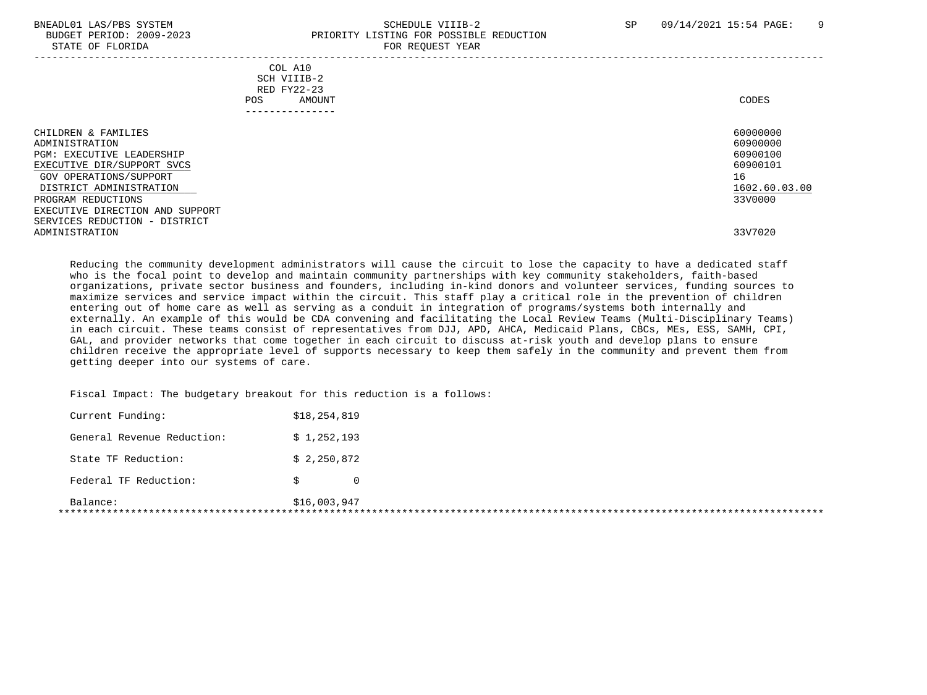### BNEADL01 LAS/PBS SYSTEM SCHEDULE VIIIB-2 SCHEDULE VIIIB-2 SP 09/14/2021 15:54 PAGE: 9 BUDGET PERIOD: 2009-2023<br>
STATE OF FLORIDA STATE OF FLORIDA FOR REQUEST YEAR

| DIAIE OF FEORIDA                                                                                                                                                                                                      |                                                                        | ron negosoi tsur |                                                                                |
|-----------------------------------------------------------------------------------------------------------------------------------------------------------------------------------------------------------------------|------------------------------------------------------------------------|------------------|--------------------------------------------------------------------------------|
|                                                                                                                                                                                                                       | COL A10<br>SCH VIIIB-2<br>RED FY22-23<br>POS<br>AMOUNT<br>------------ |                  | CODES                                                                          |
| CHILDREN & FAMILIES<br>ADMINISTRATION<br><b>PGM: EXECUTIVE LEADERSHIP</b><br>EXECUTIVE DIR/SUPPORT SVCS<br>GOV OPERATIONS/SUPPORT<br>DISTRICT ADMINISTRATION<br>PROGRAM REDUCTIONS<br>EXECUTIVE DIRECTION AND SUPPORT |                                                                        |                  | 60000000<br>60900000<br>60900100<br>60900101<br>16<br>1602.60.03.00<br>33V0000 |
| SERVICES REDUCTION - DISTRICT<br>ADMINISTRATION                                                                                                                                                                       |                                                                        |                  | 33V7020                                                                        |

 Reducing the community development administrators will cause the circuit to lose the capacity to have a dedicated staff who is the focal point to develop and maintain community partnerships with key community stakeholders, faith-based organizations, private sector business and founders, including in-kind donors and volunteer services, funding sources to maximize services and service impact within the circuit. This staff play a critical role in the prevention of children entering out of home care as well as serving as a conduit in integration of programs/systems both internally and externally. An example of this would be CDA convening and facilitating the Local Review Teams (Multi-Disciplinary Teams) in each circuit. These teams consist of representatives from DJJ, APD, AHCA, Medicaid Plans, CBCs, MEs, ESS, SAMH, CPI, GAL, and provider networks that come together in each circuit to discuss at-risk youth and develop plans to ensure children receive the appropriate level of supports necessary to keep them safely in the community and prevent them from getting deeper into our systems of care.

Fiscal Impact: The budgetary breakout for this reduction is a follows:

| Balance:                   | \$16,003,947 |                |
|----------------------------|--------------|----------------|
| Federal TF Reduction:      |              | $\overline{0}$ |
| State TF Reduction:        | \$2,250,872  |                |
| General Revenue Reduction: | \$1,252,193  |                |
| Current Funding:           | \$18,254,819 |                |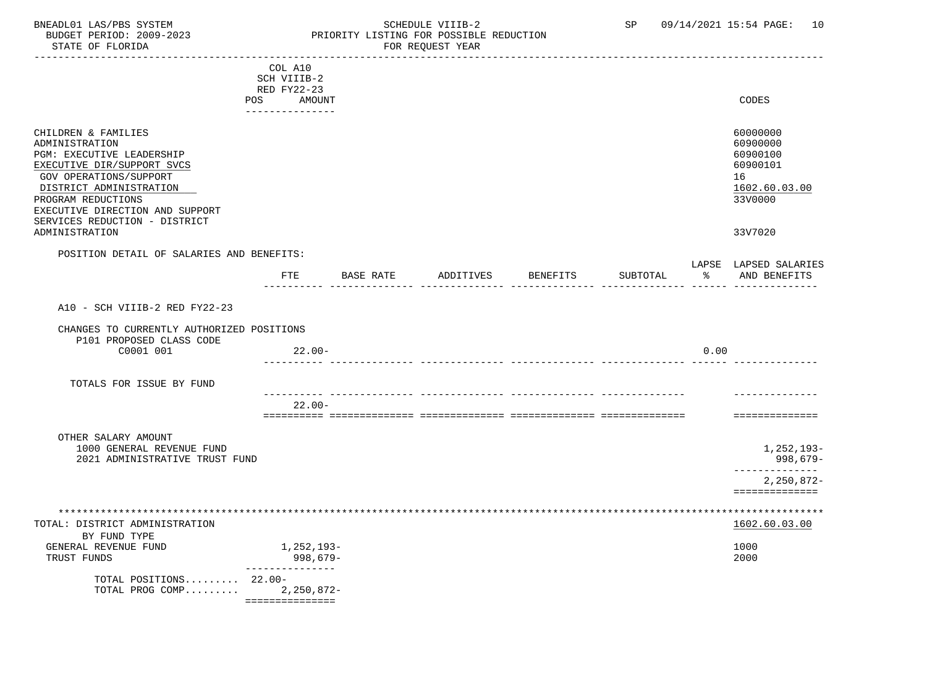## BNEADL01 LAS/PBS SYSTEM SCHEDULE VIIIB-2 SCHEDULE VIIIB-2 SP 09/14/2021 15:54 PAGE: 10 BUDGET PERIOD: 2009-2023 PRIORITY LISTING FOR POSSIBLE REDUCTION

|                                                         |     | COL A10         |           |           |                 |          |      |                                       |
|---------------------------------------------------------|-----|-----------------|-----------|-----------|-----------------|----------|------|---------------------------------------|
|                                                         |     | SCH VIIIB-2     |           |           |                 |          |      |                                       |
|                                                         |     | RED FY22-23     |           |           |                 |          |      |                                       |
|                                                         | POS | AMOUNT          |           |           |                 |          |      | CODES                                 |
|                                                         |     | --------------- |           |           |                 |          |      |                                       |
| CHILDREN & FAMILIES<br>ADMINISTRATION                   |     |                 |           |           |                 |          |      | 60000000<br>60900000                  |
| PGM: EXECUTIVE LEADERSHIP<br>EXECUTIVE DIR/SUPPORT SVCS |     |                 |           |           |                 |          |      | 60900100<br>60900101                  |
| GOV OPERATIONS/SUPPORT                                  |     |                 |           |           |                 |          |      | 16                                    |
| DISTRICT ADMINISTRATION                                 |     |                 |           |           |                 |          |      | 1602.60.03.00                         |
| PROGRAM REDUCTIONS<br>EXECUTIVE DIRECTION AND SUPPORT   |     |                 |           |           |                 |          |      | 33V0000                               |
| SERVICES REDUCTION - DISTRICT<br>ADMINISTRATION         |     |                 |           |           |                 |          |      | 33V7020                               |
| POSITION DETAIL OF SALARIES AND BENEFITS:               |     |                 |           |           |                 |          |      |                                       |
|                                                         |     | FTE             | BASE RATE | ADDITIVES | <b>BENEFITS</b> | SUBTOTAL | ႜႂ   | LAPSE LAPSED SALARIES<br>AND BENEFITS |
|                                                         |     |                 |           |           |                 |          |      |                                       |
| A10 - SCH VIIIB-2 RED FY22-23                           |     |                 |           |           |                 |          |      |                                       |
| CHANGES TO CURRENTLY AUTHORIZED POSITIONS               |     |                 |           |           |                 |          |      |                                       |
| P101 PROPOSED CLASS CODE<br>C0001 001                   |     | $22.00-$        |           |           |                 |          | 0.00 |                                       |
| TOTALS FOR ISSUE BY FUND                                |     |                 |           |           |                 |          |      |                                       |
|                                                         |     |                 |           |           |                 |          |      |                                       |
|                                                         |     | $22.00-$        |           |           |                 |          |      |                                       |
|                                                         |     |                 |           |           |                 |          |      | ==============                        |
| OTHER SALARY AMOUNT                                     |     |                 |           |           |                 |          |      |                                       |
| 1000 GENERAL REVENUE FUND                               |     |                 |           |           |                 |          |      | 1,252,193-                            |
| 2021 ADMINISTRATIVE TRUST FUND                          |     |                 |           |           |                 |          |      | 998,679-<br>-------------             |
|                                                         |     |                 |           |           |                 |          |      | 2,250,872-<br>==============          |
| ******************************                          |     |                 |           |           |                 |          |      | ****************                      |
| TOTAL: DISTRICT ADMINISTRATION                          |     |                 |           |           |                 |          |      | 1602.60.03.00                         |
| BY FUND TYPE<br>GENERAL REVENUE FUND                    |     | 1,252,193-      |           |           |                 |          |      | 1000                                  |
| TRUST FUNDS                                             |     | 998,679-        |           |           |                 |          |      | 2000                                  |
| TOTAL POSITIONS 22.00-                                  |     | --------------- |           |           |                 |          |      |                                       |
| TOTAL PROG COMP                                         |     | $2,250,872-$    |           |           |                 |          |      |                                       |
|                                                         |     | =============== |           |           |                 |          |      |                                       |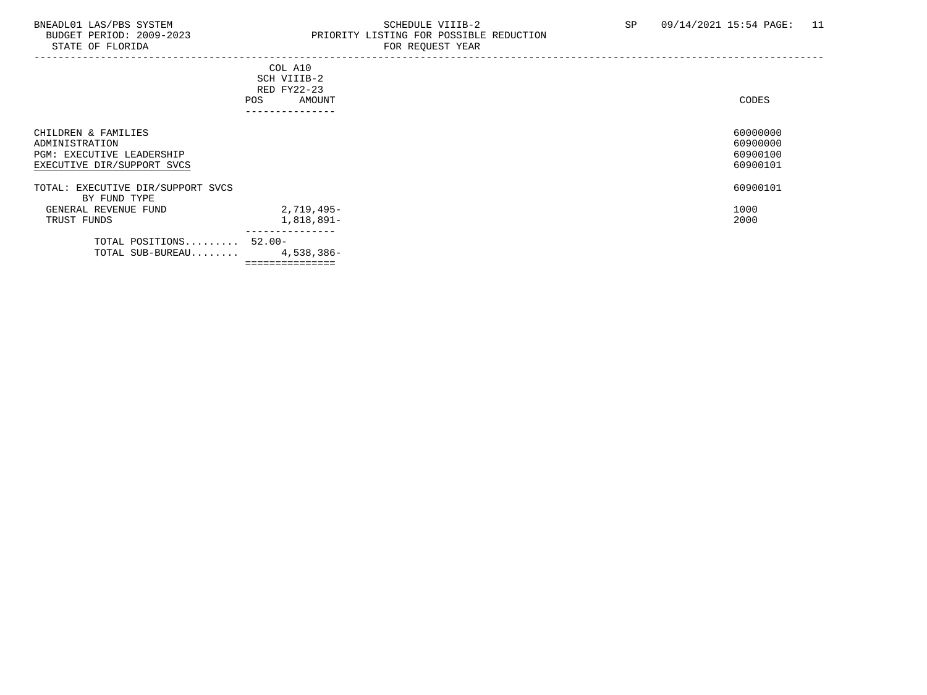# BNEADL01 LAS/PBS SYSTEM SCHEDULE VIIIB-2 SCHEDULE VIIIB-2 SP 09/14/2021 15:54 PAGE: 11<br>BUDGET PERIOD: 2009-2023 PRIORITY LISTING FOR POSSIBLE REDUCTION PRIORITY LISTING FOR POSSIBLE REDUCTION<br>FOR REQUEST YEAR

|                                                                                                         | COL A10<br>SCH VIIIB-2<br>RED FY22-23<br>POS<br>AMOUNT<br>-------------- | CODES                                        |
|---------------------------------------------------------------------------------------------------------|--------------------------------------------------------------------------|----------------------------------------------|
| CHILDREN & FAMILIES<br>ADMINISTRATION<br><b>PGM: EXECUTIVE LEADERSHIP</b><br>EXECUTIVE DIR/SUPPORT SVCS |                                                                          | 60000000<br>60900000<br>60900100<br>60900101 |
| TOTAL: EXECUTIVE DIR/SUPPORT SVCS<br>BY FUND TYPE                                                       |                                                                          | 60900101                                     |
| GENERAL REVENUE FUND<br>TRUST FUNDS                                                                     | 2,719,495-<br>1,818,891-<br>---------------                              | 1000<br>2000                                 |
| TOTAL POSITIONS 52.00-<br>TOTAL SUB-BUREAU                                                              | 4,538,386-                                                               |                                              |

===============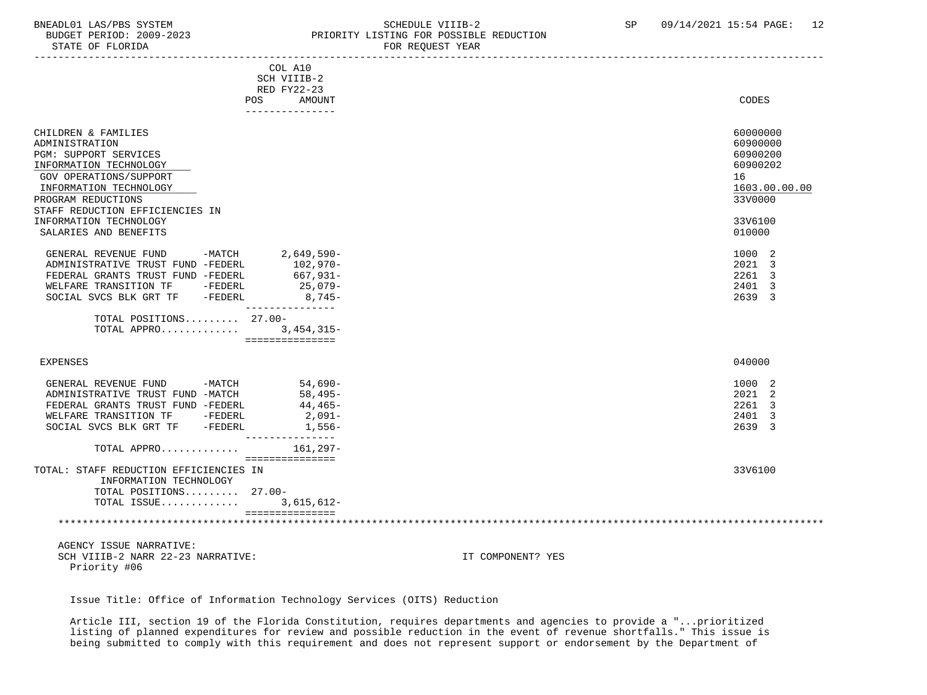## BNEADL01 LAS/PBS SYSTEM SCHEDULE VIIIB-2 SEREDUCTION SCHEDULE VIIIB-2 SP 09/14/2021 15:54 PAGE: 12 UDGET PERIOD: 2009-2023 PRIORITY LISTING FOR POSSIBLE REDUCTION

| STATE OF FLORIDA                                          | FOR REQUEST YEAR |               |
|-----------------------------------------------------------|------------------|---------------|
| COL A10                                                   |                  |               |
| SCH VIIIB-2                                               |                  |               |
| RED FY22-23                                               |                  |               |
| POS<br>---------------                                    | AMOUNT           | CODES         |
| CHILDREN & FAMILIES                                       |                  | 60000000      |
| ADMINISTRATION                                            |                  | 60900000      |
| PGM: SUPPORT SERVICES                                     |                  | 60900200      |
| INFORMATION TECHNOLOGY                                    |                  | 60900202      |
| <b>GOV OPERATIONS/SUPPORT</b>                             |                  | 16            |
| INFORMATION TECHNOLOGY                                    |                  | 1603.00.00.00 |
| PROGRAM REDUCTIONS                                        |                  | 33V0000       |
| STAFF REDUCTION EFFICIENCIES IN                           |                  |               |
| INFORMATION TECHNOLOGY                                    |                  | 33V6100       |
| SALARIES AND BENEFITS                                     |                  | 010000        |
| $-MATCH$<br>GENERAL REVENUE FUND                          | $2,649,590-$     | 1000 2        |
| 102,970-<br>ADMINISTRATIVE TRUST FUND -FEDERL             |                  | 2021 3        |
| 667,931-<br>FEDERAL GRANTS TRUST FUND -FEDERL             |                  | 2261 3        |
| WELFARE TRANSITION TF -FEDERL                             | 25,079-          | 2401 3        |
| -FEDERL<br>SOCIAL SVCS BLK GRT TF                         | 8,745-           | 2639 3        |
| ---------------<br>TOTAL POSITIONS 27.00-                 |                  |               |
| TOTAL APPRO 3,454,315-                                    |                  |               |
| ===============                                           |                  |               |
| EXPENSES                                                  |                  | 040000        |
| $-MATCH$<br>GENERAL REVENUE FUND                          | $54,690-$        | 1000 2        |
| ADMINISTRATIVE TRUST FUND -MATCH                          | 58,495-          | 2021 2        |
| FEDERAL GRANTS TRUST FUND -FEDERL                         | 44,465-          | 2261<br>3     |
| WELFARE TRANSITION TF -FEDERL                             | 2,091-           | 2401 3        |
| SOCIAL SVCS BLK GRT TF -FEDERL<br>---------------         | 1,556-           | 2639 3        |
| TOTAL APPRO                                               | 161,297-         |               |
| ===============<br>TOTAL: STAFF REDUCTION EFFICIENCIES IN |                  | 33V6100       |
| INFORMATION TECHNOLOGY                                    |                  |               |
| TOTAL POSITIONS 27.00-                                    |                  |               |
| TOTAL ISSUE                                               | 3,615,612-       |               |
| ===============                                           |                  |               |
|                                                           |                  |               |
| AGENCY ISSUE NARRATIVE:                                   |                  |               |
|                                                           |                  |               |

SCH VIIIB-2 NARR 22-23 NARRATIVE: IT COMPONENT? YES Priority #06

Issue Title: Office of Information Technology Services (OITS) Reduction

 Article III, section 19 of the Florida Constitution, requires departments and agencies to provide a "...prioritized listing of planned expenditures for review and possible reduction in the event of revenue shortfalls." This issue is being submitted to comply with this requirement and does not represent support or endorsement by the Department of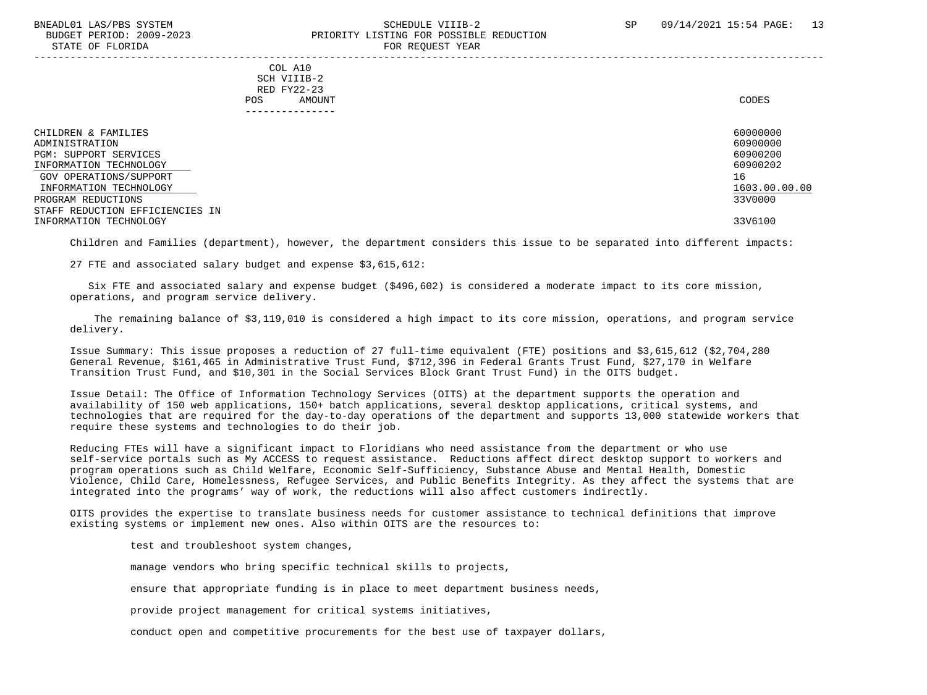#### BNEADL01 LAS/PBS SYSTEM SCHEDULE VIIIB-2 SCHEDULE VIIIB-2 SP 09/14/2021 15:54 PAGE: 13 BUDGET PERIOD: 2009-2023 PRIORITY LISTING FOR POSSIBLE REDUCTION STATE OF FLORIDA FOR REQUEST YEAR FOR REQUEST THAT AND THE STATE OF STATE OF STATE OF STATE OF STATE OF STATE OF STATE OF STATE OF STATE OF STATE OF STATE OF STATE OF STATE OF STATE OF STATE OF STATE OF STATE OF STATE OF S -----------------------------------------------------------------------------------------------------------------------------------

 COL A10 SCH VIIIB-2 RED FY22-23 POS AMOUNT NOTES AND AND A RESERVE AND A RESERVE AND LODGED AND LODGED AND LODGED AND LODGED AND LODGED AND LODGED AT A LODGED AND LODGED AT A LODGED AND LODGED AT A LODGED AND LODGED AT A LODGED AND LODGED AT A LODGED AND ---------------

| CHILDREN & FAMILIES             | 60000000      |
|---------------------------------|---------------|
| ADMINISTRATION                  | 60900000      |
| PGM: SUPPORT SERVICES           | 60900200      |
| INFORMATION TECHNOLOGY          | 60900202      |
| GOV OPERATIONS/SUPPORT          | 16            |
| INFORMATION TECHNOLOGY          | 1603.00.00.00 |
| PROGRAM REDUCTIONS              | 33V0000       |
| STAFF REDUCTION EFFICIENCIES IN |               |
| INFORMATION TECHNOLOGY          | 33V6100       |

Children and Families (department), however, the department considers this issue to be separated into different impacts:

27 FTE and associated salary budget and expense \$3,615,612:

 Six FTE and associated salary and expense budget (\$496,602) is considered a moderate impact to its core mission, operations, and program service delivery.

 The remaining balance of \$3,119,010 is considered a high impact to its core mission, operations, and program service delivery.

 Issue Summary: This issue proposes a reduction of 27 full-time equivalent (FTE) positions and \$3,615,612 (\$2,704,280 General Revenue, \$161,465 in Administrative Trust Fund, \$712,396 in Federal Grants Trust Fund, \$27,170 in Welfare Transition Trust Fund, and \$10,301 in the Social Services Block Grant Trust Fund) in the OITS budget.

 Issue Detail: The Office of Information Technology Services (OITS) at the department supports the operation and availability of 150 web applications, 150+ batch applications, several desktop applications, critical systems, and technologies that are required for the day-to-day operations of the department and supports 13,000 statewide workers that require these systems and technologies to do their job.

 Reducing FTEs will have a significant impact to Floridians who need assistance from the department or who use self-service portals such as My ACCESS to request assistance. Reductions affect direct desktop support to workers and program operations such as Child Welfare, Economic Self-Sufficiency, Substance Abuse and Mental Health, Domestic Violence, Child Care, Homelessness, Refugee Services, and Public Benefits Integrity. As they affect the systems that are integrated into the programs' way of work, the reductions will also affect customers indirectly.

 OITS provides the expertise to translate business needs for customer assistance to technical definitions that improve existing systems or implement new ones. Also within OITS are the resources to:

test and troubleshoot system changes,

manage vendors who bring specific technical skills to projects,

ensure that appropriate funding is in place to meet department business needs,

provide project management for critical systems initiatives,

conduct open and competitive procurements for the best use of taxpayer dollars,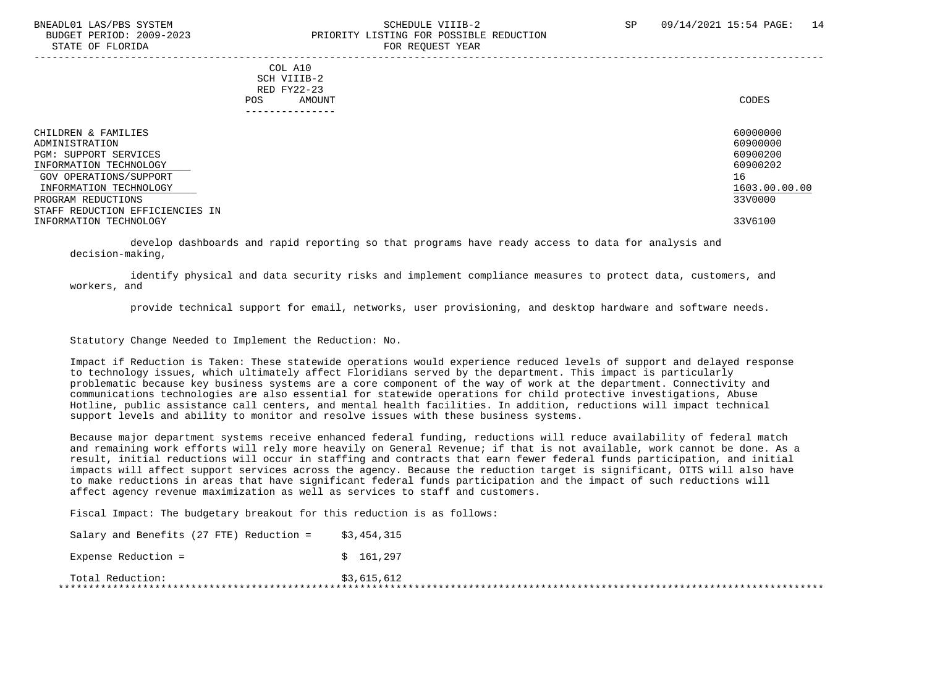#### BNEADL01 LAS/PBS SYSTEM SCHEDULE VIIIB-2 SCHEDULE VIIIB-2 SP 09/14/2021 15:54 PAGE: 14 BUDGET PERIOD: 2009-2023 PRIORITY LISTING FOR POSSIBLE REDUCTION STATE OF FLORIDA FOR REQUEST YEAR FOR REQUEST THAT THE REDUCT OF STATE OF STATE OF STATE OF STATE OF STATE OF STATE OF STATE OF STATE OF STATE OF STATE OF STATE OF STATE OF STATE OF STATE OF STATE OF STATE OF STATE OF STAT

-----------------------------------------------------------------------------------------------------------------------------------

 COL A10 SCH VIIIB-2 RED FY22-23 POS AMOUNT NOTES AND AND A RESERVE AND A RESERVE AND LODGED AND LODGED AND LODGED AND LODGED AND LODGED AND LODGED AT A LODGED AND LODGED AT A LODGED AND LODGED AT A LODGED AND LODGED AT A LODGED AND LODGED AT A LODGED AND ---------------

| CHILDREN & FAMILIES             | 60000000      |
|---------------------------------|---------------|
| ADMINISTRATION                  | 60900000      |
| PGM: SUPPORT SERVICES           | 60900200      |
| INFORMATION TECHNOLOGY          | 60900202      |
| GOV OPERATIONS/SUPPORT          | 16            |
| INFORMATION TECHNOLOGY          | 1603.00.00.00 |
| PROGRAM REDUCTIONS              | 33V0000       |
| STAFF REDUCTION EFFICIENCIES IN |               |
| INFORMATION TECHNOLOGY          | 33V6100       |

 develop dashboards and rapid reporting so that programs have ready access to data for analysis and decision-making,

 identify physical and data security risks and implement compliance measures to protect data, customers, and workers, and

provide technical support for email, networks, user provisioning, and desktop hardware and software needs.

Statutory Change Needed to Implement the Reduction: No.

 Impact if Reduction is Taken: These statewide operations would experience reduced levels of support and delayed response to technology issues, which ultimately affect Floridians served by the department. This impact is particularly problematic because key business systems are a core component of the way of work at the department. Connectivity and communications technologies are also essential for statewide operations for child protective investigations, Abuse Hotline, public assistance call centers, and mental health facilities. In addition, reductions will impact technical support levels and ability to monitor and resolve issues with these business systems.

 Because major department systems receive enhanced federal funding, reductions will reduce availability of federal match and remaining work efforts will rely more heavily on General Revenue; if that is not available, work cannot be done. As a result, initial reductions will occur in staffing and contracts that earn fewer federal funds participation, and initial impacts will affect support services across the agency. Because the reduction target is significant, OITS will also have to make reductions in areas that have significant federal funds participation and the impact of such reductions will affect agency revenue maximization as well as services to staff and customers.

Fiscal Impact: The budgetary breakout for this reduction is as follows:

Salary and Benefits (27 FTE) Reduction =  $$3.454.315$ Expense Reduction =  $$ 161,297$  Total Reduction: \$3,615,612 \*\*\*\*\*\*\*\*\*\*\*\*\*\*\*\*\*\*\*\*\*\*\*\*\*\*\*\*\*\*\*\*\*\*\*\*\*\*\*\*\*\*\*\*\*\*\*\*\*\*\*\*\*\*\*\*\*\*\*\*\*\*\*\*\*\*\*\*\*\*\*\*\*\*\*\*\*\*\*\*\*\*\*\*\*\*\*\*\*\*\*\*\*\*\*\*\*\*\*\*\*\*\*\*\*\*\*\*\*\*\*\*\*\*\*\*\*\*\*\*\*\*\*\*\*\*\*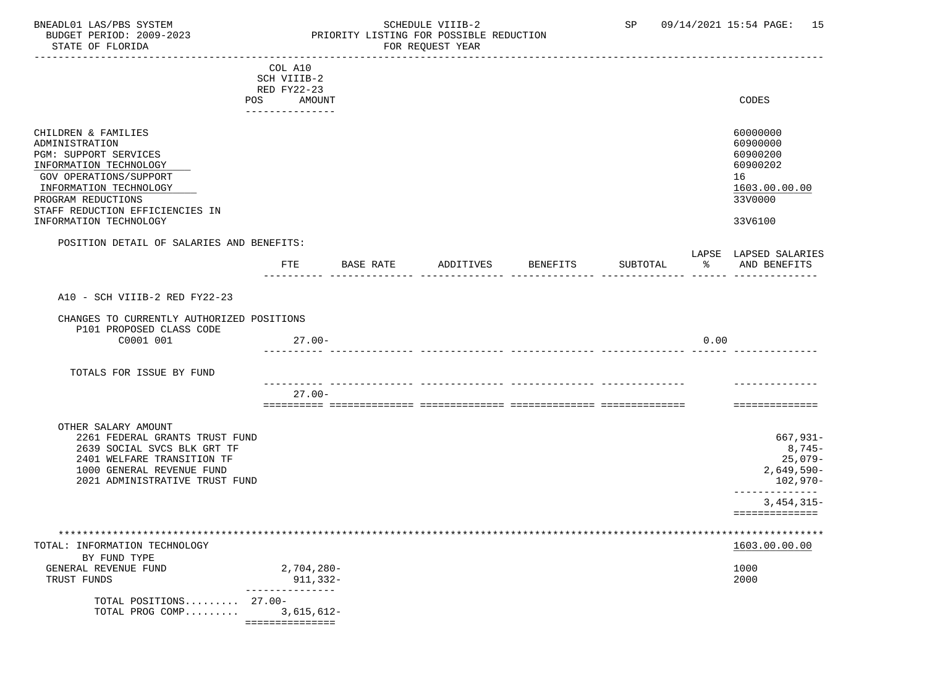# BNEADL01 LAS/PBS SYSTEM SCHEDULE VIIIB-2 SCHEDULE VIIIB-2 SP 09/14/2021 15:54 PAGE: 15<br>BUDGET PERIOD: 2009-2023 PRIORITY LISTING FOR POSSIBLE REDUCTION PRIORITY LISTING FOR POSSIBLE REDUCTION<br>FOR REQUEST YEAR

|                                                                                                                                                                                                                                 | COL A10<br>SCH VIIIB-2<br>RED FY22-23       |           |           |                 |          |        |                                                                                           |
|---------------------------------------------------------------------------------------------------------------------------------------------------------------------------------------------------------------------------------|---------------------------------------------|-----------|-----------|-----------------|----------|--------|-------------------------------------------------------------------------------------------|
|                                                                                                                                                                                                                                 | POS AMOUNT<br>---------------               |           |           |                 |          |        | CODES                                                                                     |
| CHILDREN & FAMILIES<br>ADMINISTRATION<br>PGM: SUPPORT SERVICES<br>INFORMATION TECHNOLOGY<br>GOV OPERATIONS/SUPPORT<br>INFORMATION TECHNOLOGY<br>PROGRAM REDUCTIONS<br>STAFF REDUCTION EFFICIENCIES IN<br>INFORMATION TECHNOLOGY |                                             |           |           |                 |          |        | 60000000<br>60900000<br>60900200<br>60900202<br>16<br>1603.00.00.00<br>33V0000<br>33V6100 |
| POSITION DETAIL OF SALARIES AND BENEFITS:                                                                                                                                                                                       |                                             |           |           |                 |          |        | LAPSE LAPSED SALARIES                                                                     |
|                                                                                                                                                                                                                                 | FTE                                         | BASE RATE | ADDITIVES | <b>BENEFITS</b> | SUBTOTAL | $\sim$ | AND BENEFITS                                                                              |
| A10 - SCH VIIIB-2 RED FY22-23                                                                                                                                                                                                   |                                             |           |           |                 |          |        |                                                                                           |
| CHANGES TO CURRENTLY AUTHORIZED POSITIONS<br>P101 PROPOSED CLASS CODE                                                                                                                                                           |                                             |           |           |                 |          |        |                                                                                           |
| C0001 001                                                                                                                                                                                                                       | $27.00 -$                                   |           |           |                 |          | 0.00   |                                                                                           |
| TOTALS FOR ISSUE BY FUND                                                                                                                                                                                                        | .                                           |           |           |                 |          |        |                                                                                           |
|                                                                                                                                                                                                                                 | $27.00 -$                                   |           |           |                 |          |        | ==============                                                                            |
| OTHER SALARY AMOUNT<br>2261 FEDERAL GRANTS TRUST FUND<br>2639 SOCIAL SVCS BLK GRT TF<br>2401 WELFARE TRANSITION TF<br>1000 GENERAL REVENUE FUND<br>2021 ADMINISTRATIVE TRUST FUND                                               |                                             |           |           |                 |          |        | 667,931-<br>$8,745-$<br>$25,079-$<br>$2,649,590-$<br>102,970-<br>______________           |
|                                                                                                                                                                                                                                 |                                             |           |           |                 |          |        | $3,454,315-$<br>==============                                                            |
|                                                                                                                                                                                                                                 |                                             |           |           |                 |          |        |                                                                                           |
| TOTAL: INFORMATION TECHNOLOGY<br>BY FUND TYPE                                                                                                                                                                                   |                                             |           |           |                 |          |        | 1603.00.00.00                                                                             |
| GENERAL REVENUE FUND<br>TRUST FUNDS                                                                                                                                                                                             | $2,704,280-$<br>911,332-<br>_______________ |           |           |                 |          |        | 1000<br>2000                                                                              |
| TOTAL POSITIONS 27.00-<br>TOTAL PROG COMP                                                                                                                                                                                       | $3,615,612-$<br>__________________          |           |           |                 |          |        |                                                                                           |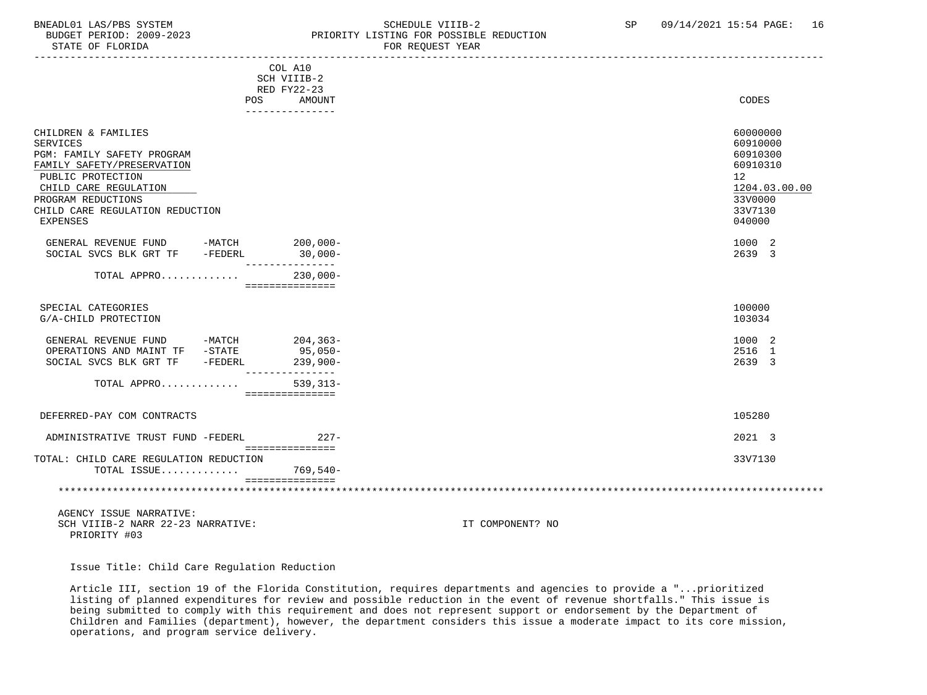### BNEADL01 LAS/PBS SYSTEM SCHEDULE VIIIB-2 SCHEDULE VIIIB-2 SP 09/14/2021 15:54 PAGE: 16<br>BUDGET PERIOD: 2009-2023 PRIORITY LISTING FOR POSSIBLE REDUCTION BUDGET PERIOD: 2009-2023<br>
STATE OF FLORIDA<br>
FOR REOUEST YEAR FOR REQUEST YEAR

|                                        | COL A10                          |               |
|----------------------------------------|----------------------------------|---------------|
|                                        | SCH VIIIB-2                      |               |
|                                        | RED FY22-23                      |               |
| <b>POS</b>                             | <b>AMOUNT</b><br>--------------- | CODES         |
|                                        |                                  |               |
| CHILDREN & FAMILIES                    |                                  | 60000000      |
| <b>SERVICES</b>                        |                                  | 60910000      |
| PGM: FAMILY SAFETY PROGRAM             |                                  | 60910300      |
| FAMILY SAFETY/PRESERVATION             |                                  | 60910310      |
| PUBLIC PROTECTION                      |                                  | 12            |
| CHILD CARE REGULATION                  |                                  | 1204.03.00.00 |
| PROGRAM REDUCTIONS                     |                                  | 33V0000       |
| CHILD CARE REGULATION REDUCTION        |                                  | 33V7130       |
| <b>EXPENSES</b>                        |                                  | 040000        |
| GENERAL REVENUE FUND -MATCH            | $200,000-$                       | 1000 2        |
| SOCIAL SVCS BLK GRT TF<br>-FEDERL      | $30,000 -$                       | 2639 3        |
|                                        | ---------                        |               |
| TOTAL APPRO                            | $230,000 -$                      |               |
|                                        | ===============                  |               |
| SPECIAL CATEGORIES                     |                                  | 100000        |
| G/A-CHILD PROTECTION                   |                                  | 103034        |
|                                        |                                  |               |
| $-MATCH$<br>GENERAL REVENUE FUND       | $204, 363-$                      | 1000 2        |
| OPERATIONS AND MAINT TF -STATE         | 95,050-                          | 2516 1        |
| -FEDERL<br>SOCIAL SVCS BLK GRT TF      | $239,900-$<br>---------------    | 2639 3        |
| TOTAL APPRO                            | $539.313 -$<br>===============   |               |
|                                        |                                  |               |
| DEFERRED-PAY COM CONTRACTS             |                                  | 105280        |
| ADMINISTRATIVE TRUST FUND -FEDERL      | $227 -$                          | 2021 3        |
|                                        | ===============                  |               |
| TOTAL: CHILD CARE REGULATION REDUCTION |                                  | 33V7130       |
| TOTAL ISSUE                            | 769,540-                         |               |
|                                        |                                  |               |
|                                        |                                  |               |

 AGENCY ISSUE NARRATIVE: SCH VIIIB-2 NARR 22-23 NARRATIVE: IT COMPONENT? NO PRIORITY #03

Issue Title: Child Care Regulation Reduction

 Article III, section 19 of the Florida Constitution, requires departments and agencies to provide a "...prioritized listing of planned expenditures for review and possible reduction in the event of revenue shortfalls." This issue is being submitted to comply with this requirement and does not represent support or endorsement by the Department of Children and Families (department), however, the department considers this issue a moderate impact to its core mission, operations, and program service delivery.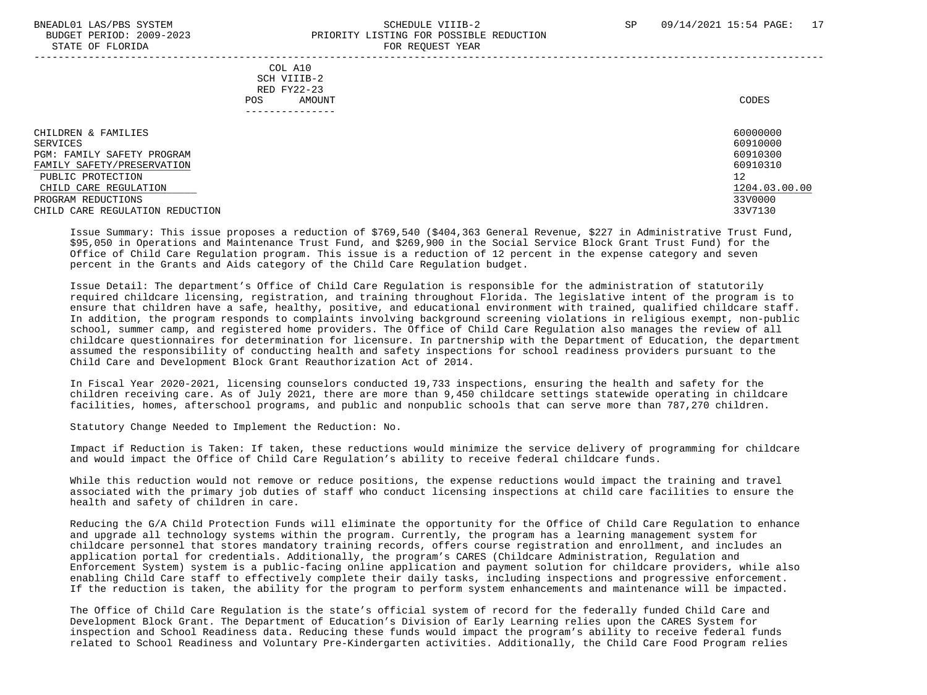### BNEADL01 LAS/PBS SYSTEM SCHEDULE VIIIB-2 SCHEDULE VIIIB-2 SP 09/14/2021 15:54 PAGE: 17 BUDGET PERIOD: 2009-2023 PRIORITY LISTING FOR POSSIBLE REDUCTION STATE OF FLORIDA FOR REQUEST YEAR FOR REQUEST YEAR

| $0.1111$ $01$ $1.10111$                                                                                                                                                                            | rok koğunu rum                                          |                                                                                           |
|----------------------------------------------------------------------------------------------------------------------------------------------------------------------------------------------------|---------------------------------------------------------|-------------------------------------------------------------------------------------------|
|                                                                                                                                                                                                    | COL A10<br>SCH VIIIB-2<br>RED FY22-23<br>AMOUNT<br>POS. | CODES                                                                                     |
| CHILDREN & FAMILIES<br>SERVICES<br>PGM: FAMILY SAFETY PROGRAM<br>FAMILY SAFETY/PRESERVATION<br>PUBLIC PROTECTION<br>CHILD CARE REGULATION<br>PROGRAM REDUCTIONS<br>CHILD CARE REGULATION REDUCTION |                                                         | 60000000<br>60910000<br>60910300<br>60910310<br>12<br>1204.03.00.00<br>33V0000<br>33V7130 |

 Issue Summary: This issue proposes a reduction of \$769,540 (\$404,363 General Revenue, \$227 in Administrative Trust Fund, \$95,050 in Operations and Maintenance Trust Fund, and \$269,900 in the Social Service Block Grant Trust Fund) for the Office of Child Care Regulation program. This issue is a reduction of 12 percent in the expense category and seven percent in the Grants and Aids category of the Child Care Regulation budget.

 Issue Detail: The department's Office of Child Care Regulation is responsible for the administration of statutorily required childcare licensing, registration, and training throughout Florida. The legislative intent of the program is to ensure that children have a safe, healthy, positive, and educational environment with trained, qualified childcare staff. In addition, the program responds to complaints involving background screening violations in religious exempt, non-public school, summer camp, and registered home providers. The Office of Child Care Regulation also manages the review of all childcare questionnaires for determination for licensure. In partnership with the Department of Education, the department assumed the responsibility of conducting health and safety inspections for school readiness providers pursuant to the Child Care and Development Block Grant Reauthorization Act of 2014.

 In Fiscal Year 2020-2021, licensing counselors conducted 19,733 inspections, ensuring the health and safety for the children receiving care. As of July 2021, there are more than 9,450 childcare settings statewide operating in childcare facilities, homes, afterschool programs, and public and nonpublic schools that can serve more than 787,270 children.

Statutory Change Needed to Implement the Reduction: No.

 Impact if Reduction is Taken: If taken, these reductions would minimize the service delivery of programming for childcare and would impact the Office of Child Care Regulation's ability to receive federal childcare funds.

 While this reduction would not remove or reduce positions, the expense reductions would impact the training and travel associated with the primary job duties of staff who conduct licensing inspections at child care facilities to ensure the health and safety of children in care.

 Reducing the G/A Child Protection Funds will eliminate the opportunity for the Office of Child Care Regulation to enhance and upgrade all technology systems within the program. Currently, the program has a learning management system for childcare personnel that stores mandatory training records, offers course registration and enrollment, and includes an application portal for credentials. Additionally, the program's CARES (Childcare Administration, Regulation and Enforcement System) system is a public-facing online application and payment solution for childcare providers, while also enabling Child Care staff to effectively complete their daily tasks, including inspections and progressive enforcement. If the reduction is taken, the ability for the program to perform system enhancements and maintenance will be impacted.

 The Office of Child Care Regulation is the state's official system of record for the federally funded Child Care and Development Block Grant. The Department of Education's Division of Early Learning relies upon the CARES System for inspection and School Readiness data. Reducing these funds would impact the program's ability to receive federal funds related to School Readiness and Voluntary Pre-Kindergarten activities. Additionally, the Child Care Food Program relies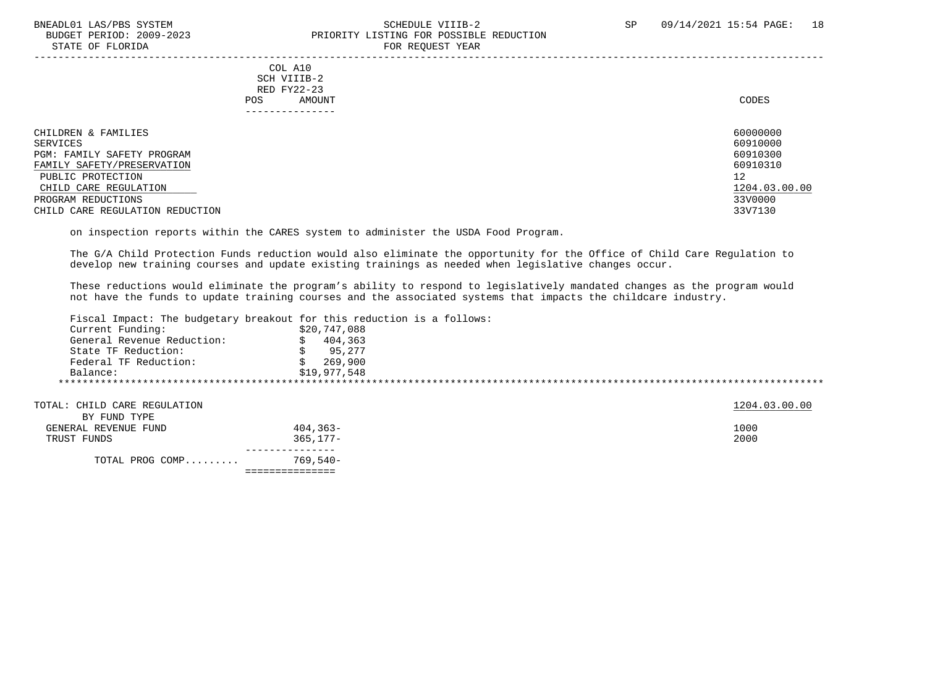### BNEADL01 LAS/PBS SYSTEM SCHEDULE VIIIB-2 SCHEDULE VIIIB-2 SP 09/14/2021 15:54 PAGE: 18<br>BUDGET PERIOD: 2009-2023 PRIORITY LISTING FOR POSSIBLE REDUCTION PRIORITY LISTING FOR POSSIBLE REDUCTION STATE OF FLORIDA FOR REQUEST YEAR FOR REQUEST YEAR

 COL A10 SCH VIIIB-2 RED FY22-23 POS AMOUNT NOTES AND AND A RESERVE AND A RESERVE AND LODGED AND LODGED AND LODGED AND LODGED AND LODGED AND LODGED AT A LODGED AND LODGED AT A LODGED AND LODGED AT A LODGED AND LODGED AT A LODGED AND LODGED AT A LODGED AND ---------------

| CHILDREN & FAMILIES             | 60000000      |
|---------------------------------|---------------|
| SERVICES                        | 60910000      |
| PGM: FAMILY SAFETY PROGRAM      | 60910300      |
| FAMILY SAFETY/PRESERVATION      | 60910310      |
| PUBLIC PROTECTION               | 12            |
| CHILD CARE REGULATION           | 1204.03.00.00 |
| PROGRAM REDUCTIONS              | 33V0000       |
| CHILD CARE REGULATION REDUCTION | 33V7130       |

on inspection reports within the CARES system to administer the USDA Food Program.

 The G/A Child Protection Funds reduction would also eliminate the opportunity for the Office of Child Care Regulation to develop new training courses and update existing trainings as needed when legislative changes occur.

 These reductions would eliminate the program's ability to respond to legislatively mandated changes as the program would not have the funds to update training courses and the associated systems that impacts the childcare industry.

Fiscal Impact: The budgetary breakout for this reduction is a follows:

| Current Funding:           | \$20,747,088 |
|----------------------------|--------------|
| General Revenue Reduction: | 404,363      |
| State TF Reduction:        | 95,277       |
| Federal TF Reduction:      | 269,900      |
| Balance:                   | \$19,977,548 |

TOTAL: CHILD CARE REGULATION 1204.03.00.00 BY FUND TYPE GENERAL REVENUE FUND 404,363- 1000 TRUST FUNDS 365,177- 2000 --------------- TOTAL PROG COMP......... 769,540- ===============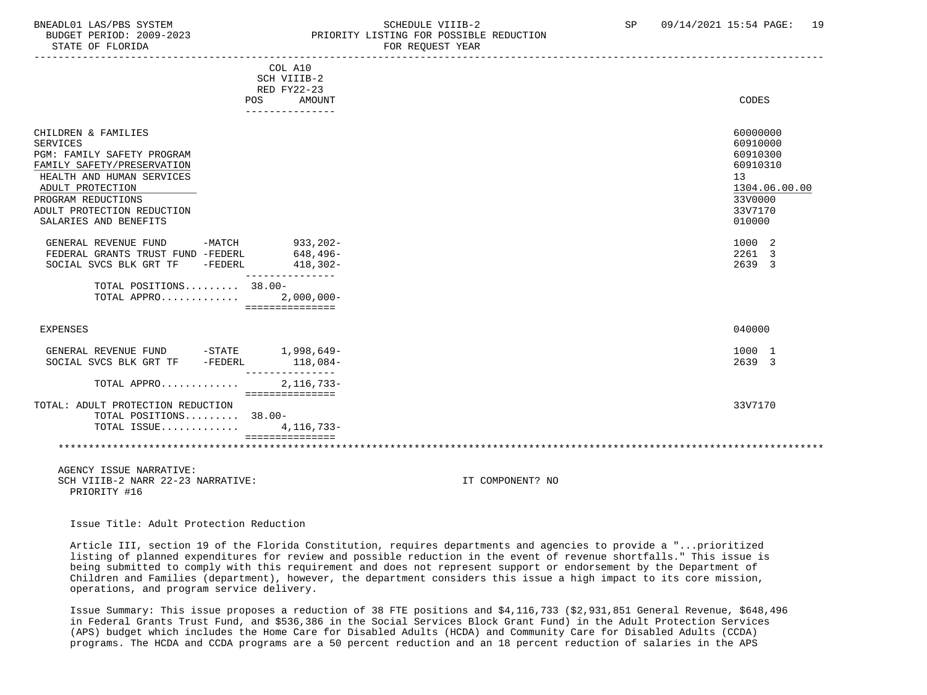#### BNEADL01 LAS/PBS SYSTEM SCHEDULE VIIIB-2 SCHEDULE VIIIB-2 SP 09/14/2021 15:54 PAGE: 19 BUDGET PERIOD: 2009-2023 PRIORITY LISTING FOR POSSIBLE REDUCTION STATE OF FLORIDA FOR REQUEST YEAR FOR REQUEST YEAR

| COL A10<br>SCH VIIIB-2<br>RED FY22-23                                                                                                                                                                                            |                                                                                                     |
|----------------------------------------------------------------------------------------------------------------------------------------------------------------------------------------------------------------------------------|-----------------------------------------------------------------------------------------------------|
| <b>AMOUNT</b><br>POS                                                                                                                                                                                                             | CODES                                                                                               |
| ---------------                                                                                                                                                                                                                  |                                                                                                     |
| CHILDREN & FAMILIES<br><b>SERVICES</b><br>PGM: FAMILY SAFETY PROGRAM<br>FAMILY SAFETY/PRESERVATION<br>HEALTH AND HUMAN SERVICES<br>ADULT PROTECTION<br>PROGRAM REDUCTIONS<br>ADULT PROTECTION REDUCTION<br>SALARIES AND BENEFITS | 60000000<br>60910000<br>60910300<br>60910310<br>13<br>1304.06.00.00<br>33V0000<br>33V7170<br>010000 |
| GENERAL REVENUE FUND<br>$-MATCH$<br>933,202-<br>$648, 496 -$<br>FEDERAL GRANTS TRUST FUND -FEDERL<br>SOCIAL SVCS BLK GRT TF<br>-FEDERL<br>$418,302-$<br>---------------<br>TOTAL POSITIONS 38.00-                                | 1000 2<br>2261 3<br>2639 3                                                                          |
| TOTAL APPRO 2,000,000-<br>===============                                                                                                                                                                                        |                                                                                                     |
| <b>EXPENSES</b>                                                                                                                                                                                                                  | 040000                                                                                              |
| GENERAL REVENUE FUND -STATE 1,998,649-<br>SOCIAL SVCS BLK GRT TF -FEDERL<br>$118,084-$<br>---------------                                                                                                                        | 1000 1<br>2639 3                                                                                    |
| 2, 116, 733-<br>TOTAL APPRO<br>===============                                                                                                                                                                                   |                                                                                                     |
| TOTAL: ADULT PROTECTION REDUCTION<br>TOTAL POSITIONS 38.00-<br>TOTAL ISSUE<br>4,116,733-<br>===============                                                                                                                      | 33V7170                                                                                             |
|                                                                                                                                                                                                                                  |                                                                                                     |
| AGENCY ISSUE NARRATIVE:<br>SCH VIIIB-2 NARR 22-23 NARRATIVE:<br>PRIORITY #16                                                                                                                                                     | IT COMPONENT? NO                                                                                    |

Issue Title: Adult Protection Reduction

 Article III, section 19 of the Florida Constitution, requires departments and agencies to provide a "...prioritized listing of planned expenditures for review and possible reduction in the event of revenue shortfalls." This issue is being submitted to comply with this requirement and does not represent support or endorsement by the Department of Children and Families (department), however, the department considers this issue a high impact to its core mission, operations, and program service delivery.

 Issue Summary: This issue proposes a reduction of 38 FTE positions and \$4,116,733 (\$2,931,851 General Revenue, \$648,496 in Federal Grants Trust Fund, and \$536,386 in the Social Services Block Grant Fund) in the Adult Protection Services (APS) budget which includes the Home Care for Disabled Adults (HCDA) and Community Care for Disabled Adults (CCDA) programs. The HCDA and CCDA programs are a 50 percent reduction and an 18 percent reduction of salaries in the APS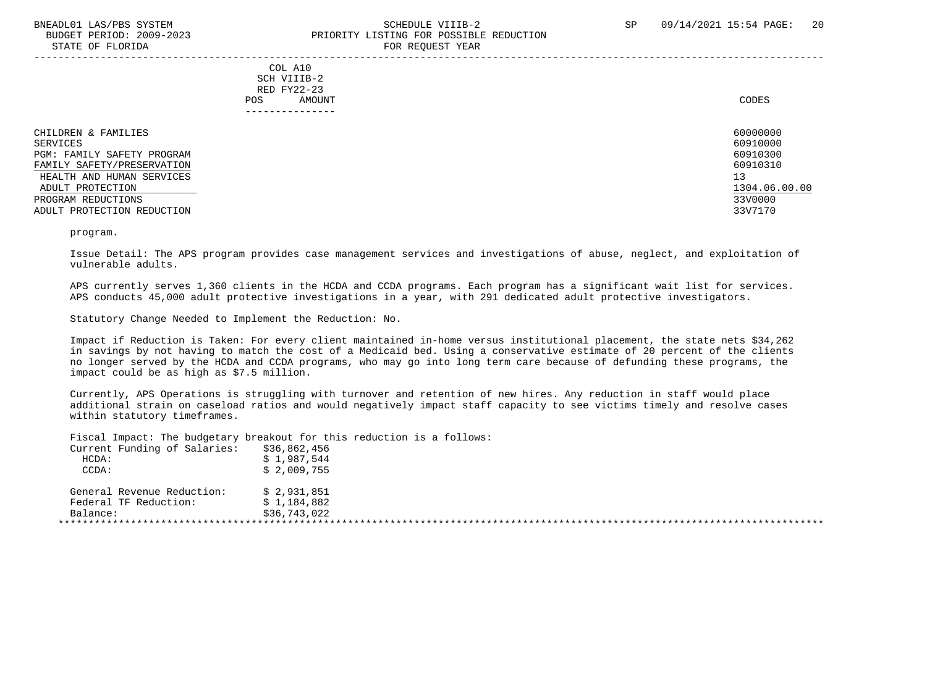STATE OF FLORIDA

# BNEADL01 LAS/PBS SYSTEM SCHEDULE VIIIB-2 SCHEDULE VIIIB-2 SP 09/14/2021 15:54 PAGE: 20 BUDGET PERIOD: 2009-2023<br>
STATE OF FLORIDA<br>
STATE OF FLORIDA

| $0.11111$ $0.1$ $1.10111$                                                                                                                                                                        | ron novel round                                                          |                                                                                           |
|--------------------------------------------------------------------------------------------------------------------------------------------------------------------------------------------------|--------------------------------------------------------------------------|-------------------------------------------------------------------------------------------|
|                                                                                                                                                                                                  | COL A10<br>SCH VIIIB-2<br>RED FY22-23<br>AMOUNT<br>POS.<br>------------- | CODES                                                                                     |
| CHILDREN & FAMILIES<br>SERVICES<br>PGM: FAMILY SAFETY PROGRAM<br>FAMILY SAFETY/PRESERVATION<br>HEALTH AND HUMAN SERVICES<br>ADULT PROTECTION<br>PROGRAM REDUCTIONS<br>ADULT PROTECTION REDUCTION |                                                                          | 60000000<br>60910000<br>60910300<br>60910310<br>13<br>1304.06.00.00<br>33V0000<br>33V7170 |

program.

 Issue Detail: The APS program provides case management services and investigations of abuse, neglect, and exploitation of vulnerable adults.

 APS currently serves 1,360 clients in the HCDA and CCDA programs. Each program has a significant wait list for services. APS conducts 45,000 adult protective investigations in a year, with 291 dedicated adult protective investigators.

Statutory Change Needed to Implement the Reduction: No.

 Impact if Reduction is Taken: For every client maintained in-home versus institutional placement, the state nets \$34,262 in savings by not having to match the cost of a Medicaid bed. Using a conservative estimate of 20 percent of the clients no longer served by the HCDA and CCDA programs, who may go into long term care because of defunding these programs, the impact could be as high as \$7.5 million.

 Currently, APS Operations is struggling with turnover and retention of new hires. Any reduction in staff would place additional strain on caseload ratios and would negatively impact staff capacity to see victims timely and resolve cases within statutory timeframes.

Fiscal Impact: The budgetary breakout for this reduction is a follows:

| Current Funding of Salaries: | \$36,862,456 |
|------------------------------|--------------|
| $HCDA$ :                     | \$1,987,544  |
| CCDA:                        | \$2,009,755  |
| General Revenue Reduction:   | \$2.931.851  |
| Federal TF Reduction:        | \$1,184,882  |
| Balance:                     | \$36,743,022 |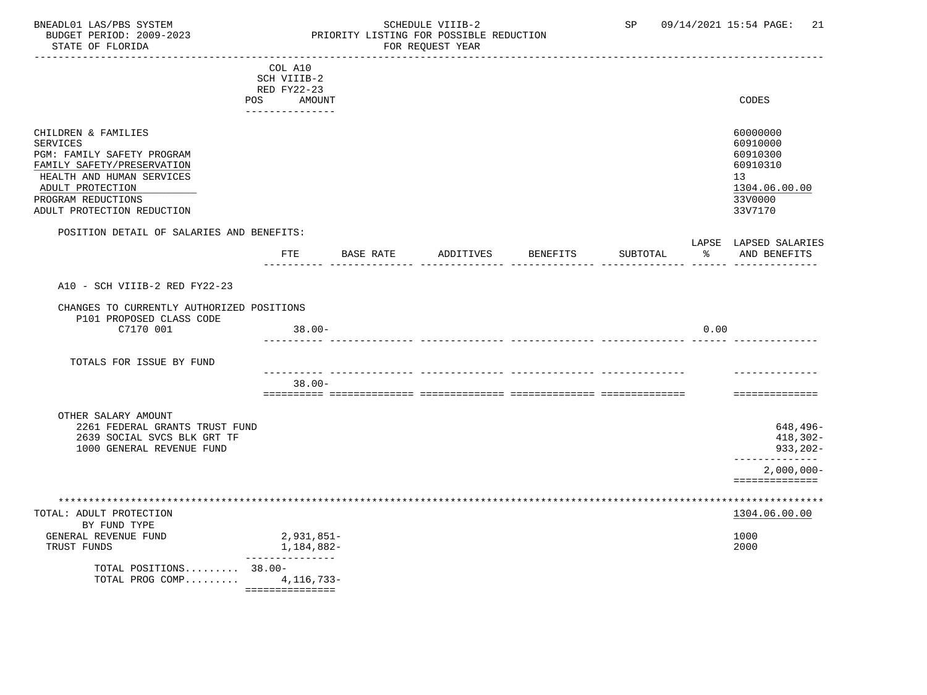### BNEADL01 LAS/PBS SYSTEM SCHEDULE VIIIB-2 SCHEDULE VIIIB-2 SP 09/14/2021 15:54 PAGE: 21 BUDGET PERIOD: 2009-2023 PRIORITY LISTING FOR POSSIBLE REDUCTION<br>FOR REQUEST YEAR FOR REQUEST YEAR

|                                                                                                                                                                                                         | COL A10<br>SCH VIIIB-2<br>RED FY22-23 |           |           |          |          |      |                                                                                           |
|---------------------------------------------------------------------------------------------------------------------------------------------------------------------------------------------------------|---------------------------------------|-----------|-----------|----------|----------|------|-------------------------------------------------------------------------------------------|
|                                                                                                                                                                                                         | POS AMOUNT<br>---------------         |           |           |          |          |      | CODES                                                                                     |
| CHILDREN & FAMILIES<br><b>SERVICES</b><br>PGM: FAMILY SAFETY PROGRAM<br>FAMILY SAFETY/PRESERVATION<br>HEALTH AND HUMAN SERVICES<br>ADULT PROTECTION<br>PROGRAM REDUCTIONS<br>ADULT PROTECTION REDUCTION |                                       |           |           |          |          |      | 60000000<br>60910000<br>60910300<br>60910310<br>13<br>1304.06.00.00<br>33V0000<br>33V7170 |
| POSITION DETAIL OF SALARIES AND BENEFITS:                                                                                                                                                               |                                       |           |           |          |          |      | LAPSE LAPSED SALARIES                                                                     |
|                                                                                                                                                                                                         | FTE                                   | BASE RATE | ADDITIVES | BENEFITS | SUBTOTAL | ႜႂ   | AND BENEFITS                                                                              |
| A10 - SCH VIIIB-2 RED FY22-23                                                                                                                                                                           |                                       |           |           |          |          |      |                                                                                           |
| CHANGES TO CURRENTLY AUTHORIZED POSITIONS<br>P101 PROPOSED CLASS CODE                                                                                                                                   |                                       |           |           |          |          |      |                                                                                           |
| C7170 001                                                                                                                                                                                               | $38.00 -$                             |           |           |          |          | 0.00 |                                                                                           |
| TOTALS FOR ISSUE BY FUND                                                                                                                                                                                |                                       |           |           |          |          |      |                                                                                           |
|                                                                                                                                                                                                         | $38.00 -$                             |           |           |          |          |      | ==============                                                                            |
| OTHER SALARY AMOUNT<br>2261 FEDERAL GRANTS TRUST FUND<br>2639 SOCIAL SVCS BLK GRT TF<br>1000 GENERAL REVENUE FUND                                                                                       |                                       |           |           |          |          |      | 648,496-<br>418,302-<br>933,202-                                                          |
|                                                                                                                                                                                                         |                                       |           |           |          |          |      | -------------<br>$2,000,000 -$<br>==============                                          |
| TOTAL: ADULT PROTECTION                                                                                                                                                                                 |                                       |           |           |          |          |      | 1304.06.00.00                                                                             |
| BY FUND TYPE<br>GENERAL REVENUE FUND<br>TRUST FUNDS                                                                                                                                                     | 2,931,851-<br>1,184,882-              |           |           |          |          |      | 1000<br>2000                                                                              |
| TOTAL POSITIONS 38.00-<br>TOTAL PROG COMP 4, 116, 733-                                                                                                                                                  | ---------------                       |           |           |          |          |      |                                                                                           |

===============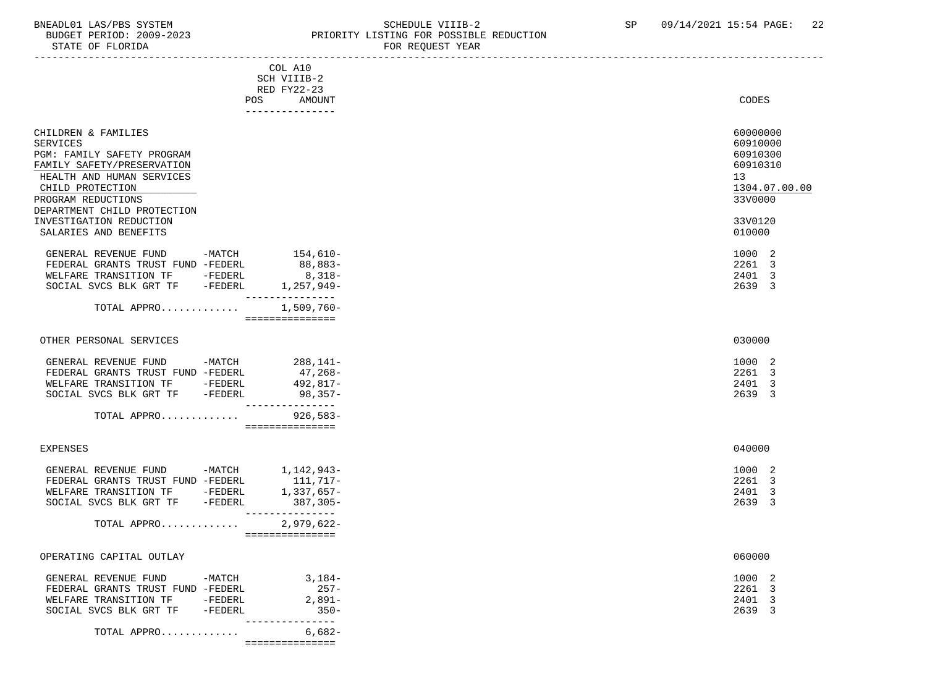### BNEADL01 LAS/PBS SYSTEM SCHEDULE VIIIB-2 SCHEDULE VIIIB-2 SP 09/14/2021 15:54 PAGE: 22<br>BUDGET PERIOD: 2009-2023 PRIORITY LISTING FOR POSSIBLE REDUCTION BUDGET PERIOD: 2009-2023<br>STATE OF FLORIDA STATE OF FLORIDA FOR REQUEST YEAR

| STATE OF FLORIDA                       |          |                                      | FOR REQUEST YEAR       |  |
|----------------------------------------|----------|--------------------------------------|------------------------|--|
|                                        |          | COL A10                              |                        |  |
|                                        |          | SCH VIIIB-2                          |                        |  |
|                                        |          | RED FY22-23                          |                        |  |
|                                        | POS      | AMOUNT<br>---------------            | CODES                  |  |
| CHILDREN & FAMILIES                    |          |                                      | 60000000               |  |
| <b>SERVICES</b>                        |          |                                      | 60910000               |  |
| PGM: FAMILY SAFETY PROGRAM             |          |                                      | 60910300               |  |
| FAMILY SAFETY/PRESERVATION             |          |                                      | 60910310               |  |
| HEALTH AND HUMAN SERVICES              |          |                                      | 13                     |  |
| CHILD PROTECTION                       |          |                                      | 1304.07.00.00          |  |
| PROGRAM REDUCTIONS                     |          |                                      | 33V0000                |  |
| DEPARTMENT CHILD PROTECTION            |          |                                      |                        |  |
| INVESTIGATION REDUCTION                |          |                                      | 33V0120                |  |
| SALARIES AND BENEFITS                  |          |                                      | 010000                 |  |
|                                        |          |                                      |                        |  |
| GENERAL REVENUE FUND                   |          | $-MATCH$ 154,610-                    | 1000 2                 |  |
| FEDERAL GRANTS TRUST FUND -FEDERL      |          | 88,883-                              | 2261 3                 |  |
| WELFARE TRANSITION TF -FEDERL          |          | $8,318-$                             | 2401 3                 |  |
| SOCIAL SVCS BLK GRT TF -FEDERL         |          | 1,257,949-<br>---------------        | 2639 3                 |  |
| TOTAL APPRO                            |          | $1,509,760 -$                        |                        |  |
|                                        |          | ===============                      |                        |  |
| OTHER PERSONAL SERVICES                |          |                                      | 030000                 |  |
| GENERAL REVENUE FUND -MATCH 288,141-   |          |                                      | 1000 2                 |  |
| FEDERAL GRANTS TRUST FUND -FEDERL      |          | 47,268-                              | 2261 3                 |  |
| WELFARE TRANSITION TF -FEDERL          |          | 492,817-                             | 2401 3                 |  |
| SOCIAL SVCS BLK GRT TF -FEDERL         |          | $98,357-$                            | 2639 3                 |  |
| TOTAL APPRO                            |          | ---------------<br>926,583-          |                        |  |
|                                        |          | ===============                      |                        |  |
|                                        |          |                                      |                        |  |
| <b>EXPENSES</b>                        |          |                                      | 040000                 |  |
| GENERAL REVENUE FUND -MATCH 1,142,943- |          |                                      | 1000 2                 |  |
| FEDERAL GRANTS TRUST FUND -FEDERL      |          |                                      | 2261 3                 |  |
| WELFARE TRANSITION TF                  | -FEDERL  | 111,717-<br>1,337.657-<br>1,337,657- | $\overline{3}$<br>2401 |  |
| SOCIAL SVCS BLK GRT TF -FEDERL         |          | 387,305-                             | 2639<br>3              |  |
| TOTAL APPRO                            |          | ---------------<br>$2,979,622-$      |                        |  |
|                                        |          | ===============                      |                        |  |
| OPERATING CAPITAL OUTLAY               |          |                                      | 060000                 |  |
| GENERAL REVENUE FUND                   | $-MATCH$ | $3,184-$                             | 1000 2                 |  |
| FEDERAL GRANTS TRUST FUND -FEDERL      |          | $257-$                               | 2261 3                 |  |
| WELFARE TRANSITION TF                  | -FEDERL  | $2,891-$                             | 2401 3                 |  |
| SOCIAL SVCS BLK GRT TF                 | -FEDERL  | $350 -$                              | 2639 3                 |  |
|                                        |          | ---------------                      |                        |  |
| TOTAL APPRO                            |          | $6,682-$                             |                        |  |
|                                        |          | ===============                      |                        |  |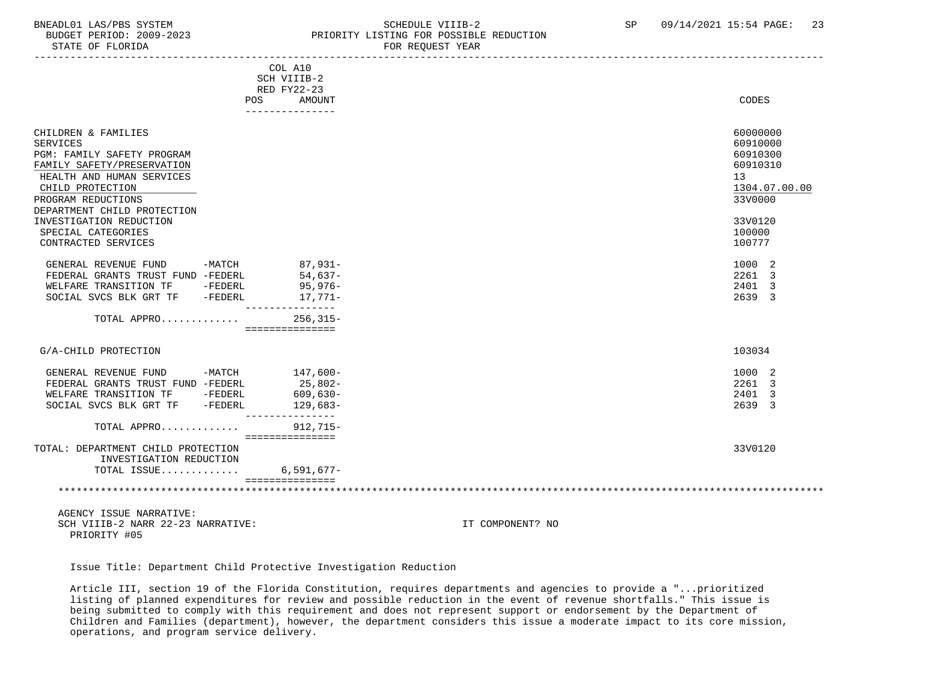STATE OF FLORIDA FOR REQUEST YEAR FOR REQUEST YEAR

### BNEADL01 LAS/PBS SYSTEM SCHEDULE VIIIB-2 SCHEDULE VIIIB-2 SP 09/14/2021 15:54 PAGE: 23 PRIORITY LISTING FOR POSSIBLE REDUCTION

|                                                                                                                                                                                                                                                                                                                                                                                                                                  | COL A10<br>SCH VIIIB-2<br>RED FY22-23                                 |                                                                                                                                                          |
|----------------------------------------------------------------------------------------------------------------------------------------------------------------------------------------------------------------------------------------------------------------------------------------------------------------------------------------------------------------------------------------------------------------------------------|-----------------------------------------------------------------------|----------------------------------------------------------------------------------------------------------------------------------------------------------|
|                                                                                                                                                                                                                                                                                                                                                                                                                                  | <b>AMOUNT</b><br><b>POS</b><br>---------------                        | CODES                                                                                                                                                    |
| CHILDREN & FAMILIES<br><b>SERVICES</b><br>PGM: FAMILY SAFETY PROGRAM<br>FAMILY SAFETY/PRESERVATION<br>HEALTH AND HUMAN SERVICES<br>CHILD PROTECTION<br>PROGRAM REDUCTIONS<br>DEPARTMENT CHILD PROTECTION<br>INVESTIGATION REDUCTION<br>SPECIAL CATEGORIES<br>CONTRACTED SERVICES<br>-MATCH<br>GENERAL REVENUE FUND<br>FEDERAL GRANTS TRUST FUND -FEDERL<br>WELFARE TRANSITION TF<br>-FEDERL<br>SOCIAL SVCS BLK GRT TF<br>-FEDERL | 87,931-<br>54,637-<br>95,976-<br>17,771-                              | 60000000<br>60910000<br>60910300<br>60910310<br>13<br>1304.07.00.00<br>33V0000<br>33V0120<br>100000<br>100777<br>1000 2<br>2261 3<br>2401<br>3<br>2639 3 |
| TOTAL APPRO                                                                                                                                                                                                                                                                                                                                                                                                                      | ------------<br>$256, 315 -$<br>===============                       |                                                                                                                                                          |
| G/A-CHILD PROTECTION                                                                                                                                                                                                                                                                                                                                                                                                             |                                                                       | 103034                                                                                                                                                   |
| GENERAL REVENUE FUND<br>-MATCH<br>FEDERAL GRANTS TRUST FUND -FEDERL<br>WELFARE TRANSITION TF<br>-FEDERL<br>SOCIAL SVCS BLK GRT TF<br>$-FEDERL$                                                                                                                                                                                                                                                                                   | 147,600-<br>25,802-<br>$609,630-$<br>129,683-                         | 1000 2<br>2261 3<br>2401 3<br>2639 3                                                                                                                     |
| TOTAL APPRO                                                                                                                                                                                                                                                                                                                                                                                                                      | . <u>_ _ _ _ _ _ _ _ _ _ _ _ _</u> _<br>$912,715-$<br>=============== |                                                                                                                                                          |
| TOTAL: DEPARTMENT CHILD PROTECTION<br>INVESTIGATION REDUCTION<br>TOTAL ISSUE                                                                                                                                                                                                                                                                                                                                                     | $6,591,677-$                                                          | 33V0120                                                                                                                                                  |
|                                                                                                                                                                                                                                                                                                                                                                                                                                  |                                                                       |                                                                                                                                                          |

 AGENCY ISSUE NARRATIVE: SCH VIIIB-2 NARR 22-23 NARRATIVE: IT COMPONENT? NO PRIORITY #05

Issue Title: Department Child Protective Investigation Reduction

 Article III, section 19 of the Florida Constitution, requires departments and agencies to provide a "...prioritized listing of planned expenditures for review and possible reduction in the event of revenue shortfalls." This issue is being submitted to comply with this requirement and does not represent support or endorsement by the Department of Children and Families (department), however, the department considers this issue a moderate impact to its core mission, operations, and program service delivery.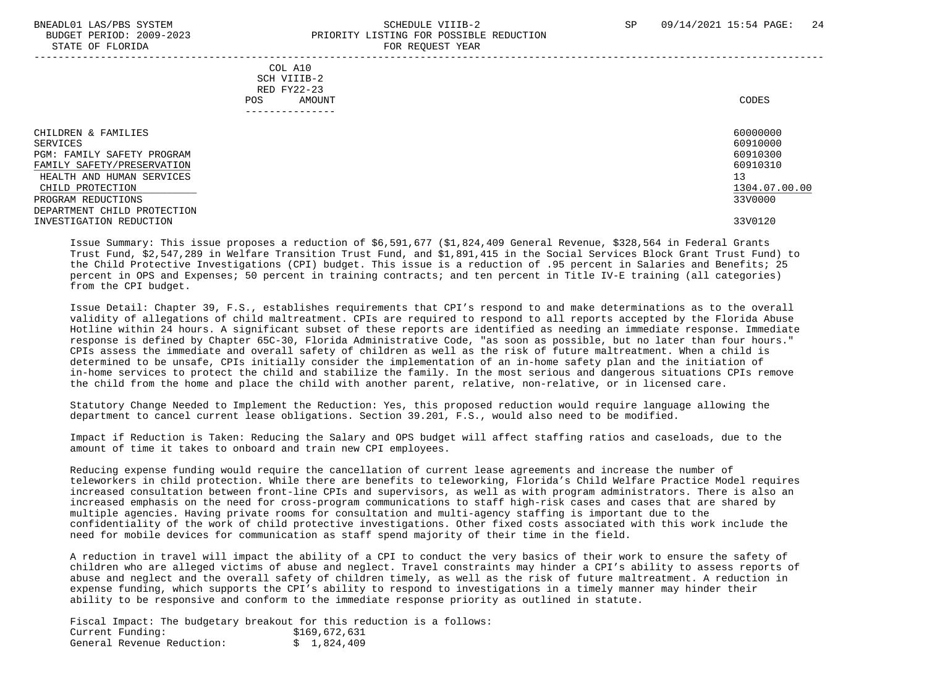STATE OF FLORIDA

# BNEADL01 LAS/PBS SYSTEM SCHEDULE VIIIB-2 SCHEDULE VIIIB-2 SP 09/14/2021 15:54 PAGE: 24 BUDGET PERIOD: 2009-2023<br>
PRIORITY LISTING FOR POSSIBLE REDUCTION<br>
FOR PEOUTEST VEAP

| ------ -- --------                                                                                                                                                                                                           | 2011112201212111                                                                 |                                                                                           |
|------------------------------------------------------------------------------------------------------------------------------------------------------------------------------------------------------------------------------|----------------------------------------------------------------------------------|-------------------------------------------------------------------------------------------|
|                                                                                                                                                                                                                              | COL A10<br>SCH VIIIB-2<br>RED FY22-23<br>AMOUNT<br><b>POS</b><br>--------------- | CODES                                                                                     |
| CHILDREN & FAMILIES<br>SERVICES<br>PGM: FAMILY SAFETY PROGRAM<br>FAMILY SAFETY/PRESERVATION<br>HEALTH AND HUMAN SERVICES<br>CHILD PROTECTION<br>PROGRAM REDUCTIONS<br>DEPARTMENT CHILD PROTECTION<br>INVESTIGATION REDUCTION |                                                                                  | 60000000<br>60910000<br>60910300<br>60910310<br>13<br>1304.07.00.00<br>33V0000<br>33V0120 |

 Issue Summary: This issue proposes a reduction of \$6,591,677 (\$1,824,409 General Revenue, \$328,564 in Federal Grants Trust Fund, \$2,547,289 in Welfare Transition Trust Fund, and \$1,891,415 in the Social Services Block Grant Trust Fund) to the Child Protective Investigations (CPI) budget. This issue is a reduction of .95 percent in Salaries and Benefits; 25 percent in OPS and Expenses; 50 percent in training contracts; and ten percent in Title IV-E training (all categories) from the CPI budget.

 Issue Detail: Chapter 39, F.S., establishes requirements that CPI's respond to and make determinations as to the overall validity of allegations of child maltreatment. CPIs are required to respond to all reports accepted by the Florida Abuse Hotline within 24 hours. A significant subset of these reports are identified as needing an immediate response. Immediate response is defined by Chapter 65C-30, Florida Administrative Code, "as soon as possible, but no later than four hours." CPIs assess the immediate and overall safety of children as well as the risk of future maltreatment. When a child is determined to be unsafe, CPIs initially consider the implementation of an in-home safety plan and the initiation of in-home services to protect the child and stabilize the family. In the most serious and dangerous situations CPIs remove the child from the home and place the child with another parent, relative, non-relative, or in licensed care.

 Statutory Change Needed to Implement the Reduction: Yes, this proposed reduction would require language allowing the department to cancel current lease obligations. Section 39.201, F.S., would also need to be modified.

 Impact if Reduction is Taken: Reducing the Salary and OPS budget will affect staffing ratios and caseloads, due to the amount of time it takes to onboard and train new CPI employees.

 Reducing expense funding would require the cancellation of current lease agreements and increase the number of teleworkers in child protection. While there are benefits to teleworking, Florida's Child Welfare Practice Model requires increased consultation between front-line CPIs and supervisors, as well as with program administrators. There is also an increased emphasis on the need for cross-program communications to staff high-risk cases and cases that are shared by multiple agencies. Having private rooms for consultation and multi-agency staffing is important due to the confidentiality of the work of child protective investigations. Other fixed costs associated with this work include the need for mobile devices for communication as staff spend majority of their time in the field.

 A reduction in travel will impact the ability of a CPI to conduct the very basics of their work to ensure the safety of children who are alleged victims of abuse and neglect. Travel constraints may hinder a CPI's ability to assess reports of abuse and neglect and the overall safety of children timely, as well as the risk of future maltreatment. A reduction in expense funding, which supports the CPI's ability to respond to investigations in a timely manner may hinder their ability to be responsive and conform to the immediate response priority as outlined in statute.

 Fiscal Impact: The budgetary breakout for this reduction is a follows: Current Funding: \$169,672,631<br>General Revenue Reduction: \$ 1.824.409 General Revenue Reduction: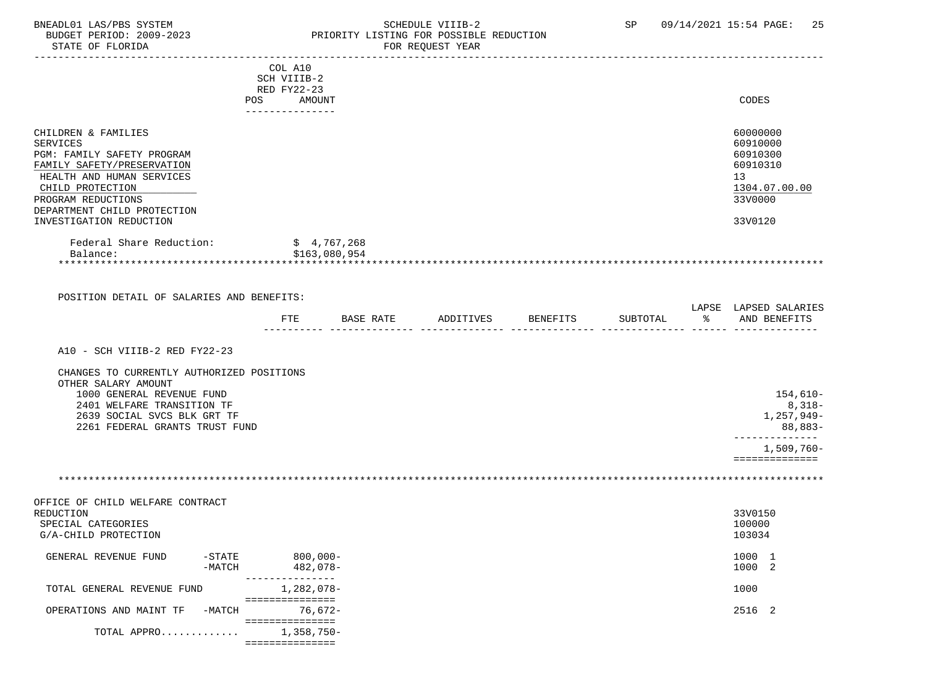### BNEADL01 LAS/PBS SYSTEM SCHEDULE VIIIB-2 SCHEDULE VIIIB-2 SP 09/14/2021 15:54 PAGE: 25<br>BUDGET PERIOD: 2009-2023 PRIORITY LISTING FOR POSSIBLE REDUCTION BUDGET PERIOD: 2009-2023 PRIORITY LISTING FOR POSSIBLE REDUCTION FOR REOUEST YEAR

|                                                                                                                                                                           |                      | COL A10<br>SCH VIIIB-2<br>RED FY22-23<br>POS AMOUNT |               |           |          |          | CODES                                                                          |
|---------------------------------------------------------------------------------------------------------------------------------------------------------------------------|----------------------|-----------------------------------------------------|---------------|-----------|----------|----------|--------------------------------------------------------------------------------|
|                                                                                                                                                                           |                      | ---------------                                     |               |           |          |          |                                                                                |
| CHILDREN & FAMILIES<br><b>SERVICES</b><br>PGM: FAMILY SAFETY PROGRAM<br>FAMILY SAFETY/PRESERVATION<br>HEALTH AND HUMAN SERVICES<br>CHILD PROTECTION<br>PROGRAM REDUCTIONS |                      |                                                     |               |           |          |          | 60000000<br>60910000<br>60910300<br>60910310<br>13<br>1304.07.00.00<br>33V0000 |
| DEPARTMENT CHILD PROTECTION<br>INVESTIGATION REDUCTION                                                                                                                    |                      |                                                     |               |           |          |          | 33V0120                                                                        |
| Federal Share Reduction:<br>Balance:                                                                                                                                      |                      | \$4,767,268                                         | \$163,080,954 |           |          |          |                                                                                |
| POSITION DETAIL OF SALARIES AND BENEFITS:                                                                                                                                 |                      |                                                     |               |           |          |          |                                                                                |
|                                                                                                                                                                           |                      | FTE                                                 | BASE RATE     | ADDITIVES | BENEFITS | SUBTOTAL | LAPSE LAPSED SALARIES<br>% AND BENEFITS                                        |
| A10 - SCH VIIIB-2 RED FY22-23<br>CHANGES TO CURRENTLY AUTHORIZED POSITIONS<br>OTHER SALARY AMOUNT<br>1000 GENERAL REVENUE FUND                                            |                      |                                                     |               |           |          |          | $154,610-$                                                                     |
| 2401 WELFARE TRANSITION TF<br>2639 SOCIAL SVCS BLK GRT TF<br>2261 FEDERAL GRANTS TRUST FUND                                                                               |                      |                                                     |               |           |          |          | $8,318-$<br>1,257,949-<br>88,883-<br>--------------                            |
|                                                                                                                                                                           |                      |                                                     |               |           |          |          | 1,509,760-<br>==============                                                   |
|                                                                                                                                                                           |                      |                                                     |               |           |          |          |                                                                                |
| OFFICE OF CHILD WELFARE CONTRACT<br>REDUCTION<br>SPECIAL CATEGORIES<br>G/A-CHILD PROTECTION                                                                               |                      |                                                     |               |           |          |          | 33V0150<br>100000<br>103034                                                    |
| GENERAL REVENUE FUND                                                                                                                                                      | $-STATE$<br>$-MATCH$ | $800,000 -$<br>482,078-                             |               |           |          |          | 1000 1<br>1000 2                                                               |
| TOTAL GENERAL REVENUE FUND                                                                                                                                                |                      | 1,282,078-<br>===============                       |               |           |          |          | 1000                                                                           |
| OPERATIONS AND MAINT TF                                                                                                                                                   | $-MATCH$             | $76,672-$<br>===============                        |               |           |          |          | 2516 2                                                                         |
| TOTAL APPRO                                                                                                                                                               |                      | $1,358,750-$<br>===============                     |               |           |          |          |                                                                                |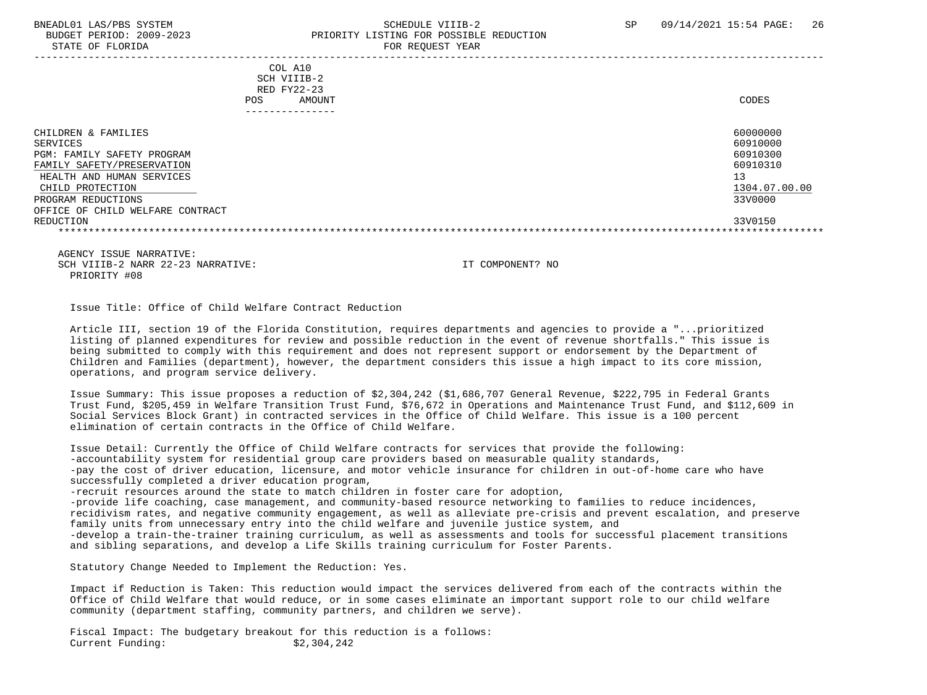#### BNEADL01 LAS/PBS SYSTEM SCHEDULE VIIIB-2 SCHEDULE VIIIB-2 SP 09/14/2021 15:54 PAGE: 26 BUDGET PERIOD: 2009-2023 PRIORITY LISTING FOR POSSIBLE REDUCTION STATE OF FLORIDA FOR REQUEST YEAR FOR REQUEST THAT THE REDUCT OF STATE OF STATE OF STATE OF STATE OF STATE OF STATE OF STATE OF STATE OF STATE OF STATE OF STATE OF STATE OF STATE OF STATE OF STATE OF STATE OF STATE OF STAT

| COL A10<br>SCH VIIIB-2<br>RED FY22-23<br>AMOUNT<br>POS.                                                                                                                                                | CODES                                                                                     |
|--------------------------------------------------------------------------------------------------------------------------------------------------------------------------------------------------------|-------------------------------------------------------------------------------------------|
| CHILDREN & FAMILIES<br>SERVICES<br>PGM: FAMILY SAFETY PROGRAM<br>FAMILY SAFETY/PRESERVATION<br>HEALTH AND HUMAN SERVICES<br>CHILD PROTECTION<br>PROGRAM REDUCTIONS<br>OFFICE OF CHILD WELFARE CONTRACT | 60000000<br>60910000<br>60910300<br>60910310<br>13<br>1304.07.00.00<br>33V0000<br>33V0150 |
| REDUCTION                                                                                                                                                                                              |                                                                                           |

 AGENCY ISSUE NARRATIVE: SCH VIIIB-2 NARR 22-23 NARRATIVE: IT COMPONENT? NO PRIORITY #08

Issue Title: Office of Child Welfare Contract Reduction

 Article III, section 19 of the Florida Constitution, requires departments and agencies to provide a "...prioritized listing of planned expenditures for review and possible reduction in the event of revenue shortfalls." This issue is being submitted to comply with this requirement and does not represent support or endorsement by the Department of Children and Families (department), however, the department considers this issue a high impact to its core mission, operations, and program service delivery.

 Issue Summary: This issue proposes a reduction of \$2,304,242 (\$1,686,707 General Revenue, \$222,795 in Federal Grants Trust Fund, \$205,459 in Welfare Transition Trust Fund, \$76,672 in Operations and Maintenance Trust Fund, and \$112,609 in Social Services Block Grant) in contracted services in the Office of Child Welfare. This issue is a 100 percent elimination of certain contracts in the Office of Child Welfare.

 Issue Detail: Currently the Office of Child Welfare contracts for services that provide the following: -accountability system for residential group care providers based on measurable quality standards, -pay the cost of driver education, licensure, and motor vehicle insurance for children in out-of-home care who have successfully completed a driver education program, -recruit resources around the state to match children in foster care for adoption, -provide life coaching, case management, and community-based resource networking to families to reduce incidences, recidivism rates, and negative community engagement, as well as alleviate pre-crisis and prevent escalation, and preserve family units from unnecessary entry into the child welfare and juvenile justice system, and -develop a train-the-trainer training curriculum, as well as assessments and tools for successful placement transitions and sibling separations, and develop a Life Skills training curriculum for Foster Parents.

Statutory Change Needed to Implement the Reduction: Yes.

 Impact if Reduction is Taken: This reduction would impact the services delivered from each of the contracts within the Office of Child Welfare that would reduce, or in some cases eliminate an important support role to our child welfare community (department staffing, community partners, and children we serve).

 Fiscal Impact: The budgetary breakout for this reduction is a follows: Current Funding: \$2,304,242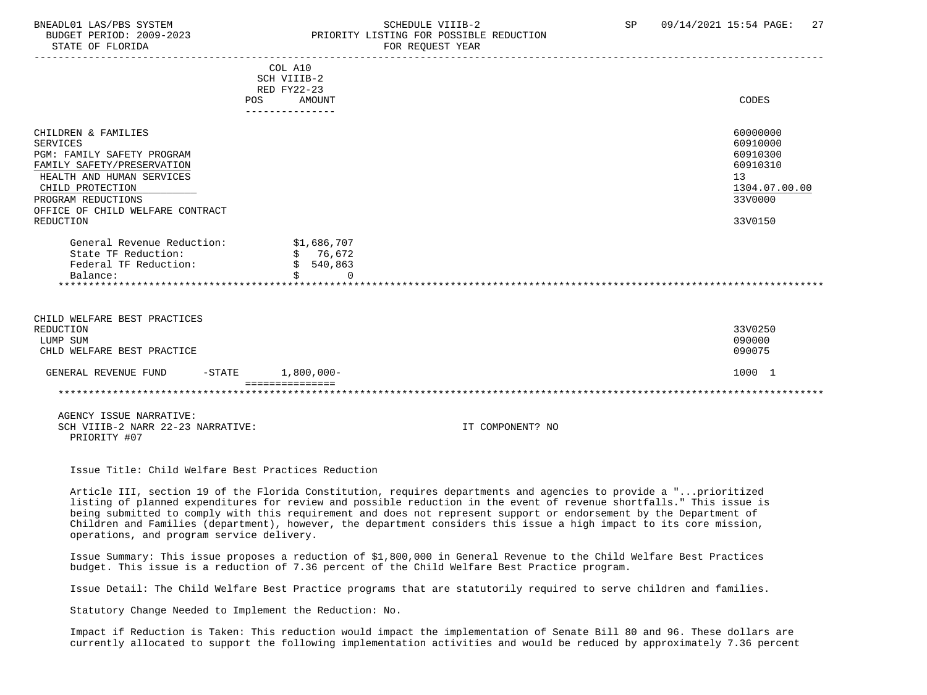#### BNEADL01 LAS/PBS SYSTEM SCHEDULE VIIIB-2 SCHEDULE VIIIB-2 SP 09/14/2021 15:54 PAGE: 27 BUDGET PERIOD: 2009-2023 PRIORITY LISTING FOR POSSIBLE REDUCTION STATE OF FLORIDA **FOR REQUEST YEAR**

|                                                                                                                                                                                                                            | POS | COL A10<br>SCH VIIIB-2<br>RED FY22-23<br>AMOUNT<br>--------------- |                  | CODES                                                                                     |
|----------------------------------------------------------------------------------------------------------------------------------------------------------------------------------------------------------------------------|-----|--------------------------------------------------------------------|------------------|-------------------------------------------------------------------------------------------|
| CHILDREN & FAMILIES<br><b>SERVICES</b><br>PGM: FAMILY SAFETY PROGRAM<br>FAMILY SAFETY/PRESERVATION<br>HEALTH AND HUMAN SERVICES<br>CHILD PROTECTION<br>PROGRAM REDUCTIONS<br>OFFICE OF CHILD WELFARE CONTRACT<br>REDUCTION |     |                                                                    |                  | 60000000<br>60910000<br>60910300<br>60910310<br>13<br>1304.07.00.00<br>33V0000<br>33V0150 |
| General Revenue Reduction:<br>State TF Reduction:<br>Federal TF Reduction:<br>Balance:                                                                                                                                     |     | \$1,686,707<br>\$76,672<br>\$540,863<br>Ś.<br>$\Omega$             |                  |                                                                                           |
| CHILD WELFARE BEST PRACTICES<br>REDUCTION<br>LUMP SUM<br>CHLD WELFARE BEST PRACTICE                                                                                                                                        |     |                                                                    |                  | 33V0250<br>090000<br>090075                                                               |
| GENERAL REVENUE FUND<br>$-$ STATE                                                                                                                                                                                          |     | $1,800,000 -$<br>---------------                                   |                  | 1000 1                                                                                    |
|                                                                                                                                                                                                                            |     |                                                                    |                  |                                                                                           |
| AGENCY ISSUE NARRATIVE:<br>SCH VIIIB-2 NARR 22-23 NARRATIVE:<br>PRIORITY #07                                                                                                                                               |     |                                                                    | IT COMPONENT? NO |                                                                                           |

Issue Title: Child Welfare Best Practices Reduction

 Article III, section 19 of the Florida Constitution, requires departments and agencies to provide a "...prioritized listing of planned expenditures for review and possible reduction in the event of revenue shortfalls." This issue is being submitted to comply with this requirement and does not represent support or endorsement by the Department of Children and Families (department), however, the department considers this issue a high impact to its core mission, operations, and program service delivery.

 Issue Summary: This issue proposes a reduction of \$1,800,000 in General Revenue to the Child Welfare Best Practices budget. This issue is a reduction of 7.36 percent of the Child Welfare Best Practice program.

Issue Detail: The Child Welfare Best Practice programs that are statutorily required to serve children and families.

Statutory Change Needed to Implement the Reduction: No.

 Impact if Reduction is Taken: This reduction would impact the implementation of Senate Bill 80 and 96. These dollars are currently allocated to support the following implementation activities and would be reduced by approximately 7.36 percent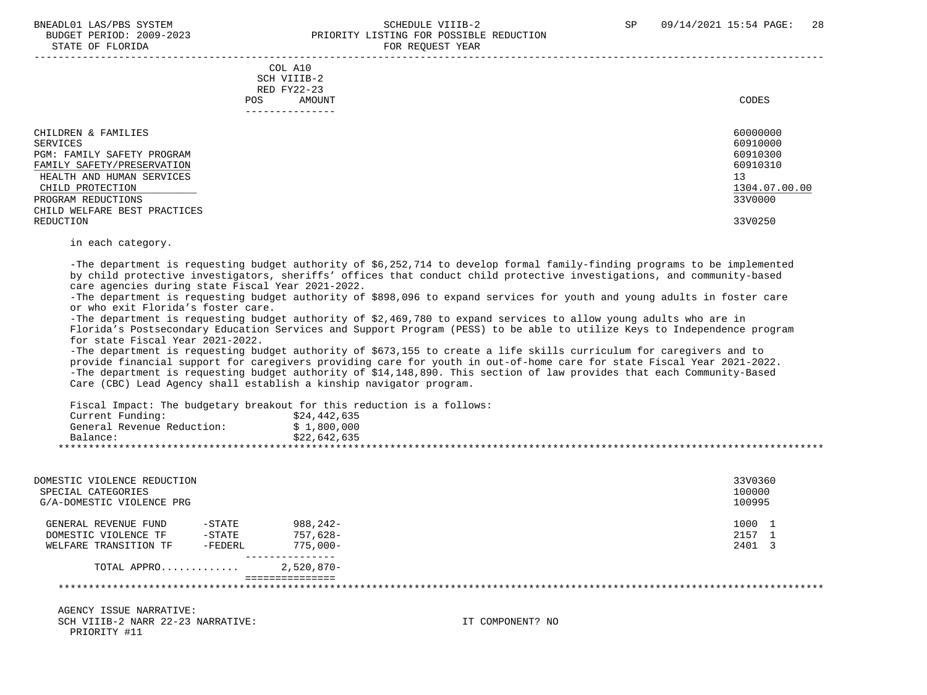STATE OF FLORIDA

# BNEADL01 LAS/PBS SYSTEM SCHEDULE VIIIB-2 SCHEDULE VIIIB-2 SP 09/14/2021 15:54 PAGE: 28 BUDGET PERIOD: 2009-2023<br>
STATE OF FLORIDA

|                                                                                                                                                                                                                 | COL A10<br>SCH VIIIB-2<br>RED FY22-23<br>AMOUNT<br>POS<br>-------------- | CODES                                                                                     |
|-----------------------------------------------------------------------------------------------------------------------------------------------------------------------------------------------------------------|--------------------------------------------------------------------------|-------------------------------------------------------------------------------------------|
| CHILDREN & FAMILIES<br>SERVICES<br>PGM: FAMILY SAFETY PROGRAM<br>FAMILY SAFETY/PRESERVATION<br>HEALTH AND HUMAN SERVICES<br>CHILD PROTECTION<br>PROGRAM REDUCTIONS<br>CHILD WELFARE BEST PRACTICES<br>REDUCTION |                                                                          | 60000000<br>60910000<br>60910300<br>60910310<br>13<br>1304.07.00.00<br>33V0000<br>33V0250 |

in each category.

 -The department is requesting budget authority of \$6,252,714 to develop formal family-finding programs to be implemented by child protective investigators, sheriffs' offices that conduct child protective investigations, and community-based care agencies during state Fiscal Year 2021-2022.

 -The department is requesting budget authority of \$898,096 to expand services for youth and young adults in foster care or who exit Florida's foster care.

 -The department is requesting budget authority of \$2,469,780 to expand services to allow young adults who are in Florida's Postsecondary Education Services and Support Program (PESS) to be able to utilize Keys to Independence program for state Fiscal Year 2021-2022.

 -The department is requesting budget authority of \$673,155 to create a life skills curriculum for caregivers and to provide financial support for caregivers providing care for youth in out-of-home care for state Fiscal Year 2021-2022. -The department is requesting budget authority of \$14,148,890. This section of law provides that each Community-Based Care (CBC) Lead Agency shall establish a kinship navigator program.

Fiscal Impact: The budgetary breakout for this reduction is a follows:

| Current Funding:           | \$24,442,635 |
|----------------------------|--------------|
| General Revenue Reduction: | L,800,000    |
| Balance:                   | \$22.642.635 |
|                            |              |

| DOMESTIC VIOLENCE REDUCTION<br>SPECIAL CATEGORIES<br>G/A-DOMESTIC VIOLENCE PRG |           |              | 33V0360<br>100000<br>100995 |  |
|--------------------------------------------------------------------------------|-----------|--------------|-----------------------------|--|
| GENERAL REVENUE FUND                                                           | $-$ STATE | $988.242 -$  | 1000 1                      |  |
| DOMESTIC VIOLENCE TF                                                           | $-$ STATE | 757,628-     | 2157                        |  |
| WELFARE TRANSITION TF                                                          | -FEDERL   | $775.000 -$  | 2401 3                      |  |
| TOTAL APPRO                                                                    |           | $2,520,870-$ |                             |  |
|                                                                                |           |              |                             |  |
|                                                                                |           |              |                             |  |

 AGENCY ISSUE NARRATIVE: SCH VIIIB-2 NARR 22-23 NARRATIVE: IT COMPONENT? NO PRIORITY #11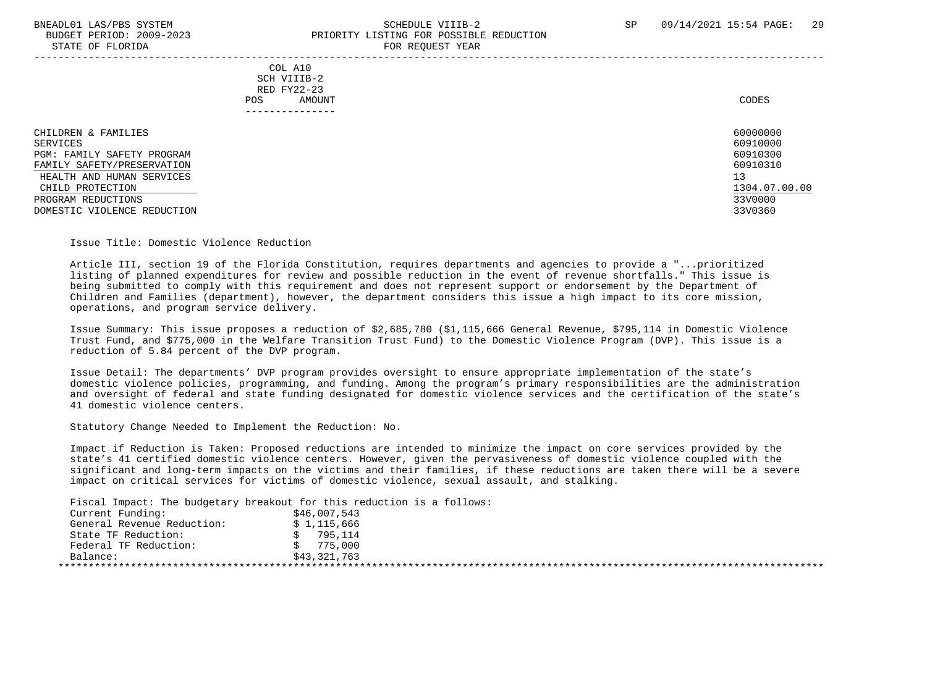### BNEADL01 LAS/PBS SYSTEM SCHEDULE VIIIB-2 SCHEDULE VIIIB-2 SP 09/14/2021 15:54 PAGE: 29 BUDGET PERIOD: 2009-2023 PRIORITY LISTING FOR POSSIBLE REDUCTION STATE OF FLORIDA **FOR REQUIRING THE STATE OF FORE**

|                                                                                             | COL A10<br>SCH VIIIB-2<br>RED FY22-23<br>AMOUNT<br>POS. | CODES                                        |
|---------------------------------------------------------------------------------------------|---------------------------------------------------------|----------------------------------------------|
| CHILDREN & FAMILIES<br>SERVICES<br>PGM: FAMILY SAFETY PROGRAM<br>FAMILY SAFETY/PRESERVATION |                                                         | 60000000<br>60910000<br>60910300<br>60910310 |
| HEALTH AND HUMAN SERVICES<br>CHILD PROTECTION<br>PROGRAM REDUCTIONS                         |                                                         | 13<br>1304.07.00.00<br>33V0000               |
| DOMESTIC VIOLENCE REDUCTION                                                                 |                                                         | 33V0360                                      |

Issue Title: Domestic Violence Reduction

 Article III, section 19 of the Florida Constitution, requires departments and agencies to provide a "...prioritized listing of planned expenditures for review and possible reduction in the event of revenue shortfalls." This issue is being submitted to comply with this requirement and does not represent support or endorsement by the Department of Children and Families (department), however, the department considers this issue a high impact to its core mission, operations, and program service delivery.

 Issue Summary: This issue proposes a reduction of \$2,685,780 (\$1,115,666 General Revenue, \$795,114 in Domestic Violence Trust Fund, and \$775,000 in the Welfare Transition Trust Fund) to the Domestic Violence Program (DVP). This issue is a reduction of 5.84 percent of the DVP program.

 Issue Detail: The departments' DVP program provides oversight to ensure appropriate implementation of the state's domestic violence policies, programming, and funding. Among the program's primary responsibilities are the administration and oversight of federal and state funding designated for domestic violence services and the certification of the state's 41 domestic violence centers.

Statutory Change Needed to Implement the Reduction: No.

 Impact if Reduction is Taken: Proposed reductions are intended to minimize the impact on core services provided by the state's 41 certified domestic violence centers. However, given the pervasiveness of domestic violence coupled with the significant and long-term impacts on the victims and their families, if these reductions are taken there will be a severe impact on critical services for victims of domestic violence, sexual assault, and stalking.

Fiscal Impact: The budgetary breakout for this reduction is a follows:

| Current Funding:           | \$46,007,543 |
|----------------------------|--------------|
| General Revenue Reduction: | \$1,115,666  |
| State TF Reduction:        | 795,114      |
| Federal TF Reduction:      | 775,000      |
| Balance:                   | \$43,321,763 |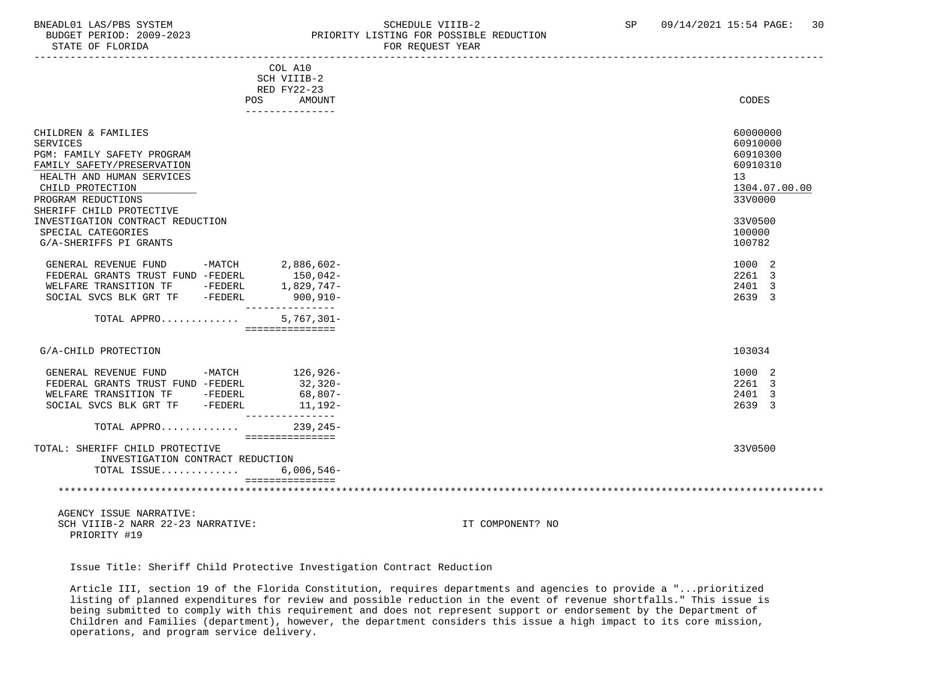### BNEADL01 LAS/PBS SYSTEM SCHEDULE VIIIB-2 SCHEDULE VIIIB-2 SP 09/14/2021 15:54 PAGE: 30 BUDGET PERIOD: 2009-2023 PRIORITY LISTING FOR POSSIBLE REDUCTION<br>STATE OF FLORIDA PERIORIC PERIOR REGUEST YEAR FOR REQUEST YEAR

|                                                                     | COL A10<br>SCH VIIIB-2<br>RED FY22-23 |                        |
|---------------------------------------------------------------------|---------------------------------------|------------------------|
| POS                                                                 | AMOUNT                                | CODES                  |
|                                                                     | ---------------                       |                        |
|                                                                     |                                       |                        |
| CHILDREN & FAMILIES                                                 |                                       | 60000000               |
| <b>SERVICES</b>                                                     |                                       | 60910000               |
| PGM: FAMILY SAFETY PROGRAM                                          |                                       | 60910300               |
| FAMILY SAFETY/PRESERVATION                                          |                                       | 60910310               |
| HEALTH AND HUMAN SERVICES                                           |                                       | 13                     |
| CHILD PROTECTION                                                    |                                       | 1304.07.00.00          |
| PROGRAM REDUCTIONS                                                  |                                       | 33V0000                |
| SHERIFF CHILD PROTECTIVE                                            |                                       |                        |
| INVESTIGATION CONTRACT REDUCTION                                    |                                       | 33V0500                |
| SPECIAL CATEGORIES                                                  |                                       | 100000                 |
| G/A-SHERIFFS PI GRANTS                                              |                                       | 100782                 |
| GENERAL REVENUE FUND<br>$-MATCH$                                    | 2,886,602-                            | 1000 2                 |
| FEDERAL GRANTS TRUST FUND -FEDERL                                   | 150,042-                              | 2261 3                 |
| WELFARE TRANSITION TF -FEDERL                                       | 1,829,747-                            | 2401<br>$\overline{3}$ |
| SOCIAL SVCS BLK GRT TF -FEDERL                                      | $900, 910 -$                          | 2639 3                 |
|                                                                     | . <u>.</u> .                          |                        |
| TOTAL APPRO                                                         | $5,767,301 -$                         |                        |
|                                                                     | ===============                       |                        |
| G/A-CHILD PROTECTION                                                |                                       | 103034                 |
|                                                                     |                                       |                        |
| GENERAL REVENUE FUND<br>-MATCH                                      | 126,926-                              | 1000 2                 |
| FEDERAL GRANTS TRUST FUND -FEDERL                                   | 32,320-                               | 2261 3                 |
| WELFARE TRANSITION TF -FEDERL                                       | 68,807-                               | 2401<br>3              |
| SOCIAL SVCS BLK GRT TF<br>-FEDERL                                   | 11,192-<br>_______________            | 2639 3                 |
| TOTAL APPRO                                                         | $239, 245 -$                          |                        |
|                                                                     | ===============                       |                        |
| TOTAL: SHERIFF CHILD PROTECTIVE<br>INVESTIGATION CONTRACT REDUCTION |                                       | 33V0500                |
| TOTAL ISSUE                                                         | $6,006,546-$                          |                        |
|                                                                     | ===============                       |                        |
|                                                                     |                                       |                        |
|                                                                     |                                       |                        |
| AGENCY ISSUE NARRATIVE:                                             |                                       |                        |

SCH VIIIB-2 NARR 22-23 NARRATIVE: IT COMPONENT? NO PRIORITY #19

Issue Title: Sheriff Child Protective Investigation Contract Reduction

 Article III, section 19 of the Florida Constitution, requires departments and agencies to provide a "...prioritized listing of planned expenditures for review and possible reduction in the event of revenue shortfalls." This issue is being submitted to comply with this requirement and does not represent support or endorsement by the Department of Children and Families (department), however, the department considers this issue a high impact to its core mission, operations, and program service delivery.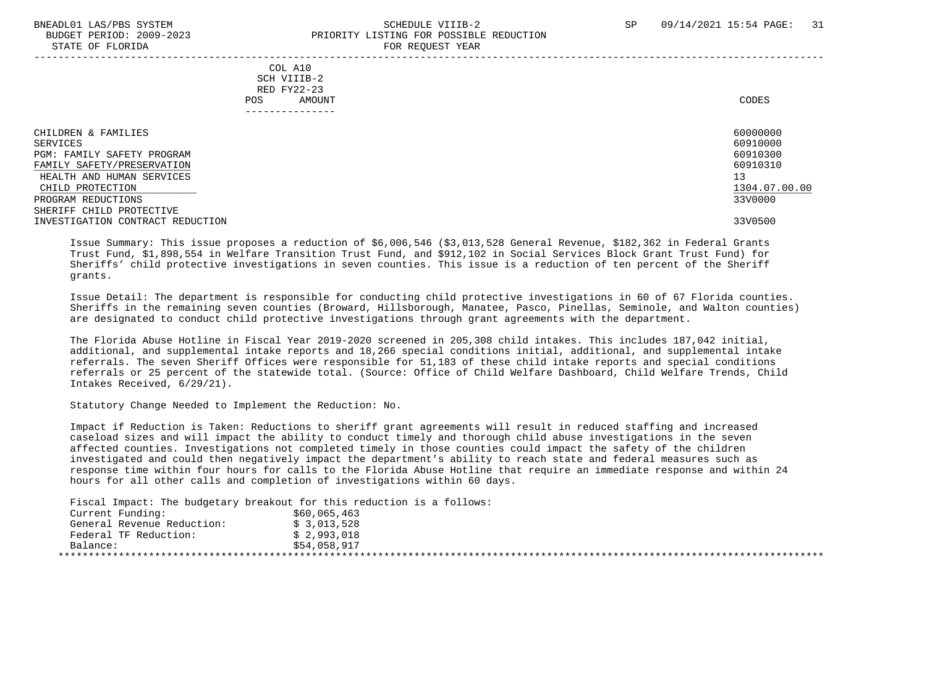# BNEADL01 LAS/PBS SYSTEM SCHEDULE VIIIB-2 SCHEDULE VIIIB-2 SP 09/14/2021 15:54 PAGE: 31 BUDGET PERIOD: 2009-2023 PRIORITY LISTING FOR POSSIBLE REDUCTION

| STATE OF FLORIDA                                                                                                                                                                               |                                                                          | FOR REQUEST YEAR |                                                                                |
|------------------------------------------------------------------------------------------------------------------------------------------------------------------------------------------------|--------------------------------------------------------------------------|------------------|--------------------------------------------------------------------------------|
|                                                                                                                                                                                                | COL A10<br>SCH VIIIB-2<br>RED FY22-23<br>AMOUNT<br>POS.<br>------------- |                  | CODES                                                                          |
| CHILDREN & FAMILIES<br>SERVICES<br>PGM: FAMILY SAFETY PROGRAM<br>FAMILY SAFETY/PRESERVATION<br>HEALTH AND HUMAN SERVICES<br>CHILD PROTECTION<br>PROGRAM REDUCTIONS<br>SHERIFF CHILD PROTECTIVE |                                                                          |                  | 60000000<br>60910000<br>60910300<br>60910310<br>13<br>1304.07.00.00<br>33V0000 |
| INVESTIGATION CONTRACT REDUCTION                                                                                                                                                               |                                                                          |                  | 33V0500                                                                        |

 Issue Summary: This issue proposes a reduction of \$6,006,546 (\$3,013,528 General Revenue, \$182,362 in Federal Grants Trust Fund, \$1,898,554 in Welfare Transition Trust Fund, and \$912,102 in Social Services Block Grant Trust Fund) for Sheriffs' child protective investigations in seven counties. This issue is a reduction of ten percent of the Sheriff grants.

 Issue Detail: The department is responsible for conducting child protective investigations in 60 of 67 Florida counties. Sheriffs in the remaining seven counties (Broward, Hillsborough, Manatee, Pasco, Pinellas, Seminole, and Walton counties) are designated to conduct child protective investigations through grant agreements with the department.

 The Florida Abuse Hotline in Fiscal Year 2019-2020 screened in 205,308 child intakes. This includes 187,042 initial, additional, and supplemental intake reports and 18,266 special conditions initial, additional, and supplemental intake referrals. The seven Sheriff Offices were responsible for 51,183 of these child intake reports and special conditions referrals or 25 percent of the statewide total. (Source: Office of Child Welfare Dashboard, Child Welfare Trends, Child Intakes Received, 6/29/21).

Statutory Change Needed to Implement the Reduction: No.

 Impact if Reduction is Taken: Reductions to sheriff grant agreements will result in reduced staffing and increased caseload sizes and will impact the ability to conduct timely and thorough child abuse investigations in the seven affected counties. Investigations not completed timely in those counties could impact the safety of the children investigated and could then negatively impact the department's ability to reach state and federal measures such as response time within four hours for calls to the Florida Abuse Hotline that require an immediate response and within 24 hours for all other calls and completion of investigations within 60 days.

Fiscal Impact: The budgetary breakout for this reduction is a follows:

| \$60,065,463 |
|--------------|
| \$3,013,528  |
| \$2,993,018  |
| \$54,058,917 |
|              |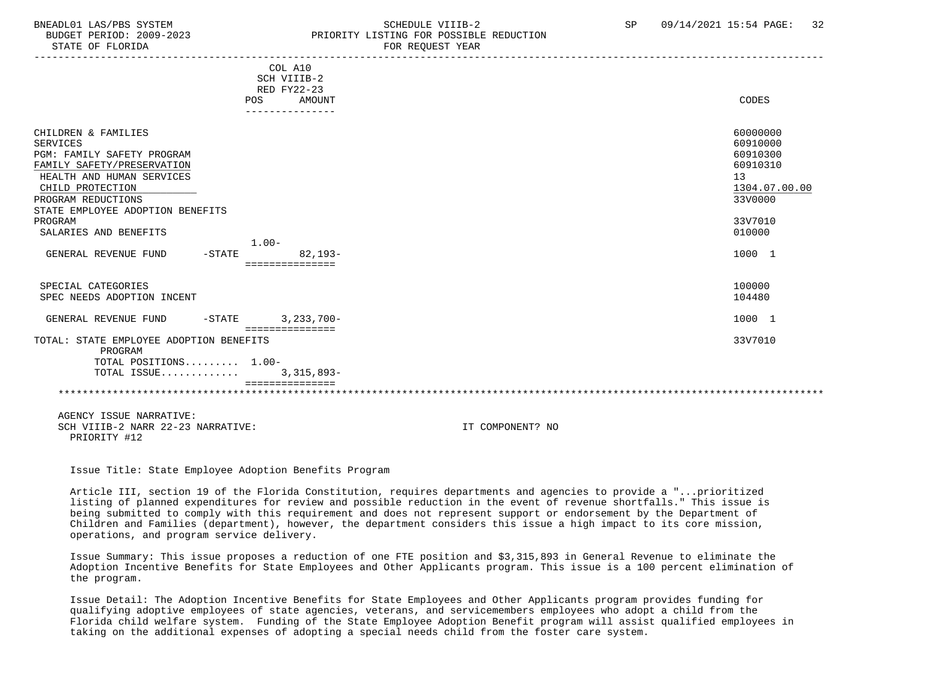### BNEADL01 LAS/PBS SYSTEM SCHEDULE VIIIB-2 SCHEDULE VIIIB-2 SP 09/14/2021 15:54 PAGE: 32 BUDGET PERIOD: 2009-2023 PRIORITY LISTING FOR POSSIBLE REDUCTION

|                                                   | POS      | COL A10<br>SCH VIIIB-2<br>RED FY22-23<br>AMOUNT |                  |  | CODES         |
|---------------------------------------------------|----------|-------------------------------------------------|------------------|--|---------------|
|                                                   |          |                                                 |                  |  |               |
|                                                   |          |                                                 |                  |  |               |
| CHILDREN & FAMILIES                               |          |                                                 |                  |  | 60000000      |
| <b>SERVICES</b>                                   |          |                                                 |                  |  | 60910000      |
| PGM: FAMILY SAFETY PROGRAM                        |          |                                                 |                  |  | 60910300      |
| FAMILY SAFETY/PRESERVATION                        |          |                                                 |                  |  | 60910310      |
| HEALTH AND HUMAN SERVICES                         |          |                                                 |                  |  | 13            |
| CHILD PROTECTION                                  |          |                                                 |                  |  | 1304.07.00.00 |
| PROGRAM REDUCTIONS                                |          |                                                 |                  |  | 33V0000       |
| STATE EMPLOYEE ADOPTION BENEFITS                  |          |                                                 |                  |  |               |
| PROGRAM                                           |          |                                                 |                  |  | 33V7010       |
| SALARIES AND BENEFITS                             |          |                                                 |                  |  | 010000        |
|                                                   | $1.00 -$ |                                                 |                  |  |               |
| GENERAL REVENUE FUND<br>$-STATE$                  |          | $82.193-$                                       |                  |  | 1000 1        |
|                                                   |          | ===============                                 |                  |  |               |
|                                                   |          |                                                 |                  |  |               |
| SPECIAL CATEGORIES                                |          |                                                 |                  |  | 100000        |
| SPEC NEEDS ADOPTION INCENT                        |          |                                                 |                  |  | 104480        |
|                                                   |          |                                                 |                  |  |               |
| GENERAL REVENUE FUND                              | $-STATE$ | $3,233,700-$                                    |                  |  | 1000 1        |
|                                                   |          | ===============                                 |                  |  |               |
| TOTAL: STATE EMPLOYEE ADOPTION BENEFITS           |          |                                                 |                  |  | 33V7010       |
| PROGRAM                                           |          |                                                 |                  |  |               |
| TOTAL POSITIONS 1.00-                             |          |                                                 |                  |  |               |
| TOTAL ISSUE                                       |          | $3,315,893-$                                    |                  |  |               |
|                                                   |          |                                                 |                  |  |               |
|                                                   |          |                                                 |                  |  |               |
| AGENCY ISSUE NARRATIVE:                           |          |                                                 |                  |  |               |
| SCH VIIIB-2 NARR 22-23 NARRATIVE:<br>PRIORITY #12 |          |                                                 | IT COMPONENT? NO |  |               |

Issue Title: State Employee Adoption Benefits Program

 Article III, section 19 of the Florida Constitution, requires departments and agencies to provide a "...prioritized listing of planned expenditures for review and possible reduction in the event of revenue shortfalls." This issue is being submitted to comply with this requirement and does not represent support or endorsement by the Department of Children and Families (department), however, the department considers this issue a high impact to its core mission, operations, and program service delivery.

 Issue Summary: This issue proposes a reduction of one FTE position and \$3,315,893 in General Revenue to eliminate the Adoption Incentive Benefits for State Employees and Other Applicants program. This issue is a 100 percent elimination of the program.

 Issue Detail: The Adoption Incentive Benefits for State Employees and Other Applicants program provides funding for qualifying adoptive employees of state agencies, veterans, and servicemembers employees who adopt a child from the Florida child welfare system. Funding of the State Employee Adoption Benefit program will assist qualified employees in taking on the additional expenses of adopting a special needs child from the foster care system.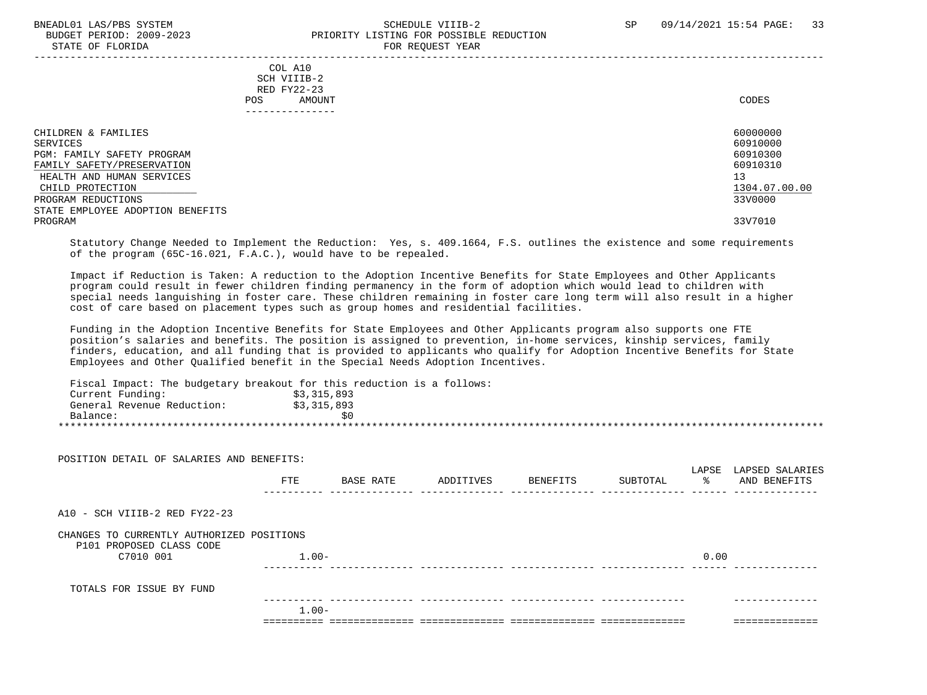#### BNEADL01 LAS/PBS SYSTEM SCHEDULE VIIIB-2 SCHEDULE VIIIB-2 SP 09/14/2021 15:54 PAGE: 33 BUDGET PERIOD: 2009-2023 PRIORITY LISTING FOR POSSIBLE REDUCTION STATE OF FLORIDA FOR REQUEST YEAR FOR REQUEST THAT THE REDUCT OF STATE OF STATE OF STATE OF STATE OF STATE OF STATE OF STATE OF STATE OF STATE OF STATE OF STATE OF STATE OF STATE OF STATE OF STATE OF STATE OF STATE OF STAT

| CODES                                                                          |
|--------------------------------------------------------------------------------|
| 60000000<br>60910000<br>60910300<br>60910310<br>13<br>1304.07.00.00<br>33V0000 |
| 33V7010                                                                        |
|                                                                                |

 Statutory Change Needed to Implement the Reduction: Yes, s. 409.1664, F.S. outlines the existence and some requirements of the program (65C-16.021, F.A.C.), would have to be repealed.

 Impact if Reduction is Taken: A reduction to the Adoption Incentive Benefits for State Employees and Other Applicants program could result in fewer children finding permanency in the form of adoption which would lead to children with special needs languishing in foster care. These children remaining in foster care long term will also result in a higher cost of care based on placement types such as group homes and residential facilities.

 Funding in the Adoption Incentive Benefits for State Employees and Other Applicants program also supports one FTE position's salaries and benefits. The position is assigned to prevention, in-home services, kinship services, family finders, education, and all funding that is provided to applicants who qualify for Adoption Incentive Benefits for State Employees and Other Qualified benefit in the Special Needs Adoption Incentives.

Fiscal Impact: The budgetary breakout for this reduction is a follows:

|          | Current Funding:           | \$3,315,893 |  |  |
|----------|----------------------------|-------------|--|--|
|          | General Revenue Reduction: | \$3,315,893 |  |  |
| Balance: |                            |             |  |  |
|          |                            |             |  |  |

| POSITION DETAIL OF SALARIES AND BENEFITS:                             |            |           |           |          |          | LAPSE | LAPSED SALARIES |
|-----------------------------------------------------------------------|------------|-----------|-----------|----------|----------|-------|-----------------|
|                                                                       | <b>FTE</b> | BASE RATE | ADDITIVES | BENEFITS | SUBTOTAL | ွေ    | AND BENEFITS    |
| A10 - SCH VIIIB-2 RED FY22-23                                         |            |           |           |          |          |       |                 |
| CHANGES TO CURRENTLY AUTHORIZED POSITIONS<br>P101 PROPOSED CLASS CODE |            |           |           |          |          |       |                 |
| C7010 001                                                             | $1.00-$    |           |           |          |          | 0.00  |                 |
| TOTALS FOR ISSUE BY FUND                                              |            |           |           |          |          |       |                 |
|                                                                       | $1.00 -$   |           |           |          |          |       | .               |
|                                                                       |            |           |           |          |          |       |                 |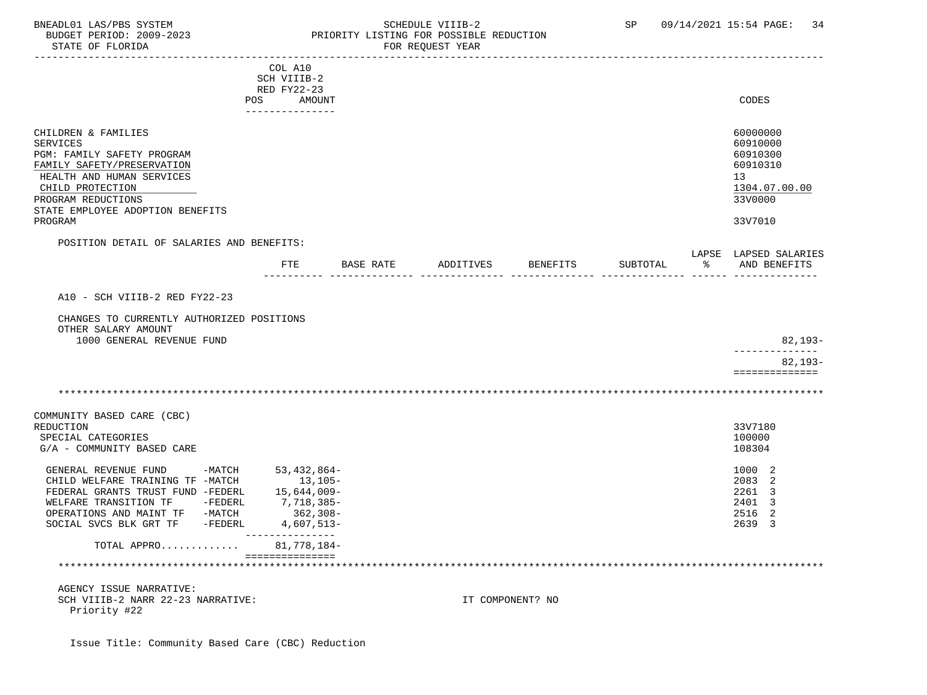### BNEADL01 LAS/PBS SYSTEM SCHEDULE VIIIB-2 SCHEDULE VIIIB-2 SP 09/14/2021 15:54 PAGE: 34 BUDGET PERIOD: 2009-2023 PRIORITY LISTING FOR POSSIBLE REDUCTION

|                                                                                                                                                                                                                          | COL A10<br>SCH VIIIB-2<br>RED FY22-23<br>POS<br>AMOUNT<br>---------------                         |           |           |                  |          |   | CODES                                                                                     |
|--------------------------------------------------------------------------------------------------------------------------------------------------------------------------------------------------------------------------|---------------------------------------------------------------------------------------------------|-----------|-----------|------------------|----------|---|-------------------------------------------------------------------------------------------|
| CHILDREN & FAMILIES<br><b>SERVICES</b><br>PGM: FAMILY SAFETY PROGRAM<br>FAMILY SAFETY/PRESERVATION<br>HEALTH AND HUMAN SERVICES<br>CHILD PROTECTION<br>PROGRAM REDUCTIONS<br>STATE EMPLOYEE ADOPTION BENEFITS<br>PROGRAM |                                                                                                   |           |           |                  |          |   | 60000000<br>60910000<br>60910300<br>60910310<br>13<br>1304.07.00.00<br>33V0000<br>33V7010 |
| POSITION DETAIL OF SALARIES AND BENEFITS:                                                                                                                                                                                | FTE                                                                                               | BASE RATE | ADDITIVES | <b>BENEFITS</b>  | SUBTOTAL | ႜ | LAPSE LAPSED SALARIES<br>AND BENEFITS                                                     |
| A10 - SCH VIIIB-2 RED FY22-23<br>CHANGES TO CURRENTLY AUTHORIZED POSITIONS<br>OTHER SALARY AMOUNT<br>1000 GENERAL REVENUE FUND                                                                                           |                                                                                                   |           |           |                  |          |   | 82,193-<br>-----------                                                                    |
|                                                                                                                                                                                                                          |                                                                                                   |           |           |                  |          |   | 82,193-<br>==============                                                                 |
| COMMUNITY BASED CARE (CBC)<br><b>REDUCTION</b><br>SPECIAL CATEGORIES<br>G/A - COMMUNITY BASED CARE                                                                                                                       |                                                                                                   |           |           |                  |          |   | 33V7180<br>100000<br>108304                                                               |
| GENERAL REVENUE FUND<br>$-MATCH$<br>CHILD WELFARE TRAINING TF -MATCH<br>FEDERAL GRANTS TRUST FUND -FEDERL<br>WELFARE TRANSITION TF -FEDERL<br>OPERATIONS AND MAINT TF -MATCH<br>SOCIAL SVCS BLK GRT TF -FEDERL           | 53,432,864-<br>13,105-<br>15,644,009-<br>7,718,385-<br>362,308-<br>4,607,513-<br>________________ |           |           |                  |          |   | 1000 2<br>2083 2<br>2261 3<br>2401 3<br>2516 2<br>2639 3                                  |
| TOTAL APPRO                                                                                                                                                                                                              | 81,778,184-<br>===============                                                                    |           |           |                  |          |   |                                                                                           |
| AGENCY ISSUE NARRATIVE:<br>SCH VIIIB-2 NARR 22-23 NARRATIVE:<br>Priority #22                                                                                                                                             |                                                                                                   |           |           | IT COMPONENT? NO |          |   |                                                                                           |

Issue Title: Community Based Care (CBC) Reduction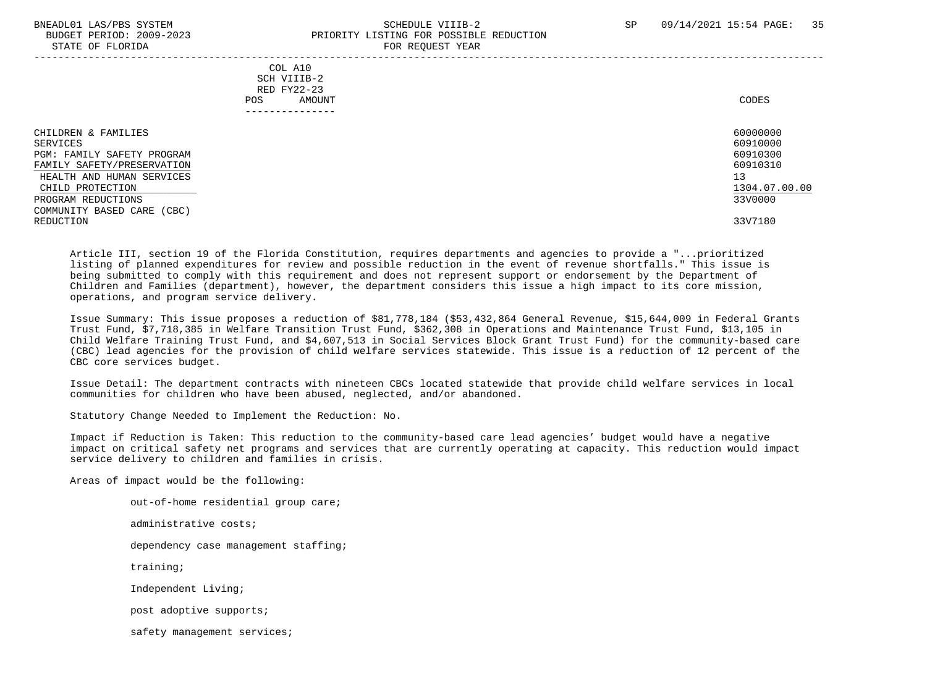# BNEADL01 LAS/PBS SYSTEM SCHEDULE VIIIB-2 SCHEDULE VIIIB-2 SP 09/14/2021 15:54 PAGE: 35 BUDGET PERIOD: 2009-2023<br>
STATE OF FLORIDA

| STATE OF FLORIDA                                                                                                                                                                                 | FOR REQUEST YEAR                                                        |                                                                                |
|--------------------------------------------------------------------------------------------------------------------------------------------------------------------------------------------------|-------------------------------------------------------------------------|--------------------------------------------------------------------------------|
|                                                                                                                                                                                                  | COL A10<br>SCH VIIIB-2<br>RED FY22-23<br>AMOUNT<br>POS.<br>------------ | CODES                                                                          |
| CHILDREN & FAMILIES<br>SERVICES<br>PGM: FAMILY SAFETY PROGRAM<br>FAMILY SAFETY/PRESERVATION<br>HEALTH AND HUMAN SERVICES<br>CHILD PROTECTION<br>PROGRAM REDUCTIONS<br>COMMUNITY BASED CARE (CBC) |                                                                         | 60000000<br>60910000<br>60910300<br>60910310<br>13<br>1304.07.00.00<br>33V0000 |
| REDUCTION                                                                                                                                                                                        |                                                                         | 33V7180                                                                        |

 Article III, section 19 of the Florida Constitution, requires departments and agencies to provide a "...prioritized listing of planned expenditures for review and possible reduction in the event of revenue shortfalls." This issue is being submitted to comply with this requirement and does not represent support or endorsement by the Department of Children and Families (department), however, the department considers this issue a high impact to its core mission, operations, and program service delivery.

 Issue Summary: This issue proposes a reduction of \$81,778,184 (\$53,432,864 General Revenue, \$15,644,009 in Federal Grants Trust Fund, \$7,718,385 in Welfare Transition Trust Fund, \$362,308 in Operations and Maintenance Trust Fund, \$13,105 in Child Welfare Training Trust Fund, and \$4,607,513 in Social Services Block Grant Trust Fund) for the community-based care (CBC) lead agencies for the provision of child welfare services statewide. This issue is a reduction of 12 percent of the CBC core services budget.

 Issue Detail: The department contracts with nineteen CBCs located statewide that provide child welfare services in local communities for children who have been abused, neglected, and/or abandoned.

Statutory Change Needed to Implement the Reduction: No.

 Impact if Reduction is Taken: This reduction to the community-based care lead agencies' budget would have a negative impact on critical safety net programs and services that are currently operating at capacity. This reduction would impact service delivery to children and families in crisis.

Areas of impact would be the following:

 out-of-home residential group care; administrative costs; dependency case management staffing; training; Independent Living; post adoptive supports; safety management services;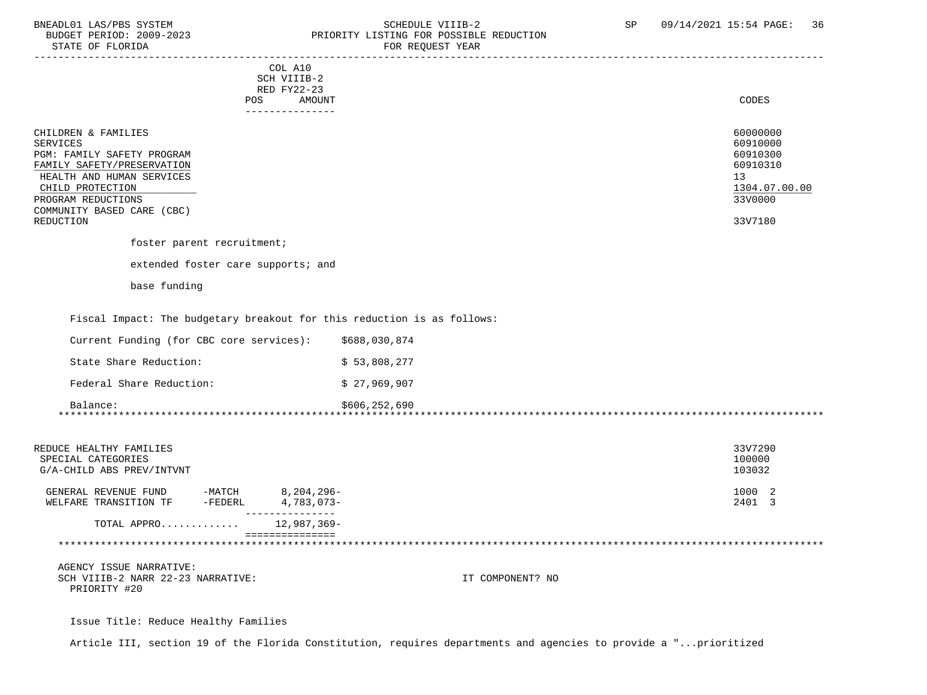### BNEADL01 LAS/PBS SYSTEM SCHEDULE VIIIB-2 SCHEDULE VIIIB-2 SP 09/14/2021 15:54 PAGE: 36<br>BUDGET PERIOD: 2009-2023 PRIORITY LISTING FOR POSSIBLE REDUCTION BUDGET PERIOD: 2009-2023 PRIORITY LISTING FOR POSSIBLE REDUCTION<br>FOR REQUEST YEAR FOR REQUEST YEAR

| COL A10                                                                                                                                                                                                                     |               |                                                                                           |
|-----------------------------------------------------------------------------------------------------------------------------------------------------------------------------------------------------------------------------|---------------|-------------------------------------------------------------------------------------------|
| SCH VIIIB-2<br>RED FY22-23                                                                                                                                                                                                  |               |                                                                                           |
| POS<br><b>AMOUNT</b>                                                                                                                                                                                                        |               | CODES                                                                                     |
| ---------------                                                                                                                                                                                                             |               |                                                                                           |
| CHILDREN & FAMILIES<br><b>SERVICES</b><br>PGM: FAMILY SAFETY PROGRAM<br>FAMILY SAFETY/PRESERVATION<br>HEALTH AND HUMAN SERVICES<br>CHILD PROTECTION<br>PROGRAM REDUCTIONS<br>COMMUNITY BASED CARE (CBC)<br><b>REDUCTION</b> |               | 60000000<br>60910000<br>60910300<br>60910310<br>13<br>1304.07.00.00<br>33V0000<br>33V7180 |
| foster parent recruitment;                                                                                                                                                                                                  |               |                                                                                           |
| extended foster care supports; and                                                                                                                                                                                          |               |                                                                                           |
| base funding                                                                                                                                                                                                                |               |                                                                                           |
| Fiscal Impact: The budgetary breakout for this reduction is as follows:                                                                                                                                                     |               |                                                                                           |
| Current Funding (for CBC core services):                                                                                                                                                                                    | \$688,030,874 |                                                                                           |
| State Share Reduction:                                                                                                                                                                                                      | \$53,808,277  |                                                                                           |
| Federal Share Reduction:                                                                                                                                                                                                    | \$27,969,907  |                                                                                           |
| Balance:                                                                                                                                                                                                                    | \$606,252,690 |                                                                                           |

\*\*\*\*\*\*\*\*\*\*\*\*\*\*\*\*\*\*\*\*\*\*\*\*\*\*\*\*\*\*\*\*\*\*\*\*\*\*\*\*\*\*\*\*\*\*\*\*\*\*\*\*\*\*\*\*\*\*\*\*\*\*\*\*\*\*\*\*\*\*\*\*\*\*\*\*\*\*\*\*\*\*\*\*\*\*\*\*\*\*\*\*\*\*\*\*\*\*\*\*\*\*\*\*\*\*\*\*\*\*\*\*\*\*\*\*\*\*\*\*\*\*\*\*\*\*\*

| REDUCE HEALTHY FAMILIES<br>SPECIAL CATEGORIES<br>G/A-CHILD ABS PREV/INTVNT   |                   |                                             |                  | 33V7290<br>100000<br>103032 |
|------------------------------------------------------------------------------|-------------------|---------------------------------------------|------------------|-----------------------------|
| GENERAL REVENUE FUND<br>WELFARE TRANSITION TF                                | -MATCH<br>-FEDERL | 8,204,296-<br>4,783,073-<br>--------------- |                  | 1000 2<br>2401 3            |
| TOTAL APPRO                                                                  |                   | 12,987,369-<br>===============              |                  |                             |
| AGENCY ISSUE NARRATIVE:<br>SCH VIIIB-2 NARR 22-23 NARRATIVE:<br>PRIORITY #20 |                   |                                             | IT COMPONENT? NO |                             |

Issue Title: Reduce Healthy Families

Article III, section 19 of the Florida Constitution, requires departments and agencies to provide a "...prioritized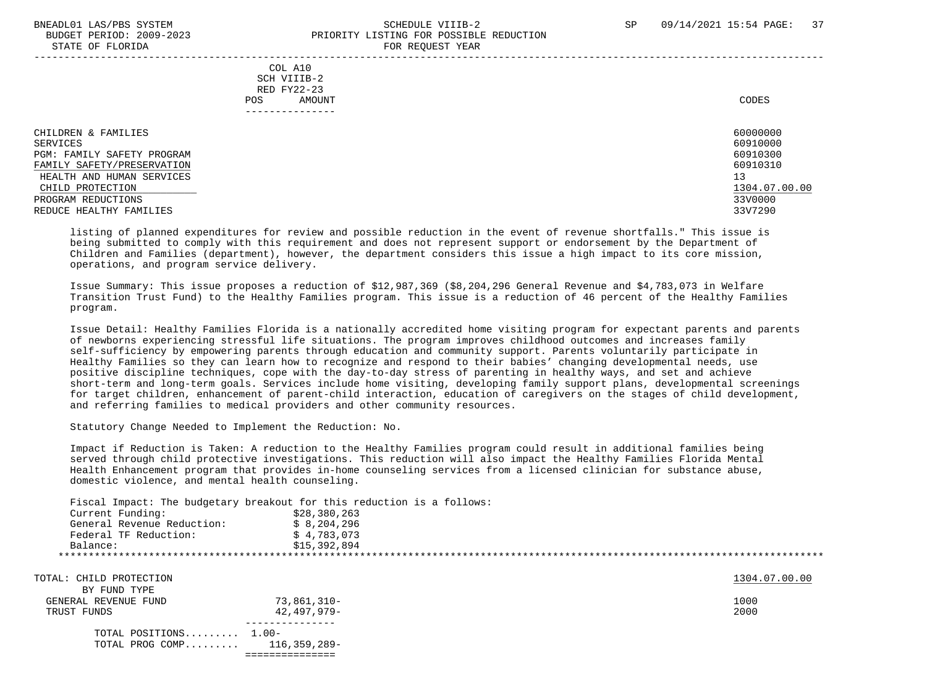#### BNEADL01 LAS/PBS SYSTEM SCHEDULE VIIIB-2 SCHEDULE VIIIB-2 SP 09/14/2021 15:54 PAGE: 37 BUDGET PERIOD: 2009-2023 PRIORITY LISTING FOR POSSIBLE REDUCTION STATE OF FLORIDA FOR REQUEST YEAR FOR REQUEST THAT AND THE STATE OF STATE OF STATE OF STATE OF STATE OF STATE O

| COL A10<br>SCH VIIIB-2<br>RED FY22-23<br>AMOUNT<br>POS.<br>------------                                                                                                                       | CODES                                                                                     |
|-----------------------------------------------------------------------------------------------------------------------------------------------------------------------------------------------|-------------------------------------------------------------------------------------------|
| CHILDREN & FAMILIES<br>SERVICES<br>PGM: FAMILY SAFETY PROGRAM<br>FAMILY SAFETY/PRESERVATION<br>HEALTH AND HUMAN SERVICES<br>CHILD PROTECTION<br>PROGRAM REDUCTIONS<br>REDUCE HEALTHY FAMILIES | 60000000<br>60910000<br>60910300<br>60910310<br>13<br>1304.07.00.00<br>33V0000<br>33V7290 |

 listing of planned expenditures for review and possible reduction in the event of revenue shortfalls." This issue is being submitted to comply with this requirement and does not represent support or endorsement by the Department of Children and Families (department), however, the department considers this issue a high impact to its core mission, operations, and program service delivery.

 Issue Summary: This issue proposes a reduction of \$12,987,369 (\$8,204,296 General Revenue and \$4,783,073 in Welfare Transition Trust Fund) to the Healthy Families program. This issue is a reduction of 46 percent of the Healthy Families program.

 Issue Detail: Healthy Families Florida is a nationally accredited home visiting program for expectant parents and parents of newborns experiencing stressful life situations. The program improves childhood outcomes and increases family self-sufficiency by empowering parents through education and community support. Parents voluntarily participate in Healthy Families so they can learn how to recognize and respond to their babies' changing developmental needs, use positive discipline techniques, cope with the day-to-day stress of parenting in healthy ways, and set and achieve short-term and long-term goals. Services include home visiting, developing family support plans, developmental screenings for target children, enhancement of parent-child interaction, education of caregivers on the stages of child development, and referring families to medical providers and other community resources.

Statutory Change Needed to Implement the Reduction: No.

 Impact if Reduction is Taken: A reduction to the Healthy Families program could result in additional families being served through child protective investigations. This reduction will also impact the Healthy Families Florida Mental Health Enhancement program that provides in-home counseling services from a licensed clinician for substance abuse, domestic violence, and mental health counseling.

Fiscal Impact: The budgetary breakout for this reduction is a follows:

| Current Funding:           | \$28,380,263 |
|----------------------------|--------------|
| General Revenue Reduction: | \$8,204,296  |
| Federal TF Reduction:      | \$4.783.073  |
| Balance:                   | \$15,392,894 |
|                            |              |
|                            |              |

| TOTAL: CHILD PROTECTION |                                | 1304.07.00.00 |
|-------------------------|--------------------------------|---------------|
| BY FUND TYPE            |                                |               |
| GENERAL REVENUE FUND    | 73,861,310-                    | 1000          |
| TRUST FUNDS             | 42,497,979-                    | 2000          |
| TOTAL POSITIONS $1.00-$ |                                |               |
|                         | TOTAL PROG COMP $116,359,289-$ |               |
|                         |                                |               |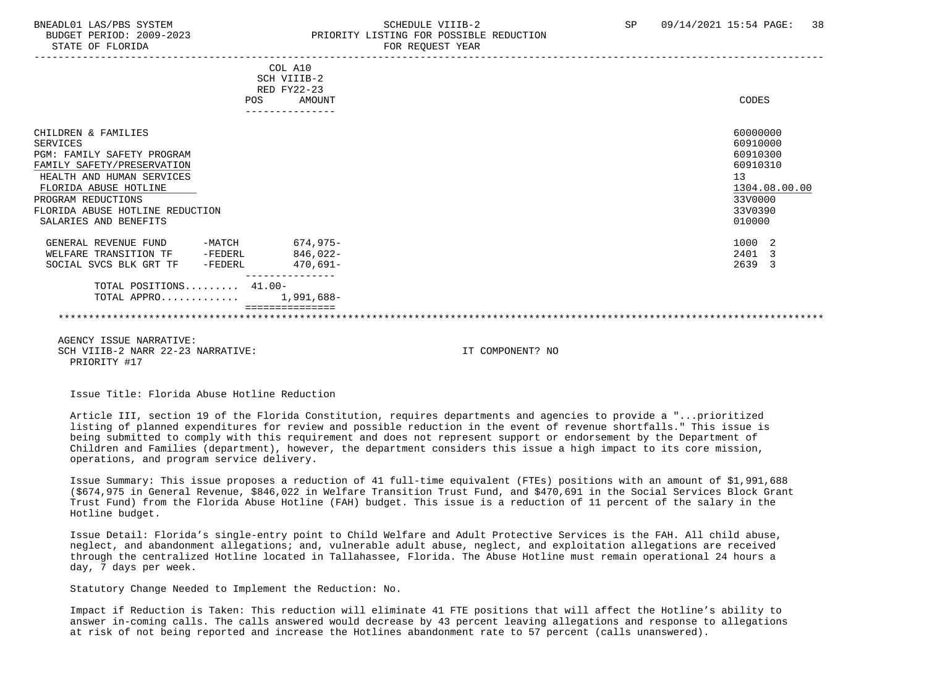#### BNEADL01 LAS/PBS SYSTEM SCHEDULE VIIIB-2 SCHEDULE VIIIB-2 SP 09/14/2021 15:54 PAGE: 38 BUDGET PERIOD: 2009-2023 PRIORITY LISTING FOR POSSIBLE REDUCTION STATE OF FLORIDA FOR REQUEST YEAR FOR REQUEST YEAR

|                                      | COL A10<br>SCH VIIIB-2<br>RED FY22-23 |  |                  |  |                      |               |
|--------------------------------------|---------------------------------------|--|------------------|--|----------------------|---------------|
|                                      | POS<br>AMOUNT                         |  |                  |  | <b>CODES</b>         |               |
| CHILDREN & FAMILIES<br>SERVICES      |                                       |  |                  |  | 60000000<br>60910000 |               |
| <b>PGM: FAMILY SAFETY PROGRAM</b>    |                                       |  |                  |  | 60910300             |               |
| FAMILY SAFETY/PRESERVATION           |                                       |  |                  |  | 60910310             |               |
| HEALTH AND HUMAN SERVICES            |                                       |  |                  |  | 13                   |               |
| FLORIDA ABUSE HOTLINE                |                                       |  |                  |  |                      | 1304.08.00.00 |
|                                      |                                       |  |                  |  | 33V0000              |               |
| PROGRAM REDUCTIONS                   |                                       |  |                  |  |                      |               |
| FLORIDA ABUSE HOTLINE REDUCTION      |                                       |  |                  |  | 33V0390              |               |
| SALARIES AND BENEFITS                |                                       |  |                  |  | 010000               |               |
| GENERAL REVENUE FUND -MATCH 674,975- |                                       |  |                  |  | 1000 2               |               |
| WELFARE TRANSITION TF -FEDERL        | $846.022 -$                           |  |                  |  | 2401 3               |               |
| SOCIAL SVCS BLK GRT TF -FEDERL       | 470,691-                              |  |                  |  | 2639 3               |               |
| TOTAL POSITIONS 41.00-               | ---------------                       |  |                  |  |                      |               |
| TOTAL APPRO $1,991,688-$             |                                       |  |                  |  |                      |               |
|                                      |                                       |  |                  |  |                      |               |
|                                      |                                       |  |                  |  |                      |               |
|                                      |                                       |  |                  |  |                      |               |
| AGENCY ISSUE NARRATIVE:              |                                       |  |                  |  |                      |               |
| SCH VIIIB-2 NARR 22-23 NARRATIVE:    |                                       |  | IT COMPONENT? NO |  |                      |               |
| PRIORITY #17                         |                                       |  |                  |  |                      |               |
|                                      |                                       |  |                  |  |                      |               |
|                                      |                                       |  |                  |  |                      |               |

Issue Title: Florida Abuse Hotline Reduction

 Article III, section 19 of the Florida Constitution, requires departments and agencies to provide a "...prioritized listing of planned expenditures for review and possible reduction in the event of revenue shortfalls." This issue is being submitted to comply with this requirement and does not represent support or endorsement by the Department of Children and Families (department), however, the department considers this issue a high impact to its core mission, operations, and program service delivery.

 Issue Summary: This issue proposes a reduction of 41 full-time equivalent (FTEs) positions with an amount of \$1,991,688 (\$674,975 in General Revenue, \$846,022 in Welfare Transition Trust Fund, and \$470,691 in the Social Services Block Grant Trust Fund) from the Florida Abuse Hotline (FAH) budget. This issue is a reduction of 11 percent of the salary in the Hotline budget.

 Issue Detail: Florida's single-entry point to Child Welfare and Adult Protective Services is the FAH. All child abuse, neglect, and abandonment allegations; and, vulnerable adult abuse, neglect, and exploitation allegations are received through the centralized Hotline located in Tallahassee, Florida. The Abuse Hotline must remain operational 24 hours a day, 7 days per week.

Statutory Change Needed to Implement the Reduction: No.

 Impact if Reduction is Taken: This reduction will eliminate 41 FTE positions that will affect the Hotline's ability to answer in-coming calls. The calls answered would decrease by 43 percent leaving allegations and response to allegations at risk of not being reported and increase the Hotlines abandonment rate to 57 percent (calls unanswered).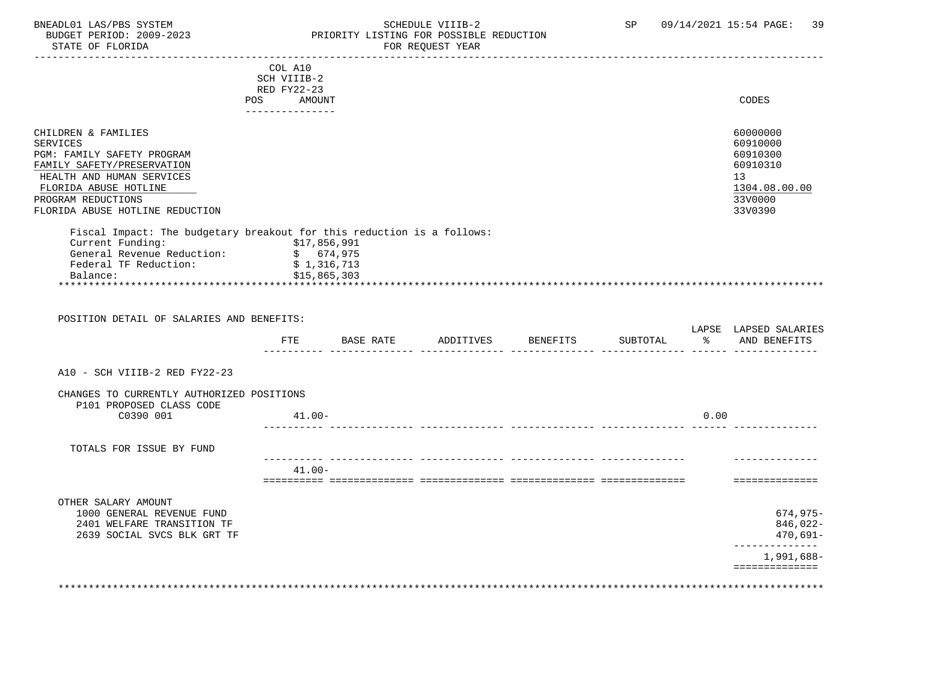STATE OF FLORIDA

# BNEADL01 LAS/PBS SYSTEM SOME SOME SCHEDULE VIIIB-2 SP 09/14/2021 15:54 PAGE: 39<br>BUDGET PERIOD: 2009-2023 RESORTTY LISTING FOR POSSIBLE REDUCTION PRIORITY LISTING FOR POSSIBLE REDUCTION<br>FOR REQUEST YEAR

|                                                                                                                                                                                                                   | COL A10<br>SCH VIIIB-2                                   |                              |                                               |      |                                                                                           |
|-------------------------------------------------------------------------------------------------------------------------------------------------------------------------------------------------------------------|----------------------------------------------------------|------------------------------|-----------------------------------------------|------|-------------------------------------------------------------------------------------------|
|                                                                                                                                                                                                                   | RED FY22-23<br>POS AMOUNT<br>---------------             |                              |                                               |      | CODES                                                                                     |
| CHILDREN & FAMILIES<br><b>SERVICES</b><br>PGM: FAMILY SAFETY PROGRAM<br>FAMILY SAFETY/PRESERVATION<br>HEALTH AND HUMAN SERVICES<br>FLORIDA ABUSE HOTLINE<br>PROGRAM REDUCTIONS<br>FLORIDA ABUSE HOTLINE REDUCTION |                                                          |                              |                                               |      | 60000000<br>60910000<br>60910300<br>60910310<br>13<br>1304.08.00.00<br>33V0000<br>33V0390 |
| Fiscal Impact: The budgetary breakout for this reduction is a follows:<br>Current Funding:<br>General Revenue Reduction:<br>Federal TF Reduction:<br>Balance:                                                     | \$17,856,991<br>\$674,975<br>\$1,316,713<br>\$15,865,303 |                              |                                               |      |                                                                                           |
|                                                                                                                                                                                                                   |                                                          |                              |                                               |      |                                                                                           |
| POSITION DETAIL OF SALARIES AND BENEFITS:                                                                                                                                                                         |                                                          |                              |                                               |      |                                                                                           |
|                                                                                                                                                                                                                   | ETE                                                      | BASE RATE ADDITIVES BENEFITS | SUBTOTAL<br>------ -------------- ----- ----- | ႜೢ   | AND BENEFITS                                                                              |
| A10 - SCH VIIIB-2 RED FY22-23                                                                                                                                                                                     |                                                          |                              |                                               |      | LAPSE LAPSED SALARIES                                                                     |
| CHANGES TO CURRENTLY AUTHORIZED POSITIONS<br>P101 PROPOSED CLASS CODE<br>C0390 001                                                                                                                                | $41.00 -$                                                |                              |                                               | 0.00 |                                                                                           |
| TOTALS FOR ISSUE BY FUND                                                                                                                                                                                          |                                                          |                              |                                               |      |                                                                                           |
|                                                                                                                                                                                                                   | $41.00 -$                                                |                              |                                               |      | ==============                                                                            |
| OTHER SALARY AMOUNT<br>1000 GENERAL REVENUE FUND<br>2401 WELFARE TRANSITION TF<br>2639 SOCIAL SVCS BLK GRT TF                                                                                                     |                                                          |                              |                                               |      | $674,975-$<br>846,022-<br>470,691-<br>---------------                                     |

\*\*\*\*\*\*\*\*\*\*\*\*\*\*\*\*\*\*\*\*\*\*\*\*\*\*\*\*\*\*\*\*\*\*\*\*\*\*\*\*\*\*\*\*\*\*\*\*\*\*\*\*\*\*\*\*\*\*\*\*\*\*\*\*\*\*\*\*\*\*\*\*\*\*\*\*\*\*\*\*\*\*\*\*\*\*\*\*\*\*\*\*\*\*\*\*\*\*\*\*\*\*\*\*\*\*\*\*\*\*\*\*\*\*\*\*\*\*\*\*\*\*\*\*\*\*\*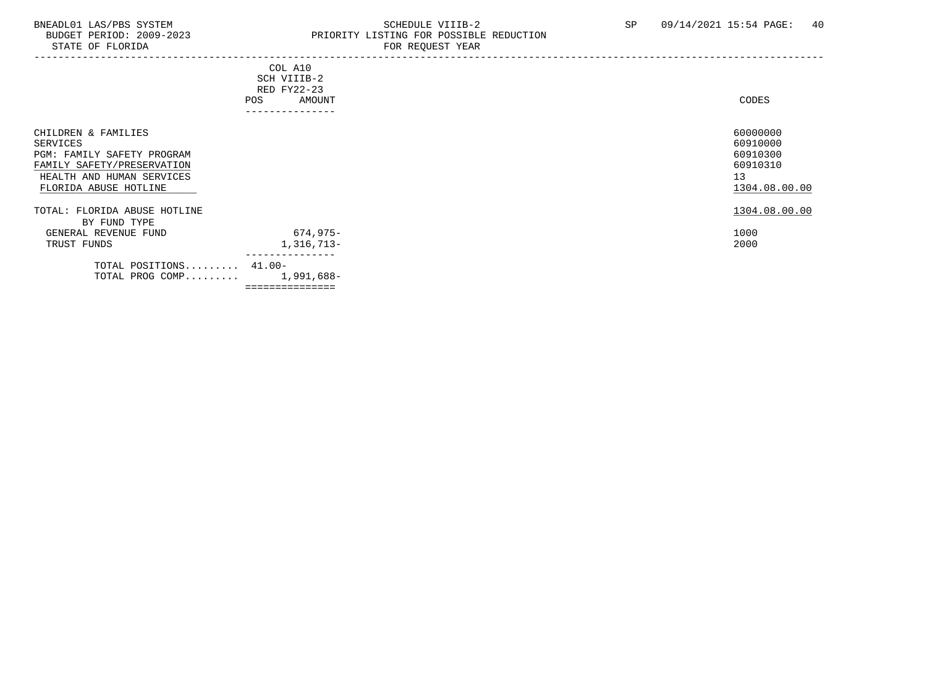### BNEADL01 LAS/PBS SYSTEM SCHEDULE VIIIB-2 SCHEDULE VIIIB-2 SP 09/14/2021 15:54 PAGE: 40 BUDGET PERIOD: 2009-2023 PRIORITY LISTING FOR POSSIBLE REDUCTION FOR REQUEST YEAR

| POS                                                                                                                                               | COL A10<br>SCH VIIIB-2<br>RED FY22-23<br>AMOUNT | CODES                                                               |
|---------------------------------------------------------------------------------------------------------------------------------------------------|-------------------------------------------------|---------------------------------------------------------------------|
|                                                                                                                                                   |                                                 |                                                                     |
| CHILDREN & FAMILIES<br>SERVICES<br>PGM: FAMILY SAFETY PROGRAM<br>FAMILY SAFETY/PRESERVATION<br>HEALTH AND HUMAN SERVICES<br>FLORIDA ABUSE HOTLINE |                                                 | 60000000<br>60910000<br>60910300<br>60910310<br>13<br>1304.08.00.00 |
| TOTAL: FLORIDA ABUSE HOTLINE                                                                                                                      |                                                 | 1304.08.00.00                                                       |
| BY FUND TYPE                                                                                                                                      |                                                 |                                                                     |
| GENERAL REVENUE FUND                                                                                                                              | 674,975-                                        | 1000                                                                |
| TRUST FUNDS                                                                                                                                       | 1,316,713-                                      | 2000                                                                |
| TOTAL POSITIONS 41.00-<br>TOTAL PROG COMP                                                                                                         | 1,991,688-                                      |                                                                     |

===============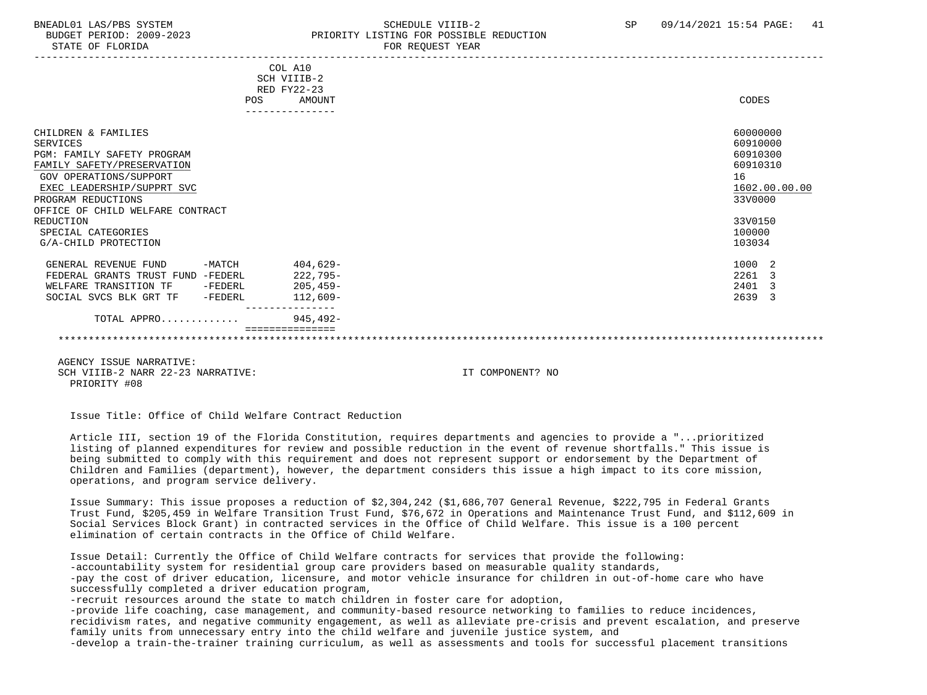### BNEADL01 LAS/PBS SYSTEM SCHEDULE VIIIB-2 SCHEDULE VIIIB-2 SP 09/14/2021 15:54 PAGE: 41 BUDGET PERIOD: 2009-2023 PRIORITY LISTING FOR POSSIBLE REDUCTION

|                                     | COL A10                       |               |
|-------------------------------------|-------------------------------|---------------|
|                                     | SCH VIIIB-2                   |               |
|                                     | RED FY22-23                   |               |
| <b>POS</b>                          | <b>AMOUNT</b>                 | CODES         |
|                                     |                               |               |
| CHILDREN & FAMILIES                 |                               | 60000000      |
| <b>SERVICES</b>                     |                               | 60910000      |
| <b>PGM: FAMILY SAFETY PROGRAM</b>   |                               | 60910300      |
| FAMILY SAFETY/PRESERVATION          |                               | 60910310      |
| GOV OPERATIONS/SUPPORT              |                               | 16            |
| EXEC LEADERSHIP/SUPPRT SVC          |                               | 1602.00.00.00 |
| PROGRAM REDUCTIONS                  |                               | 33V0000       |
| OFFICE OF CHILD WELFARE CONTRACT    |                               |               |
| REDUCTION                           |                               | 33V0150       |
| SPECIAL CATEGORIES                  |                               | 100000        |
| G/A-CHILD PROTECTION                |                               | 103034        |
|                                     |                               |               |
| $-MATCH$<br>GENERAL REVENUE FUND    | 404,629-                      | 1000 2        |
| FEDERAL GRANTS TRUST FUND -FEDERL   | 222,795-                      | 2261<br>3     |
| WELFARE TRANSITION TF<br>-FEDERL    | $205, 459-$                   | 2401<br>3     |
| SOCIAL SVCS BLK GRT TF<br>$-FEDERL$ | $112,609-$<br>--------------- | 2639<br>3     |
| TOTAL APPRO                         | $945, 492 -$                  |               |
|                                     |                               |               |
|                                     |                               |               |

 AGENCY ISSUE NARRATIVE: SCH VIIIB-2 NARR 22-23 NARRATIVE: IT COMPONENT? NO PRIORITY #08

Issue Title: Office of Child Welfare Contract Reduction

 Article III, section 19 of the Florida Constitution, requires departments and agencies to provide a "...prioritized listing of planned expenditures for review and possible reduction in the event of revenue shortfalls." This issue is being submitted to comply with this requirement and does not represent support or endorsement by the Department of Children and Families (department), however, the department considers this issue a high impact to its core mission, operations, and program service delivery.

 Issue Summary: This issue proposes a reduction of \$2,304,242 (\$1,686,707 General Revenue, \$222,795 in Federal Grants Trust Fund, \$205,459 in Welfare Transition Trust Fund, \$76,672 in Operations and Maintenance Trust Fund, and \$112,609 in Social Services Block Grant) in contracted services in the Office of Child Welfare. This issue is a 100 percent elimination of certain contracts in the Office of Child Welfare.

 Issue Detail: Currently the Office of Child Welfare contracts for services that provide the following: -accountability system for residential group care providers based on measurable quality standards, -pay the cost of driver education, licensure, and motor vehicle insurance for children in out-of-home care who have successfully completed a driver education program,

-recruit resources around the state to match children in foster care for adoption,

 -provide life coaching, case management, and community-based resource networking to families to reduce incidences, recidivism rates, and negative community engagement, as well as alleviate pre-crisis and prevent escalation, and preserve family units from unnecessary entry into the child welfare and juvenile justice system, and -develop a train-the-trainer training curriculum, as well as assessments and tools for successful placement transitions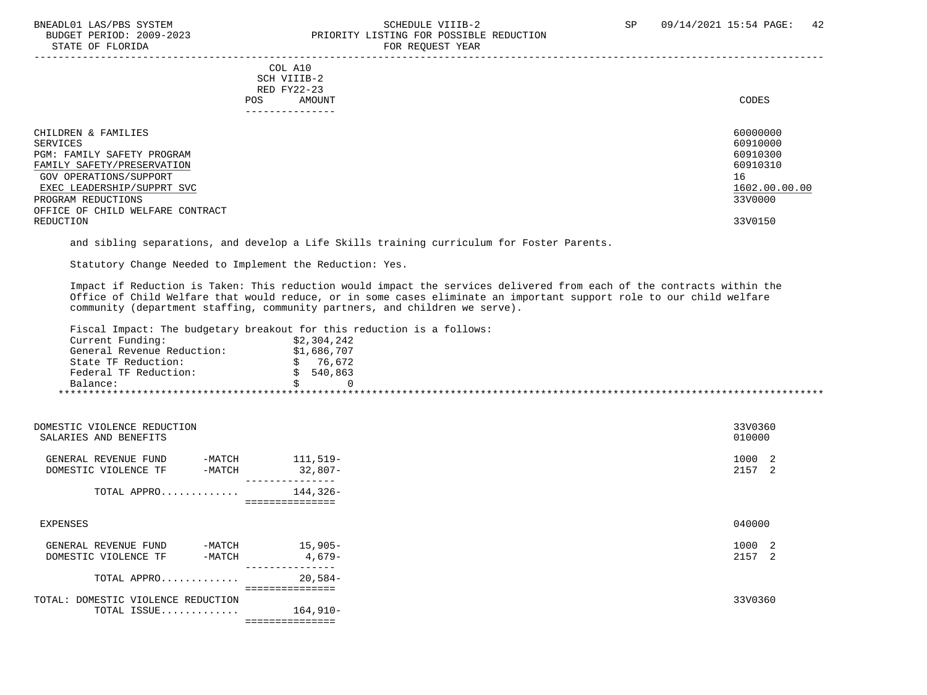#### BNEADL01 LAS/PBS SYSTEM SCHEDULE VIIIB-2 SCHEDULE VIIIB-2 SP 09/14/2021 15:54 PAGE: 42 PRIORITY LISTING FOR POSSIBLE REDUCTION STATE OF FLORIDA FOR REQUEST YEAR FOR REQUEST YEAR

-----------------------------------------------------------------------------------------------------------------------------------

 COL A10 SCH VIIIB-2 RED FY22-23<br>POS AMOUNT POS AMOUNT NOTES AND AND A RESERVE AND A RESERVE AND LODGED AND LODGED AND LODGED AND LODGED AND LODGED AND LODGED AT A LODGED AND LODGED AT A LODGED AND LODGED AT A LODGED AND LODGED AT A LODGED AND LODGED AT A LODGED AND

| ---------------                  |               |
|----------------------------------|---------------|
| CHILDREN & FAMILIES              | 60000000      |
| SERVICES                         | 60910000      |
| PGM: FAMILY SAFETY PROGRAM       | 60910300      |
| FAMILY SAFETY/PRESERVATION       | 60910310      |
| GOV OPERATIONS/SUPPORT           | 16            |
| EXEC LEADERSHIP/SUPPRT SVC       | 1602.00.00.00 |
| PROGRAM REDUCTIONS               | 33V0000       |
| OFFICE OF CHILD WELFARE CONTRACT |               |
| REDUCTION                        | 33V0150       |

and sibling separations, and develop a Life Skills training curriculum for Foster Parents.

Statutory Change Needed to Implement the Reduction: Yes.

 Impact if Reduction is Taken: This reduction would impact the services delivered from each of the contracts within the Office of Child Welfare that would reduce, or in some cases eliminate an important support role to our child welfare community (department staffing, community partners, and children we serve).

Fiscal Impact: The budgetary breakout for this reduction is a follows:

| Current Funding:           | \$2,304,242 |
|----------------------------|-------------|
| General Revenue Reduction: | \$1,686,707 |
| State TF Reduction:        | 76.672      |
| Federal TF Reduction:      | 540,863     |
| Balance:                   |             |

| DOMESTIC VIOLENCE REDUCTION<br>SALARIES AND BENEFITS                 |                            | 33V0360<br>010000 |
|----------------------------------------------------------------------|----------------------------|-------------------|
| GENERAL REVENUE FUND<br>$-MATCH$<br>DOMESTIC VIOLENCE TF<br>$-MATCH$ | 111,519-<br>$32,807-$      | 1000 2<br>2157 2  |
| TOTAL APPRO                                                          | 144,326-<br>============== |                   |
| EXPENSES                                                             |                            | 040000            |
| GENERAL REVENUE FUND<br>$-MATCH$<br>DOMESTIC VIOLENCE TF<br>$-MATCH$ | $15,905-$<br>$4,679-$      | 1000 2<br>2157 2  |
| TOTAL APPRO                                                          | $20,584-$                  |                   |
| TOTAL: DOMESTIC VIOLENCE REDUCTION<br>TOTAL ISSUE                    | $164,910-$                 | 33V0360           |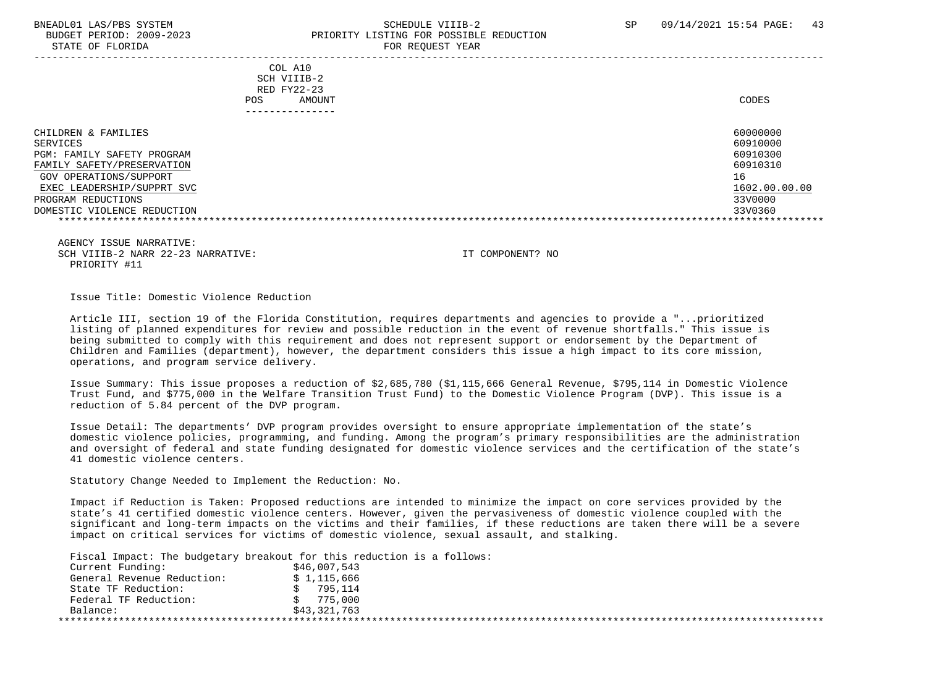#### BNEADL01 LAS/PBS SYSTEM SCHEDULE VIIIB-2 SCHEDULE VIIIB-2 SP 09/14/2021 15:54 PAGE: 43 BUDGET PERIOD: 2009-2023 PRIORITY LISTING FOR POSSIBLE REDUCTION STATE OF FLORIDA FOR REQUEST YEAR FOR REQUEST YEAR

|                                                                                                                                                                                                          | COL A10<br>SCH VIIIB-2<br>RED FY22-23<br>AMOUNT<br><b>POS</b> | CODES                                                                                     |
|----------------------------------------------------------------------------------------------------------------------------------------------------------------------------------------------------------|---------------------------------------------------------------|-------------------------------------------------------------------------------------------|
| CHILDREN & FAMILIES<br>SERVICES<br>PGM: FAMILY SAFETY PROGRAM<br>FAMILY SAFETY/PRESERVATION<br>GOV OPERATIONS/SUPPORT<br>EXEC LEADERSHIP/SUPPRT SVC<br>PROGRAM REDUCTIONS<br>DOMESTIC VIOLENCE REDUCTION |                                                               | 60000000<br>60910000<br>60910300<br>60910310<br>16<br>1602.00.00.00<br>33V0000<br>33V0360 |

 AGENCY ISSUE NARRATIVE: SCH VIIIB-2 NARR 22-23 NARRATIVE: IT COMPONENT? NO PRIORITY #11

Issue Title: Domestic Violence Reduction

 Article III, section 19 of the Florida Constitution, requires departments and agencies to provide a "...prioritized listing of planned expenditures for review and possible reduction in the event of revenue shortfalls." This issue is being submitted to comply with this requirement and does not represent support or endorsement by the Department of Children and Families (department), however, the department considers this issue a high impact to its core mission, operations, and program service delivery.

 Issue Summary: This issue proposes a reduction of \$2,685,780 (\$1,115,666 General Revenue, \$795,114 in Domestic Violence Trust Fund, and \$775,000 in the Welfare Transition Trust Fund) to the Domestic Violence Program (DVP). This issue is a reduction of 5.84 percent of the DVP program.

 Issue Detail: The departments' DVP program provides oversight to ensure appropriate implementation of the state's domestic violence policies, programming, and funding. Among the program's primary responsibilities are the administration and oversight of federal and state funding designated for domestic violence services and the certification of the state's 41 domestic violence centers.

Statutory Change Needed to Implement the Reduction: No.

 Impact if Reduction is Taken: Proposed reductions are intended to minimize the impact on core services provided by the state's 41 certified domestic violence centers. However, given the pervasiveness of domestic violence coupled with the significant and long-term impacts on the victims and their families, if these reductions are taken there will be a severe impact on critical services for victims of domestic violence, sexual assault, and stalking.

Fiscal Impact: The budgetary breakout for this reduction is a follows:

| Current Funding:           | \$46,007,543 |
|----------------------------|--------------|
| General Revenue Reduction: | \$1,115,666  |
| State TF Reduction:        | 795,114      |
| Federal TF Reduction:      | 775,000      |
| Balance:                   | \$43,321,763 |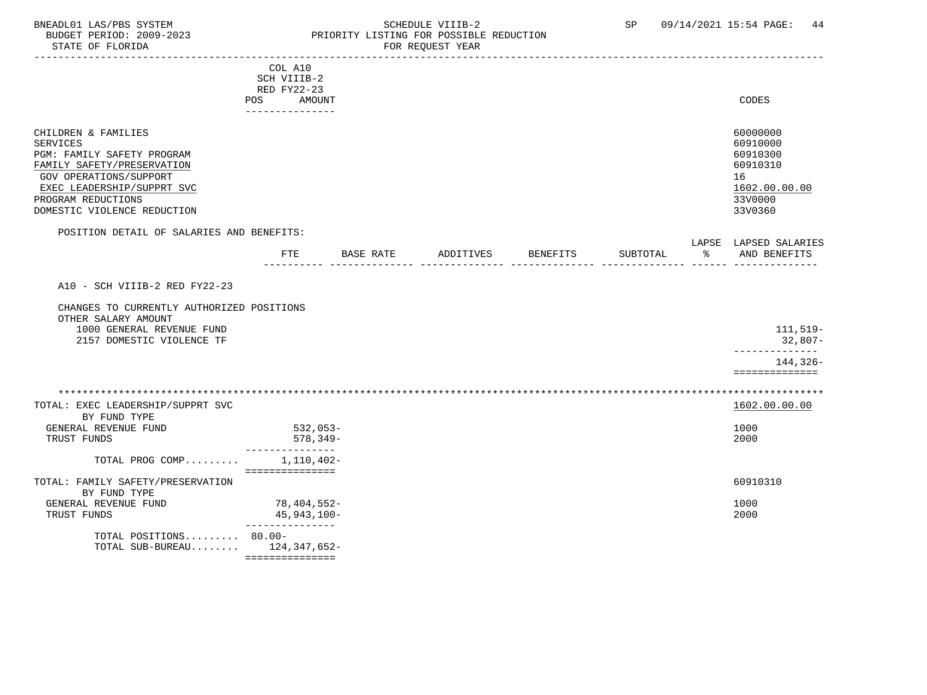### BNEADL01 LAS/PBS SYSTEM SCHEDULE VIIIB-2 SCHEDULE VIIIB-2 SP 09/14/2021 15:54 PAGE: 44 BUDGET PERIOD: 2009-2023 PRIORITY LISTING FOR POSSIBLE REDUCTION

|                                                                                                                                                                                                                 | COL A10<br>SCH VIIIB-2                          |           |                    |          |               |                                                                                           |
|-----------------------------------------------------------------------------------------------------------------------------------------------------------------------------------------------------------------|-------------------------------------------------|-----------|--------------------|----------|---------------|-------------------------------------------------------------------------------------------|
|                                                                                                                                                                                                                 | RED FY22-23<br>AMOUNT<br>POS<br>--------------- |           |                    |          |               | CODES                                                                                     |
| CHILDREN & FAMILIES<br><b>SERVICES</b><br>PGM: FAMILY SAFETY PROGRAM<br>FAMILY SAFETY/PRESERVATION<br>GOV OPERATIONS/SUPPORT<br>EXEC LEADERSHIP/SUPPRT SVC<br>PROGRAM REDUCTIONS<br>DOMESTIC VIOLENCE REDUCTION |                                                 |           |                    |          |               | 60000000<br>60910000<br>60910300<br>60910310<br>16<br>1602.00.00.00<br>33V0000<br>33V0360 |
| POSITION DETAIL OF SALARIES AND BENEFITS:                                                                                                                                                                       | FTE                                             | BASE RATE | ADDITIVES BENEFITS | SUBTOTAL | $\sim$ $\sim$ | LAPSE LAPSED SALARIES<br>AND BENEFITS                                                     |
| A10 - SCH VIIIB-2 RED FY22-23                                                                                                                                                                                   |                                                 |           |                    |          |               |                                                                                           |
| CHANGES TO CURRENTLY AUTHORIZED POSITIONS<br>OTHER SALARY AMOUNT                                                                                                                                                |                                                 |           |                    |          |               |                                                                                           |
| 1000 GENERAL REVENUE FUND<br>2157 DOMESTIC VIOLENCE TF                                                                                                                                                          |                                                 |           |                    |          |               | 111,519-<br>32,807-<br>____________                                                       |
|                                                                                                                                                                                                                 |                                                 |           |                    |          |               | $144, 326 -$<br>==============                                                            |
| TOTAL: EXEC LEADERSHIP/SUPPRT SVC                                                                                                                                                                               |                                                 |           |                    |          |               | 1602.00.00.00                                                                             |
| BY FUND TYPE<br>GENERAL REVENUE FUND<br>TRUST FUNDS                                                                                                                                                             | 532,053-<br>578,349-                            |           |                    |          |               | 1000<br>2000                                                                              |
| TOTAL PROG COMP                                                                                                                                                                                                 | -----------<br>1,110,402-<br>===============    |           |                    |          |               |                                                                                           |
| TOTAL: FAMILY SAFETY/PRESERVATION<br>BY FUND TYPE                                                                                                                                                               |                                                 |           |                    |          |               | 60910310                                                                                  |
| GENERAL REVENUE FUND<br>TRUST FUNDS                                                                                                                                                                             | 78,404,552-<br>45,943,100-<br>_______________   |           |                    |          |               | 1000<br>2000                                                                              |
| TOTAL POSITIONS 80.00-<br>TOTAL SUB-BUREAU 124,347,652-                                                                                                                                                         | ===============                                 |           |                    |          |               |                                                                                           |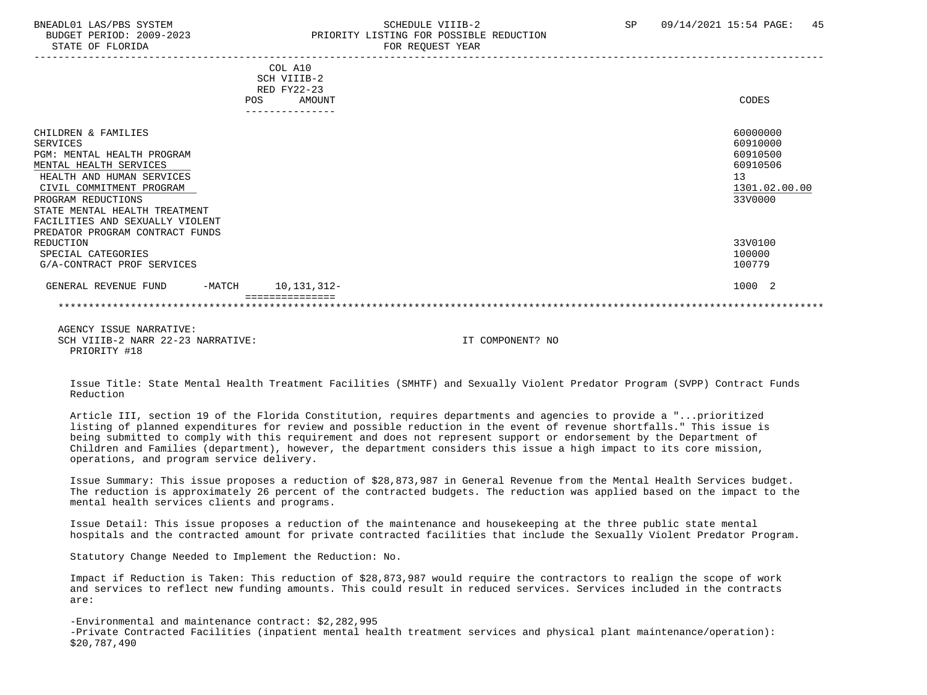STATE OF FLORIDA FOR REQUEST YEAR FOR REQUEST YEAR

### BNEADL01 LAS/PBS SYSTEM SCHEDULE VIIIB-2 SCHEDULE VIIIB-2 SP 09/14/2021 15:54 PAGE: 45 BUDGET PERIOD: 2009-2023 PRIORITY LISTING FOR POSSIBLE REDUCTION

|                                 |     | COL A10     |               |  |
|---------------------------------|-----|-------------|---------------|--|
|                                 |     | SCH VIIIB-2 |               |  |
|                                 |     | RED FY22-23 |               |  |
|                                 | POS | AMOUNT      | CODES         |  |
|                                 |     |             |               |  |
|                                 |     |             |               |  |
| CHILDREN & FAMILIES             |     |             | 60000000      |  |
| SERVICES                        |     |             | 60910000      |  |
| PGM: MENTAL HEALTH PROGRAM      |     |             | 60910500      |  |
| MENTAL HEALTH SERVICES          |     |             | 60910506      |  |
| HEALTH AND HUMAN SERVICES       |     |             | 13            |  |
| CIVIL COMMITMENT PROGRAM        |     |             | 1301.02.00.00 |  |
| PROGRAM REDUCTIONS              |     |             | 33V0000       |  |
| STATE MENTAL HEALTH TREATMENT   |     |             |               |  |
| FACILITIES AND SEXUALLY VIOLENT |     |             |               |  |
| PREDATOR PROGRAM CONTRACT FUNDS |     |             |               |  |
| REDUCTION                       |     |             | 33V0100       |  |
| SPECIAL CATEGORIES              |     |             | 100000        |  |
| G/A-CONTRACT PROF SERVICES      |     |             | 100779        |  |
| GENERAL REVENUE FUND<br>-MATCH  |     | 10,131,312- | 1000 2        |  |
|                                 |     |             |               |  |

 AGENCY ISSUE NARRATIVE: SCH VIIIB-2 NARR 22-23 NARRATIVE: IT COMPONENT? NO PRIORITY #18

 Issue Title: State Mental Health Treatment Facilities (SMHTF) and Sexually Violent Predator Program (SVPP) Contract Funds Reduction

 Article III, section 19 of the Florida Constitution, requires departments and agencies to provide a "...prioritized listing of planned expenditures for review and possible reduction in the event of revenue shortfalls." This issue is being submitted to comply with this requirement and does not represent support or endorsement by the Department of Children and Families (department), however, the department considers this issue a high impact to its core mission, operations, and program service delivery.

 Issue Summary: This issue proposes a reduction of \$28,873,987 in General Revenue from the Mental Health Services budget. The reduction is approximately 26 percent of the contracted budgets. The reduction was applied based on the impact to the mental health services clients and programs.

 Issue Detail: This issue proposes a reduction of the maintenance and housekeeping at the three public state mental hospitals and the contracted amount for private contracted facilities that include the Sexually Violent Predator Program.

Statutory Change Needed to Implement the Reduction: No.

 Impact if Reduction is Taken: This reduction of \$28,873,987 would require the contractors to realign the scope of work and services to reflect new funding amounts. This could result in reduced services. Services included in the contracts are:

 -Environmental and maintenance contract: \$2,282,995 -Private Contracted Facilities (inpatient mental health treatment services and physical plant maintenance/operation): \$20,787,490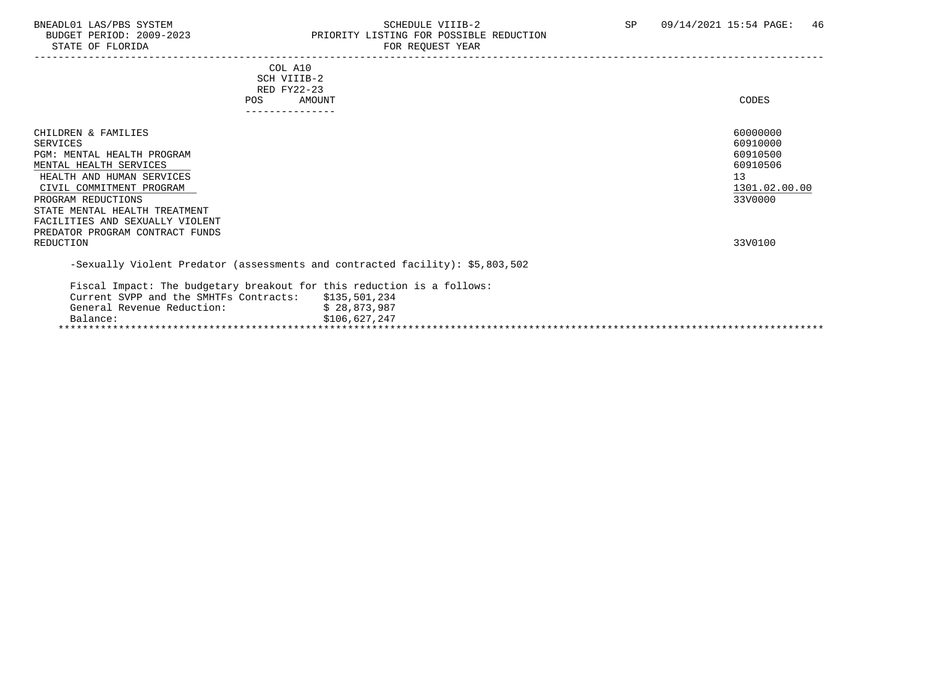# BNEADL01 LAS/PBS SYSTEM SOME SOME SCHEDULE VIIIB-2 SP 09/14/2021 15:54 PAGE: 46 PRIORITY LISTING FOR POSSIBLE REDUCTION<br>FOR REQUEST YEAR

|                               | CODES                                                                                                                                                                                                                                                                                 |
|-------------------------------|---------------------------------------------------------------------------------------------------------------------------------------------------------------------------------------------------------------------------------------------------------------------------------------|
|                               |                                                                                                                                                                                                                                                                                       |
|                               | 60000000<br>60910000<br>60910500<br>60910506<br>13<br>1301.02.00.00<br>33V0000                                                                                                                                                                                                        |
|                               | 33V0100                                                                                                                                                                                                                                                                               |
|                               |                                                                                                                                                                                                                                                                                       |
| \$28,873,987<br>\$106,627,247 |                                                                                                                                                                                                                                                                                       |
|                               | COL A10<br>SCH VIIIB-2<br>RED FY22-23<br>AMOUNT<br>---------------<br>-Sexually Violent Predator (assessments and contracted facility): \$5,803,502<br>Fiscal Impact: The budgetary breakout for this reduction is a follows:<br>Current SVPP and the SMHTFs Contracts: \$135,501,234 |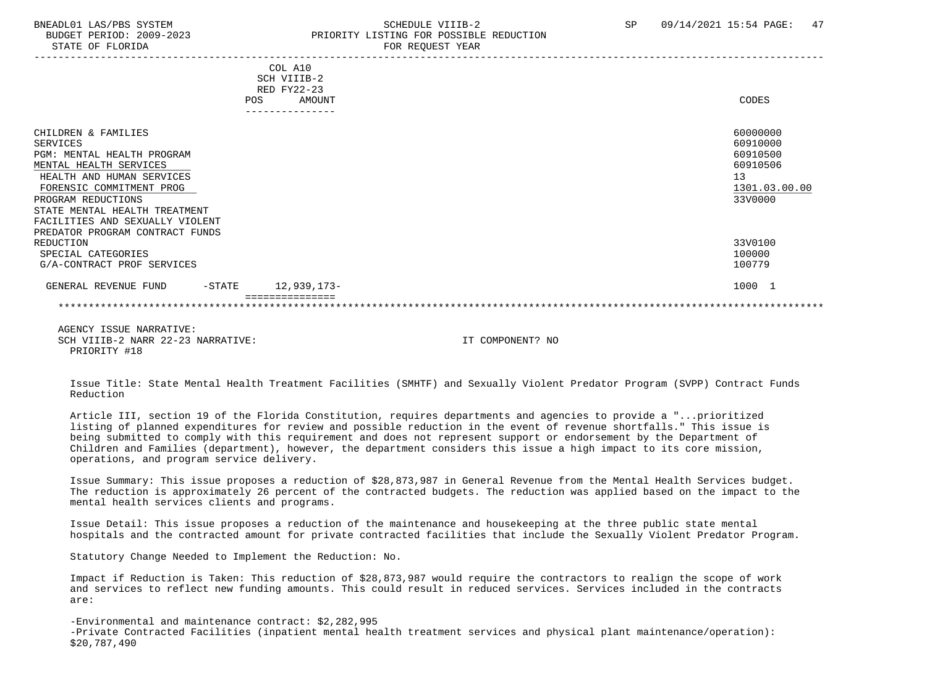STATE OF FLORIDA FOR REQUEST YEAR FOR REQUEST YEAR

### BNEADL01 LAS/PBS SYSTEM SCHEDULE VIIIB-2 SCHEDULE VIIIB-2 SP 09/14/2021 15:54 PAGE: 47 BUDGET PERIOD: 2009-2023 PRIORITY LISTING FOR POSSIBLE REDUCTION

|                                   | COL A10       |               |
|-----------------------------------|---------------|---------------|
|                                   | SCH VIIIB-2   |               |
|                                   | RED FY22-23   |               |
|                                   | POS<br>AMOUNT | CODES         |
|                                   |               |               |
| CHILDREN & FAMILIES               |               | 60000000      |
| SERVICES                          |               | 60910000      |
| PGM: MENTAL HEALTH PROGRAM        |               | 60910500      |
| MENTAL HEALTH SERVICES            |               | 60910506      |
| HEALTH AND HUMAN SERVICES         |               | 13            |
| FORENSIC COMMITMENT PROG          |               | 1301.03.00.00 |
| PROGRAM REDUCTIONS                |               | 33V0000       |
| STATE MENTAL HEALTH TREATMENT     |               |               |
| FACILITIES AND SEXUALLY VIOLENT   |               |               |
| PREDATOR PROGRAM CONTRACT FUNDS   |               |               |
| REDUCTION                         |               | 33V0100       |
| SPECIAL CATEGORIES                |               | 100000        |
| G/A-CONTRACT PROF SERVICES        |               | 100779        |
| GENERAL REVENUE FUND<br>$-$ STATE | 12,939,173-   | 1000 1        |
|                                   |               |               |

 AGENCY ISSUE NARRATIVE: SCH VIIIB-2 NARR 22-23 NARRATIVE: IT COMPONENT? NO PRIORITY #18

 Issue Title: State Mental Health Treatment Facilities (SMHTF) and Sexually Violent Predator Program (SVPP) Contract Funds Reduction

 Article III, section 19 of the Florida Constitution, requires departments and agencies to provide a "...prioritized listing of planned expenditures for review and possible reduction in the event of revenue shortfalls." This issue is being submitted to comply with this requirement and does not represent support or endorsement by the Department of Children and Families (department), however, the department considers this issue a high impact to its core mission, operations, and program service delivery.

 Issue Summary: This issue proposes a reduction of \$28,873,987 in General Revenue from the Mental Health Services budget. The reduction is approximately 26 percent of the contracted budgets. The reduction was applied based on the impact to the mental health services clients and programs.

 Issue Detail: This issue proposes a reduction of the maintenance and housekeeping at the three public state mental hospitals and the contracted amount for private contracted facilities that include the Sexually Violent Predator Program.

Statutory Change Needed to Implement the Reduction: No.

 Impact if Reduction is Taken: This reduction of \$28,873,987 would require the contractors to realign the scope of work and services to reflect new funding amounts. This could result in reduced services. Services included in the contracts are:

 -Environmental and maintenance contract: \$2,282,995 -Private Contracted Facilities (inpatient mental health treatment services and physical plant maintenance/operation): \$20,787,490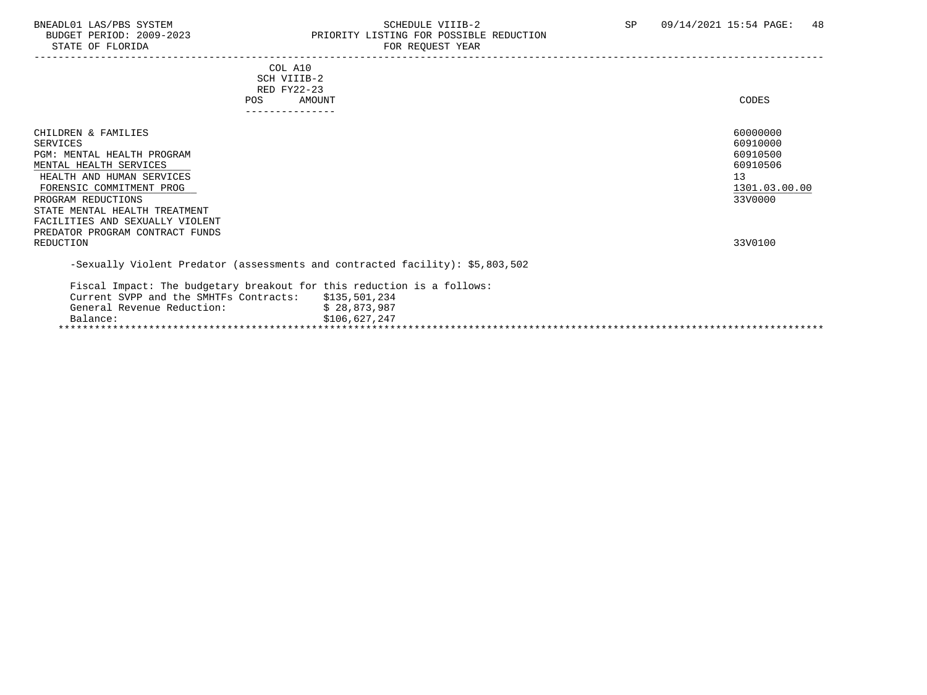# BNEADL01 LAS/PBS SYSTEM SOME SOME SCHEDULE VIIIB-2 SP 09/14/2021 15:54 PAGE: 48 PRIORITY LISTING FOR POSSIBLE REDUCTION<br>FOR REQUEST YEAR

| COL A10<br>SCH VIIIB-2<br>RED FY22-23<br>AMOUNT<br><b>POS</b><br>--------------                                                                                                                                                                                                      | CODES                                                                          |  |
|--------------------------------------------------------------------------------------------------------------------------------------------------------------------------------------------------------------------------------------------------------------------------------------|--------------------------------------------------------------------------------|--|
| CHILDREN & FAMILIES<br><b>SERVICES</b><br>PGM: MENTAL HEALTH PROGRAM<br>MENTAL HEALTH SERVICES<br>HEALTH AND HUMAN SERVICES<br>FORENSIC COMMITMENT PROG<br>PROGRAM REDUCTIONS<br>STATE MENTAL HEALTH TREATMENT<br>FACILITIES AND SEXUALLY VIOLENT<br>PREDATOR PROGRAM CONTRACT FUNDS | 60000000<br>60910000<br>60910500<br>60910506<br>13<br>1301.03.00.00<br>33V0000 |  |
| REDUCTION                                                                                                                                                                                                                                                                            | 33V0100                                                                        |  |
| -Sexually Violent Predator (assessments and contracted facility): \$5,803,502                                                                                                                                                                                                        |                                                                                |  |
| Fiscal Impact: The budgetary breakout for this reduction is a follows:<br>Current SVPP and the SMHTFs Contracts: \$135,501,234<br>General Revenue Reduction:<br>Balance:                                                                                                             | \$28,873,987<br>\$106,627,247                                                  |  |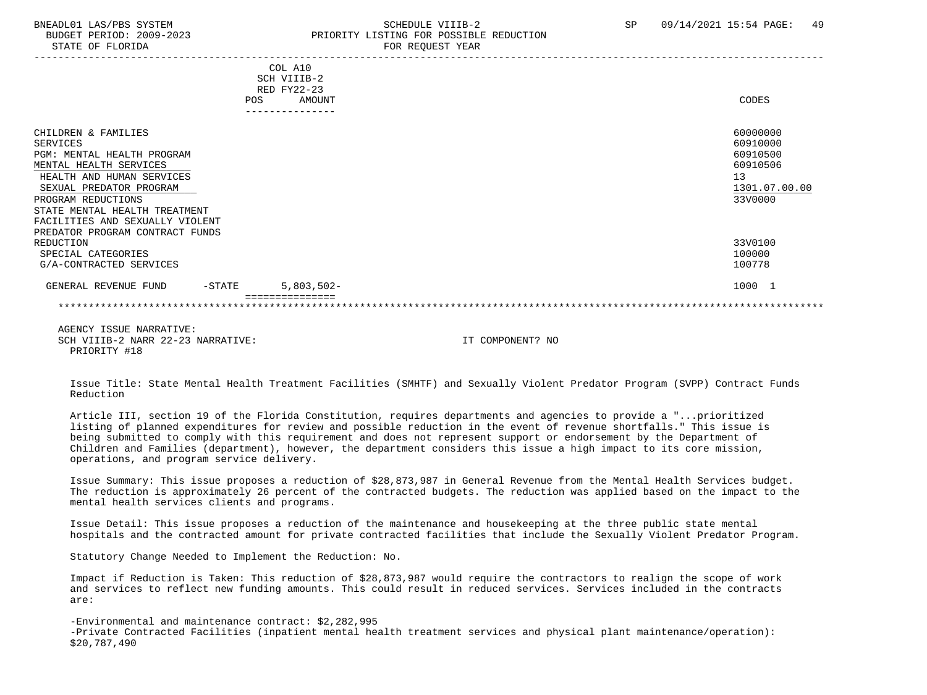#### BNEADL01 LAS/PBS SYSTEM SCHEDULE VIIIB-2 SCHEDULE VIIIB-2 SP 09/14/2021 15:54 PAGE: 49 BUDGET PERIOD: 2009-2023 PRIORITY LISTING FOR POSSIBLE REDUCTION STATE OF FLORIDA FOR REQUEST YEAR FOR REQUEST THAT THE REDUCT OF STATE OF STATE OF STATE OF STATE OF STATE OF STATE OF STATE OF STATE OF STATE OF STATE OF STATE OF STATE OF STATE OF STATE OF STATE OF STATE OF STATE OF STAT

|                                   |     | COL A10       |               |
|-----------------------------------|-----|---------------|---------------|
|                                   |     | SCH VIIIB-2   |               |
|                                   |     | RED FY22-23   |               |
|                                   | POS | <b>AMOUNT</b> | CODES         |
|                                   |     |               |               |
| CHILDREN & FAMILIES               |     |               | 60000000      |
| SERVICES                          |     |               | 60910000      |
| PGM: MENTAL HEALTH PROGRAM        |     |               | 60910500      |
| MENTAL HEALTH SERVICES            |     |               | 60910506      |
| HEALTH AND HUMAN SERVICES         |     |               | 13            |
| SEXUAL PREDATOR PROGRAM           |     |               | 1301.07.00.00 |
| PROGRAM REDUCTIONS                |     |               | 33V0000       |
| STATE MENTAL HEALTH TREATMENT     |     |               |               |
| FACILITIES AND SEXUALLY VIOLENT   |     |               |               |
| PREDATOR PROGRAM CONTRACT FUNDS   |     |               |               |
| REDUCTION                         |     |               | 33V0100       |
| SPECIAL CATEGORIES                |     |               | 100000        |
| G/A-CONTRACTED SERVICES           |     |               | 100778        |
| GENERAL REVENUE FUND<br>$-$ STATE |     | $5,803,502-$  | 1000 1        |
|                                   |     |               |               |

 AGENCY ISSUE NARRATIVE: SCH VIIIB-2 NARR 22-23 NARRATIVE: IT COMPONENT? NO PRIORITY #18

 Issue Title: State Mental Health Treatment Facilities (SMHTF) and Sexually Violent Predator Program (SVPP) Contract Funds Reduction

 Article III, section 19 of the Florida Constitution, requires departments and agencies to provide a "...prioritized listing of planned expenditures for review and possible reduction in the event of revenue shortfalls." This issue is being submitted to comply with this requirement and does not represent support or endorsement by the Department of Children and Families (department), however, the department considers this issue a high impact to its core mission, operations, and program service delivery.

 Issue Summary: This issue proposes a reduction of \$28,873,987 in General Revenue from the Mental Health Services budget. The reduction is approximately 26 percent of the contracted budgets. The reduction was applied based on the impact to the mental health services clients and programs.

 Issue Detail: This issue proposes a reduction of the maintenance and housekeeping at the three public state mental hospitals and the contracted amount for private contracted facilities that include the Sexually Violent Predator Program.

Statutory Change Needed to Implement the Reduction: No.

 Impact if Reduction is Taken: This reduction of \$28,873,987 would require the contractors to realign the scope of work and services to reflect new funding amounts. This could result in reduced services. Services included in the contracts are:

 -Environmental and maintenance contract: \$2,282,995 -Private Contracted Facilities (inpatient mental health treatment services and physical plant maintenance/operation): \$20,787,490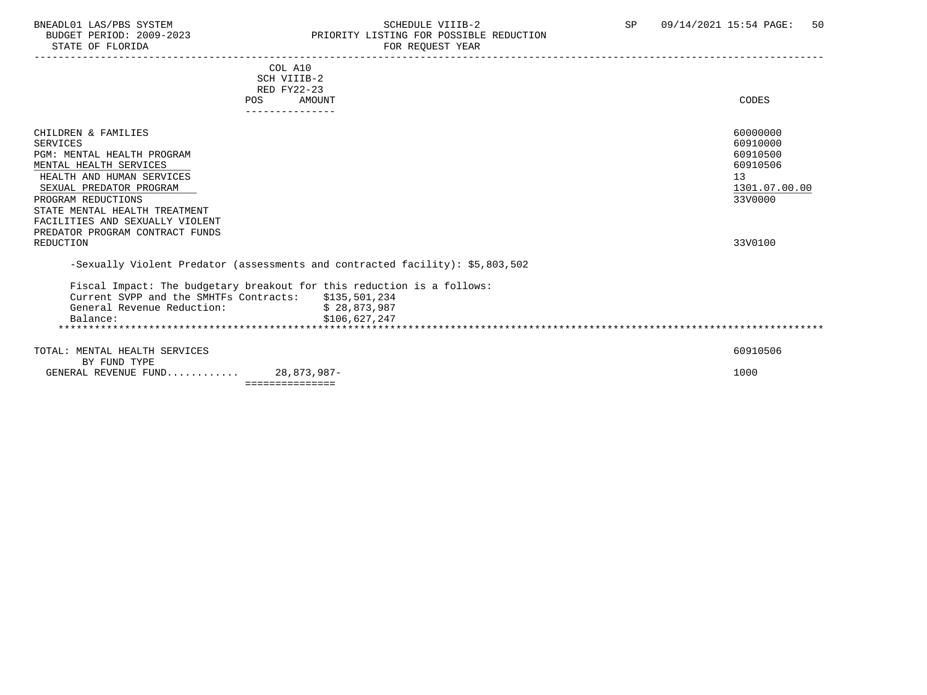### BNEADL01 LAS/PBS SYSTEM SCHEDULE VIIIB-2 SCHEDULE VIIIB-2 SP 09/14/2021 15:54 PAGE: 50 BUDGET PERIOD: 2009-2023 PRIORITY LISTING FOR POSSIBLE REDUCTION

| COL A10<br>SCH VIIIB-2<br>RED FY22-23<br>AMOUNT<br>POS<br>---------------                                                                                                                                                                                                                        | CODES                                                                                     |
|--------------------------------------------------------------------------------------------------------------------------------------------------------------------------------------------------------------------------------------------------------------------------------------------------|-------------------------------------------------------------------------------------------|
| CHILDREN & FAMILIES<br><b>SERVICES</b><br>PGM: MENTAL HEALTH PROGRAM<br>MENTAL HEALTH SERVICES<br>HEALTH AND HUMAN SERVICES<br>SEXUAL PREDATOR PROGRAM<br>PROGRAM REDUCTIONS<br>STATE MENTAL HEALTH TREATMENT<br>FACILITIES AND SEXUALLY VIOLENT<br>PREDATOR PROGRAM CONTRACT FUNDS<br>REDUCTION | 60000000<br>60910000<br>60910500<br>60910506<br>13<br>1301.07.00.00<br>33V0000<br>33V0100 |
| -Sexually Violent Predator (assessments and contracted facility): \$5,803,502<br>Fiscal Impact: The budgetary breakout for this reduction is a follows:<br>Current SVPP and the SMHTFs Contracts: \$135,501,234<br>General Revenue Reduction:<br>\$28,873,987<br>\$106,627,247<br>Balance:       |                                                                                           |
| TOTAL: MENTAL HEALTH SERVICES<br>BY FUND TYPE<br>GENERAL REVENUE FUND 28,873,987-<br>===============                                                                                                                                                                                             | 60910506<br>1000                                                                          |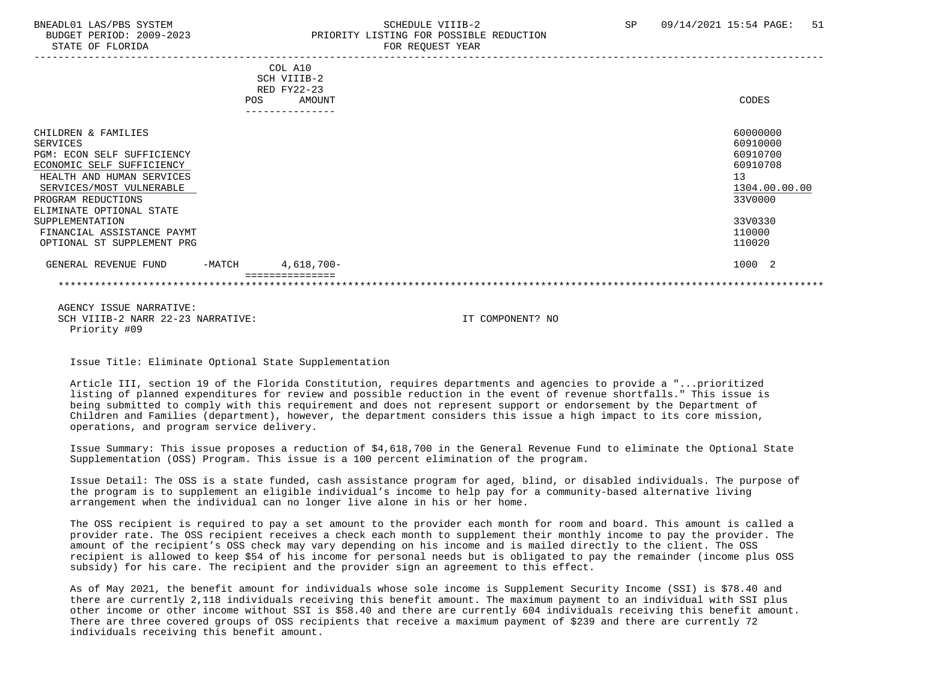#### BNEADL01 LAS/PBS SYSTEM SCHEDULE VIIIB-2 SCHEDULE VIIIB-2 SP 09/14/2021 15:54 PAGE: 51 BUDGET PERIOD: 2009-2023 PRIORITY LISTING FOR POSSIBLE REDUCTION STATE OF FLORIDA FOR REQUEST YEAR FOR REQUEST THAT AND THE STATE OF STATE OF STATE OF STATE OF STATE OF STATE OF STATE OF STATE OF STATE OF STATE OF STATE OF STATE OF STATE OF STATE OF STATE OF STATE OF STATE OF STATE OF S

|                                                                                                                                                                                                       | POS      | COL A10<br>SCH VIIIB-2<br>RED FY22-23<br>AMOUNT<br>------------- | CODES                                                                          |
|-------------------------------------------------------------------------------------------------------------------------------------------------------------------------------------------------------|----------|------------------------------------------------------------------|--------------------------------------------------------------------------------|
| CHILDREN & FAMILIES<br>SERVICES<br>PGM: ECON SELF SUFFICIENCY<br>ECONOMIC SELF SUFFICIENCY<br>HEALTH AND HUMAN SERVICES<br>SERVICES/MOST VULNERABLE<br>PROGRAM REDUCTIONS<br>ELIMINATE OPTIONAL STATE |          |                                                                  | 60000000<br>60910000<br>60910700<br>60910708<br>13<br>1304.00.00.00<br>33V0000 |
| SUPPLEMENTATION<br>FINANCIAL ASSISTANCE PAYMT<br>OPTIONAL ST SUPPLEMENT PRG                                                                                                                           |          |                                                                  | 33V0330<br>110000<br>110020                                                    |
| GENERAL REVENUE FUND                                                                                                                                                                                  | $-MATCH$ | 4,618,700-                                                       | 1000 2                                                                         |
|                                                                                                                                                                                                       |          |                                                                  |                                                                                |

 AGENCY ISSUE NARRATIVE: SCH VIIIB-2 NARR 22-23 NARRATIVE: IT COMPONENT? NO Priority #09

Issue Title: Eliminate Optional State Supplementation

 Article III, section 19 of the Florida Constitution, requires departments and agencies to provide a "...prioritized listing of planned expenditures for review and possible reduction in the event of revenue shortfalls." This issue is being submitted to comply with this requirement and does not represent support or endorsement by the Department of Children and Families (department), however, the department considers this issue a high impact to its core mission, operations, and program service delivery.

 Issue Summary: This issue proposes a reduction of \$4,618,700 in the General Revenue Fund to eliminate the Optional State Supplementation (OSS) Program. This issue is a 100 percent elimination of the program.

 Issue Detail: The OSS is a state funded, cash assistance program for aged, blind, or disabled individuals. The purpose of the program is to supplement an eligible individual's income to help pay for a community-based alternative living arrangement when the individual can no longer live alone in his or her home.

 The OSS recipient is required to pay a set amount to the provider each month for room and board. This amount is called a provider rate. The OSS recipient receives a check each month to supplement their monthly income to pay the provider. The amount of the recipient's OSS check may vary depending on his income and is mailed directly to the client. The OSS recipient is allowed to keep \$54 of his income for personal needs but is obligated to pay the remainder (income plus OSS subsidy) for his care. The recipient and the provider sign an agreement to this effect.

 As of May 2021, the benefit amount for individuals whose sole income is Supplement Security Income (SSI) is \$78.40 and there are currently 2,118 individuals receiving this benefit amount. The maximum payment to an individual with SSI plus other income or other income without SSI is \$58.40 and there are currently 604 individuals receiving this benefit amount. There are three covered groups of OSS recipients that receive a maximum payment of \$239 and there are currently 72 individuals receiving this benefit amount.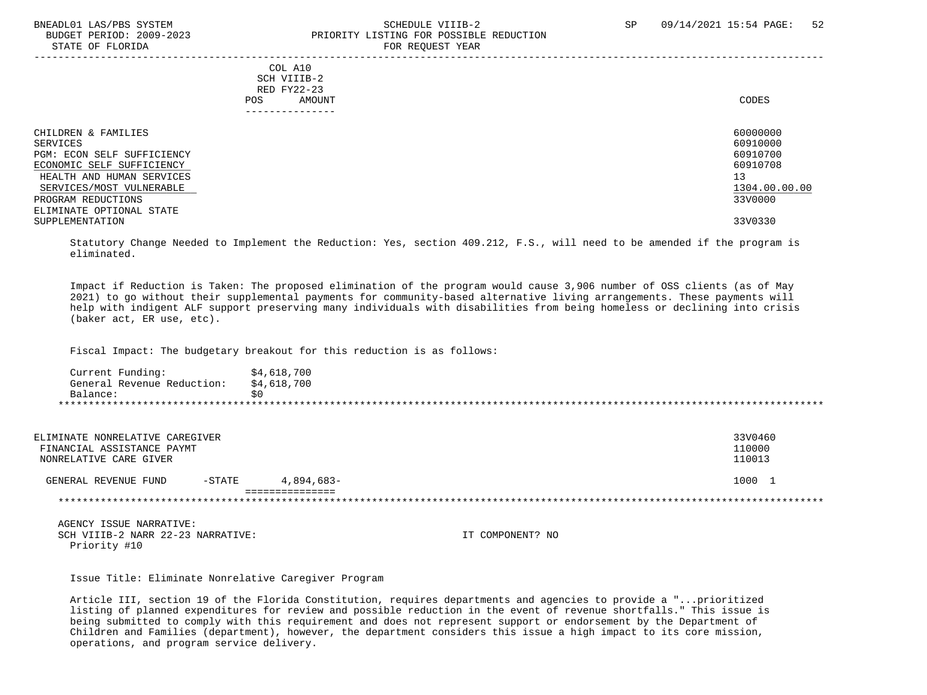#### BNEADL01 LAS/PBS SYSTEM SCHEDULE VIIIB-2 SCHEDULE VIIIB-2 SP 09/14/2021 15:54 PAGE: 52 BUDGET PERIOD: 2009-2023 PRIORITY LISTING FOR POSSIBLE REDUCTION STATE OF FLORIDA FOR REQUEST YEAR FOR REQUEST THAT AND THE STATE OF STATE OF STATE OF STATE OF STATE OF STATE O

| COL A10<br>SCH VIIIB-2<br>RED FY22-23<br>AMOUNT<br>POS.<br>--------------                                                                                                                             | CODES                                                                          |
|-------------------------------------------------------------------------------------------------------------------------------------------------------------------------------------------------------|--------------------------------------------------------------------------------|
| CHILDREN & FAMILIES<br>SERVICES<br>PGM: ECON SELF SUFFICIENCY<br>ECONOMIC SELF SUFFICIENCY<br>HEALTH AND HUMAN SERVICES<br>SERVICES/MOST VULNERABLE<br>PROGRAM REDUCTIONS<br>ELIMINATE OPTIONAL STATE | 60000000<br>60910000<br>60910700<br>60910708<br>13<br>1304.00.00.00<br>33V0000 |
| SUPPLEMENTATION                                                                                                                                                                                       | 33V0330                                                                        |

 Statutory Change Needed to Implement the Reduction: Yes, section 409.212, F.S., will need to be amended if the program is eliminated.

 Impact if Reduction is Taken: The proposed elimination of the program would cause 3,906 number of OSS clients (as of May 2021) to go without their supplemental payments for community-based alternative living arrangements. These payments will help with indigent ALF support preserving many individuals with disabilities from being homeless or declining into crisis (baker act, ER use, etc).

Fiscal Impact: The budgetary breakout for this reduction is as follows:

| Current Funding:           | \$4,618,700 |
|----------------------------|-------------|
| General Revenue Reduction: | \$4,618,700 |
| Balance:                   |             |
|                            |             |

| ELIMINATE NONRELATIVE CAREGIVER<br>FINANCIAL ASSISTANCE PAYMT<br>NONRELATIVE CARE GIVER |           |            | 33V0460<br>110000<br>110013 |
|-----------------------------------------------------------------------------------------|-----------|------------|-----------------------------|
| GENERAL REVENUE FUND                                                                    | $-$ STATE | 4,894,683- | 1000                        |
|                                                                                         |           |            |                             |

 AGENCY ISSUE NARRATIVE: SCH VIIIB-2 NARR 22-23 NARRATIVE: IT COMPONENT? NO Priority #10

Issue Title: Eliminate Nonrelative Caregiver Program

 Article III, section 19 of the Florida Constitution, requires departments and agencies to provide a "...prioritized listing of planned expenditures for review and possible reduction in the event of revenue shortfalls." This issue is being submitted to comply with this requirement and does not represent support or endorsement by the Department of Children and Families (department), however, the department considers this issue a high impact to its core mission, operations, and program service delivery.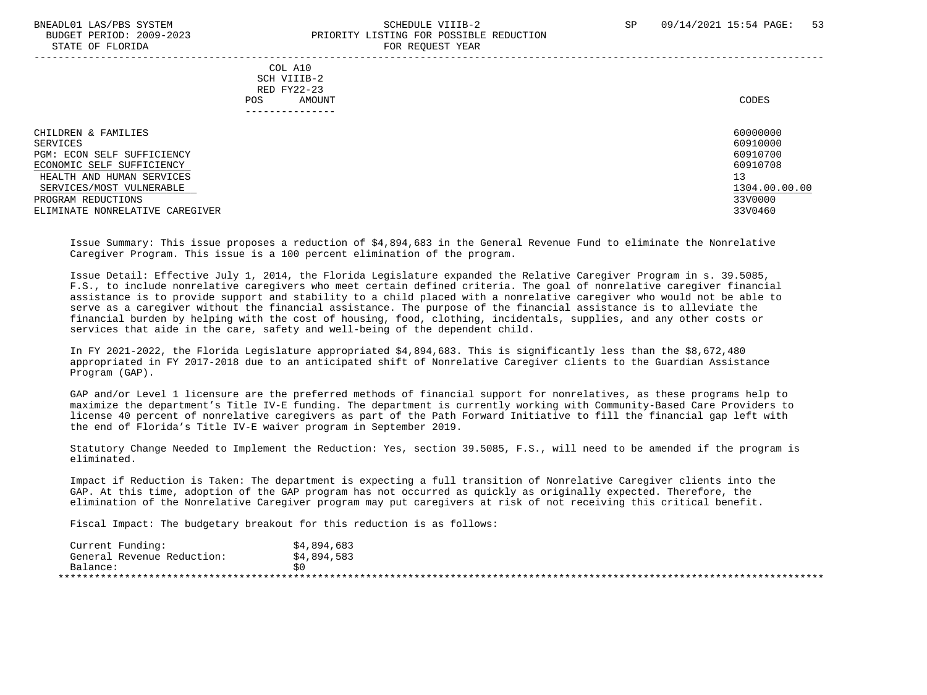STATE OF FLORIDA

## BNEADL01 LAS/PBS SYSTEM SCHEDULE VIIIB-2 SCHEDULE VIIIB-2 SP 09/14/2021 15:54 PAGE: 53 BUDGET PERIOD: 2009-2023<br>
STATE OF FLORIDA

| $0.1111$ $01$ $1.10111$                                                                                                                                                                                      |                                                         | TOR ROQUEDI ILIR |                                                                                     |
|--------------------------------------------------------------------------------------------------------------------------------------------------------------------------------------------------------------|---------------------------------------------------------|------------------|-------------------------------------------------------------------------------------|
|                                                                                                                                                                                                              | COL A10<br>SCH VIIIB-2<br>RED FY22-23<br>AMOUNT<br>POS. |                  | CODES                                                                               |
| CHILDREN & FAMILIES<br>SERVICES<br>PGM: ECON SELF SUFFICIENCY<br>ECONOMIC SELF SUFFICIENCY<br>HEALTH AND HUMAN SERVICES<br>SERVICES/MOST VULNERABLE<br>PROGRAM REDUCTIONS<br>ELIMINATE NONRELATIVE CAREGIVER |                                                         | 13               | 60000000<br>60910000<br>60910700<br>60910708<br>1304.00.00.00<br>33V0000<br>33V0460 |

 Issue Summary: This issue proposes a reduction of \$4,894,683 in the General Revenue Fund to eliminate the Nonrelative Caregiver Program. This issue is a 100 percent elimination of the program.

 Issue Detail: Effective July 1, 2014, the Florida Legislature expanded the Relative Caregiver Program in s. 39.5085, F.S., to include nonrelative caregivers who meet certain defined criteria. The goal of nonrelative caregiver financial assistance is to provide support and stability to a child placed with a nonrelative caregiver who would not be able to serve as a caregiver without the financial assistance. The purpose of the financial assistance is to alleviate the financial burden by helping with the cost of housing, food, clothing, incidentals, supplies, and any other costs or services that aide in the care, safety and well-being of the dependent child.

 In FY 2021-2022, the Florida Legislature appropriated \$4,894,683. This is significantly less than the \$8,672,480 appropriated in FY 2017-2018 due to an anticipated shift of Nonrelative Caregiver clients to the Guardian Assistance Program (GAP).

 GAP and/or Level 1 licensure are the preferred methods of financial support for nonrelatives, as these programs help to maximize the department's Title IV-E funding. The department is currently working with Community-Based Care Providers to license 40 percent of nonrelative caregivers as part of the Path Forward Initiative to fill the financial gap left with the end of Florida's Title IV-E waiver program in September 2019.

 Statutory Change Needed to Implement the Reduction: Yes, section 39.5085, F.S., will need to be amended if the program is eliminated.

 Impact if Reduction is Taken: The department is expecting a full transition of Nonrelative Caregiver clients into the GAP. At this time, adoption of the GAP program has not occurred as quickly as originally expected. Therefore, the elimination of the Nonrelative Caregiver program may put caregivers at risk of not receiving this critical benefit.

Fiscal Impact: The budgetary breakout for this reduction is as follows:

| Current Funding:           | \$4,894,683 |
|----------------------------|-------------|
| General Revenue Reduction: | \$4,894,583 |
| Balance:                   |             |
|                            |             |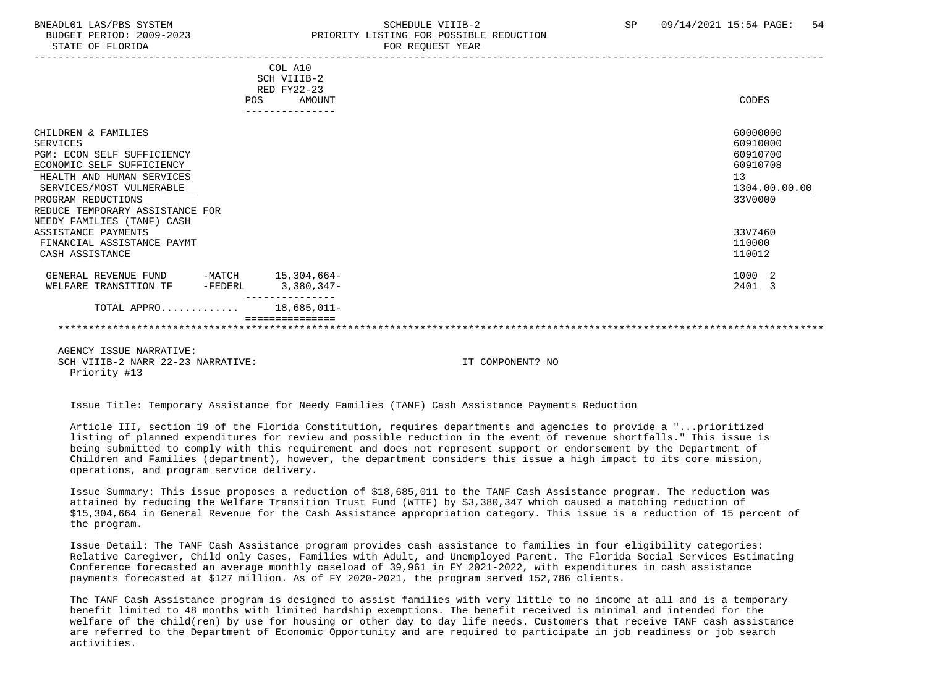#### BNEADL01 LAS/PBS SYSTEM SCHEDULE VIIIB-2 SCHEDULE VIIIB-2 SP 09/14/2021 15:54 PAGE: 54 BUDGET PERIOD: 2009-2023 PRIORITY LISTING FOR POSSIBLE REDUCTION STATE OF FLORIDA FOR REQUEST YEAR FOR REQUEST THAT AND THE STATE OF STATE OF STATE OF STATE OF STATE OF STATE OF STATE OF STATE OF STATE OF STATE OF STATE OF STATE OF STATE OF STATE OF STATE OF STATE OF STATE OF STATE OF S

|                                   | COL A10            |    |               |
|-----------------------------------|--------------------|----|---------------|
|                                   | SCH VIIIB-2        |    |               |
|                                   | RED FY22-23        |    |               |
|                                   | POS<br>AMOUNT      |    | CODES         |
|                                   |                    |    |               |
| CHILDREN & FAMILIES               |                    |    | 60000000      |
| SERVICES                          |                    |    | 60910000      |
| <b>PGM: ECON SELF SUFFICIENCY</b> |                    |    | 60910700      |
| ECONOMIC SELF SUFFICIENCY         |                    |    | 60910708      |
| HEALTH AND HUMAN SERVICES         |                    | 13 |               |
| SERVICES/MOST VULNERABLE          |                    |    | 1304.00.00.00 |
| PROGRAM REDUCTIONS                |                    |    | 33V0000       |
| REDUCE TEMPORARY ASSISTANCE FOR   |                    |    |               |
| NEEDY FAMILIES (TANF) CASH        |                    |    |               |
| ASSISTANCE PAYMENTS               |                    |    | 33V7460       |
| FINANCIAL ASSISTANCE PAYMT        |                    |    | 110000        |
| CASH ASSISTANCE                   |                    |    | 110012        |
|                                   |                    |    |               |
| GENERAL REVENUE FUND              | -MATCH 15,304,664- |    | 1000 2        |
| WELFARE TRANSITION TF<br>-FEDERL  | 3,380,347-         |    | 2401 3        |
| TOTAL APPRO                       | 18,685,011-        |    |               |
|                                   |                    |    |               |

 AGENCY ISSUE NARRATIVE: SCH VIIIB-2 NARR 22-23 NARRATIVE: IT COMPONENT? NO Priority #13

Issue Title: Temporary Assistance for Needy Families (TANF) Cash Assistance Payments Reduction

 Article III, section 19 of the Florida Constitution, requires departments and agencies to provide a "...prioritized listing of planned expenditures for review and possible reduction in the event of revenue shortfalls." This issue is being submitted to comply with this requirement and does not represent support or endorsement by the Department of Children and Families (department), however, the department considers this issue a high impact to its core mission, operations, and program service delivery.

 Issue Summary: This issue proposes a reduction of \$18,685,011 to the TANF Cash Assistance program. The reduction was attained by reducing the Welfare Transition Trust Fund (WTTF) by \$3,380,347 which caused a matching reduction of \$15,304,664 in General Revenue for the Cash Assistance appropriation category. This issue is a reduction of 15 percent of the program.

 Issue Detail: The TANF Cash Assistance program provides cash assistance to families in four eligibility categories: Relative Caregiver, Child only Cases, Families with Adult, and Unemployed Parent. The Florida Social Services Estimating Conference forecasted an average monthly caseload of 39,961 in FY 2021-2022, with expenditures in cash assistance payments forecasted at \$127 million. As of FY 2020-2021, the program served 152,786 clients.

 The TANF Cash Assistance program is designed to assist families with very little to no income at all and is a temporary benefit limited to 48 months with limited hardship exemptions. The benefit received is minimal and intended for the welfare of the child(ren) by use for housing or other day to day life needs. Customers that receive TANF cash assistance are referred to the Department of Economic Opportunity and are required to participate in job readiness or job search activities.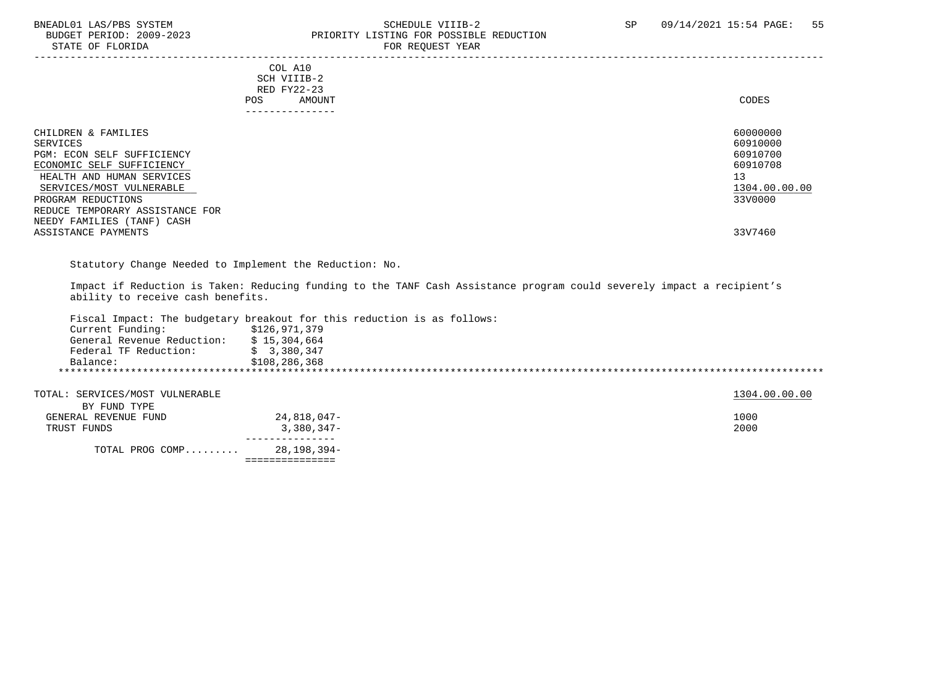#### BNEADL01 LAS/PBS SYSTEM SCHEDULE VIIIB-2 SCHEDULE VIIIB-2 SP 09/14/2021 15:54 PAGE: 55<br>BUDGET PERIOD: 2009-2023 PRIORITY LISTING FOR POSSIBLE REDUCTION PRIORITY LISTING FOR POSSIBLE REDUCTION STATE OF FLORIDA **FOR REQUEST YEAR**

-----------------------------------------------------------------------------------------------------------------------------------

|     | --------------- |       |
|-----|-----------------|-------|
| POS | AMOUNT          | CODES |
|     | RED FY22-23     |       |
|     | SCH VIIIB-2     |       |
| COL | A10             |       |

| CHILDREN & FAMILIES             | 60000000      |
|---------------------------------|---------------|
|                                 |               |
| SERVICES                        | 60910000      |
| PGM: ECON SELF SUFFICIENCY      | 60910700      |
| ECONOMIC SELF SUFFICIENCY       | 60910708      |
| HEALTH AND HUMAN SERVICES       | 13            |
| SERVICES/MOST VULNERABLE        | 1304.00.00.00 |
| PROGRAM REDUCTIONS              | 33V0000       |
| REDUCE TEMPORARY ASSISTANCE FOR |               |
| NEEDY FAMILIES (TANF) CASH      |               |
| ASSISTANCE PAYMENTS             | 33V7460       |

Statutory Change Needed to Implement the Reduction: No.

 Impact if Reduction is Taken: Reducing funding to the TANF Cash Assistance program could severely impact a recipient's ability to receive cash benefits.

|                            | Fiscal Impact: The budgetary breakout for this reduction is as follows: |
|----------------------------|-------------------------------------------------------------------------|
| Current Funding:           | \$126,971,379                                                           |
| General Revenue Reduction: | \$15,304,664                                                            |
| Federal TF Reduction:      | \$3,380,347                                                             |
| Balance:                   | \$108,286,368                                                           |

| TOTAL: SERVICES/MOST VULNERABLE |              | 1304.00.00.00 |
|---------------------------------|--------------|---------------|
| BY FUND TYPE                    |              |               |
| GENERAL REVENUE FUND            | 24,818,047-  | 1000          |
| TRUST FUNDS                     | $3,380,347-$ | 2000          |
|                                 |              |               |
| TOTAL PROG COMP                 | 28,198,394-  |               |
|                                 |              |               |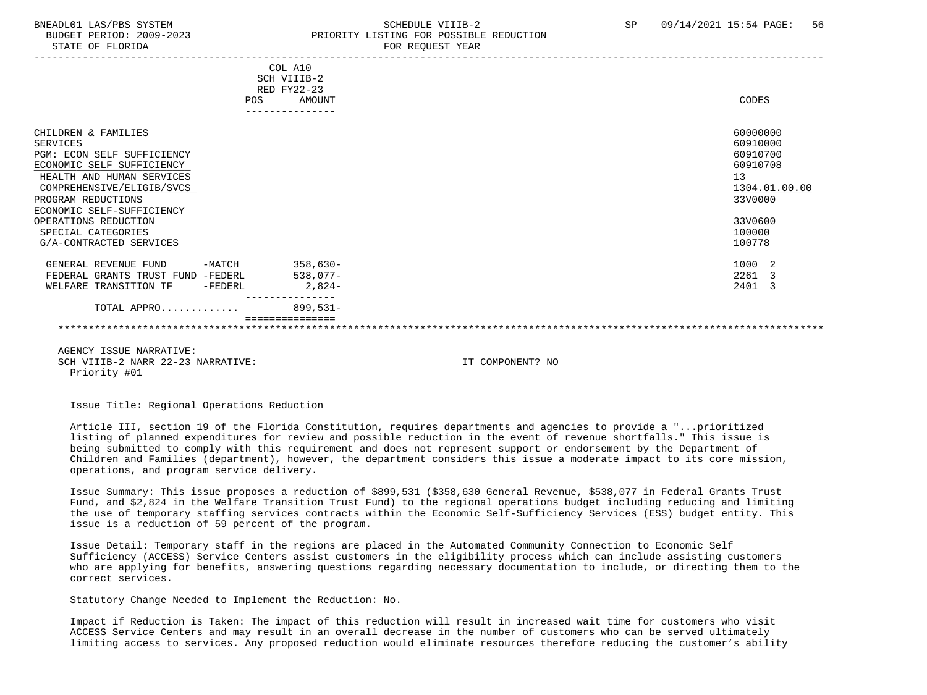#### BNEADL01 LAS/PBS SYSTEM SCHEDULE VIIIB-2 SCHEDULE VIIIB-2 SP 09/14/2021 15:54 PAGE: 56 BUDGET PERIOD: 2009-2023 PRIORITY LISTING FOR POSSIBLE REDUCTION STATE OF FLORIDA FOR REQUEST YEAR FOR REQUEST THAT AND THE STATE OF STATE OF STATE OF STATE OF STATE OF STATE OF STATE OF STATE OF STATE OF STATE OF STATE OF STATE OF STATE OF STATE OF STATE OF STATE OF STATE OF STATE OF S

|                                   |           | COL A10     |               |
|-----------------------------------|-----------|-------------|---------------|
|                                   |           | SCH VIIIB-2 |               |
|                                   |           | RED FY22-23 |               |
|                                   | POS       | AMOUNT      | CODES         |
|                                   |           |             |               |
|                                   |           |             |               |
| CHILDREN & FAMILIES               |           |             | 60000000      |
| SERVICES                          |           |             | 60910000      |
| PGM: ECON SELF SUFFICIENCY        |           |             | 60910700      |
| ECONOMIC SELF SUFFICIENCY         |           |             | 60910708      |
|                                   |           |             |               |
| HEALTH AND HUMAN SERVICES         |           |             | 13            |
| COMPREHENSIVE/ELIGIB/SVCS         |           |             | 1304.01.00.00 |
| PROGRAM REDUCTIONS                |           |             | 33V0000       |
| ECONOMIC SELF-SUFFICIENCY         |           |             |               |
| OPERATIONS REDUCTION              |           |             | 33V0600       |
| SPECIAL CATEGORIES                |           |             | 100000        |
| G/A-CONTRACTED SERVICES           |           |             | 100778        |
|                                   |           |             |               |
| GENERAL REVENUE FUND              | -MATCH    | $358,630-$  | 1000 2        |
| FEDERAL GRANTS TRUST FUND -FEDERL |           | $538,077-$  | 2261 3        |
| WELFARE TRANSITION TF             | $-FEDERL$ | $2,824-$    | 2401 3        |
|                                   |           |             |               |
| TOTAL APPRO                       |           | $899,531-$  |               |
|                                   |           |             |               |
|                                   |           |             |               |
|                                   |           |             |               |

 AGENCY ISSUE NARRATIVE: SCH VIIIB-2 NARR 22-23 NARRATIVE: IT COMPONENT? NO Priority #01

Issue Title: Regional Operations Reduction

 Article III, section 19 of the Florida Constitution, requires departments and agencies to provide a "...prioritized listing of planned expenditures for review and possible reduction in the event of revenue shortfalls." This issue is being submitted to comply with this requirement and does not represent support or endorsement by the Department of Children and Families (department), however, the department considers this issue a moderate impact to its core mission, operations, and program service delivery.

 Issue Summary: This issue proposes a reduction of \$899,531 (\$358,630 General Revenue, \$538,077 in Federal Grants Trust Fund, and \$2,824 in the Welfare Transition Trust Fund) to the regional operations budget including reducing and limiting the use of temporary staffing services contracts within the Economic Self-Sufficiency Services (ESS) budget entity. This issue is a reduction of 59 percent of the program.

 Issue Detail: Temporary staff in the regions are placed in the Automated Community Connection to Economic Self Sufficiency (ACCESS) Service Centers assist customers in the eligibility process which can include assisting customers who are applying for benefits, answering questions regarding necessary documentation to include, or directing them to the correct services.

Statutory Change Needed to Implement the Reduction: No.

 Impact if Reduction is Taken: The impact of this reduction will result in increased wait time for customers who visit ACCESS Service Centers and may result in an overall decrease in the number of customers who can be served ultimately limiting access to services. Any proposed reduction would eliminate resources therefore reducing the customer's ability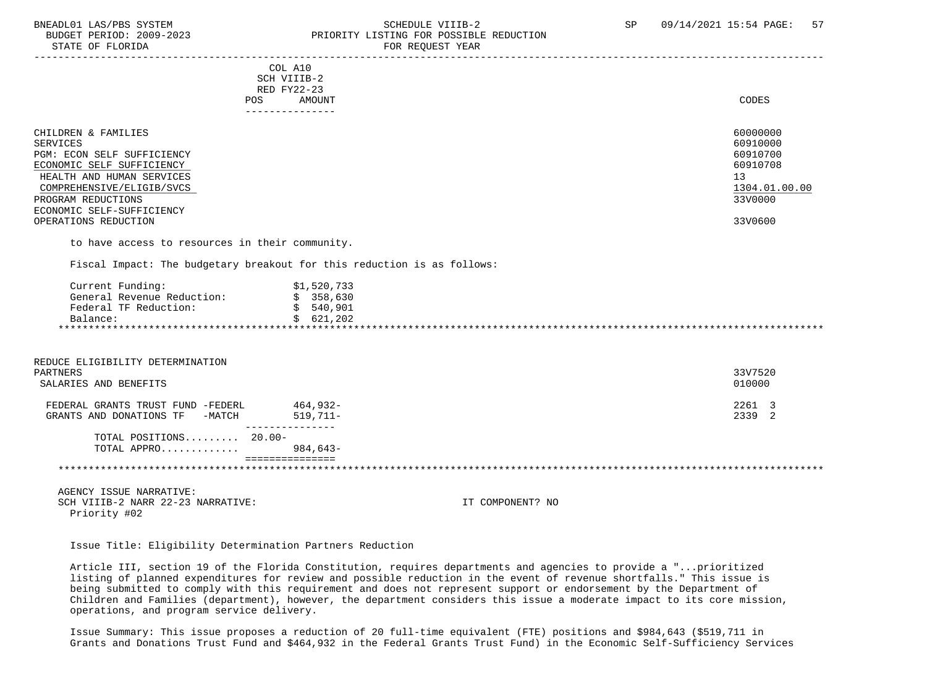#### BNEADL01 LAS/PBS SYSTEM SCHEDULE VIIIB-2 SCHEDULE VIIIB-2 SP 09/14/2021 15:54 PAGE: 57<br>BUDGET PERIOD: 2009-2023 PRIORITY LISTING FOR POSSIBLE REDUCTION BUDGET PERIOD: 2009-2023 PRIORITY LISTING FOR POSSIBLE REDUCTION<br>STATE OF FLORIDA PERIORIC PERIOR REGUEST YEAR FOR REQUEST YEAR

|                                                                         | COL A10         |             |  |  |               |
|-------------------------------------------------------------------------|-----------------|-------------|--|--|---------------|
|                                                                         | SCH VIIIB-2     |             |  |  |               |
|                                                                         | RED FY22-23     |             |  |  |               |
| POS                                                                     |                 | AMOUNT      |  |  | CODES         |
|                                                                         | --------------- |             |  |  |               |
| CHILDREN & FAMILIES                                                     |                 |             |  |  | 60000000      |
| SERVICES                                                                |                 |             |  |  | 60910000      |
| PGM: ECON SELF SUFFICIENCY                                              |                 |             |  |  | 60910700      |
| ECONOMIC SELF SUFFICIENCY                                               |                 |             |  |  | 60910708      |
| HEALTH AND HUMAN SERVICES                                               |                 |             |  |  | 13            |
| COMPREHENSIVE/ELIGIB/SVCS                                               |                 |             |  |  | 1304.01.00.00 |
| PROGRAM REDUCTIONS                                                      |                 |             |  |  | 33V0000       |
| ECONOMIC SELF-SUFFICIENCY                                               |                 |             |  |  |               |
| OPERATIONS REDUCTION                                                    |                 |             |  |  | 33V0600       |
| to have access to resources in their community.                         |                 |             |  |  |               |
| Fiscal Impact: The budgetary breakout for this reduction is as follows: |                 |             |  |  |               |
| Current Funding:                                                        |                 | \$1,520,733 |  |  |               |
| General Revenue Reduction:                                              |                 | \$358,630   |  |  |               |
| Federal TF Reduction:                                                   |                 | \$540,901   |  |  |               |
| Balance:                                                                |                 | \$621, 202  |  |  |               |
|                                                                         |                 |             |  |  |               |
|                                                                         |                 |             |  |  |               |
|                                                                         |                 |             |  |  |               |
| REDUCE ELIGIBILITY DETERMINATION                                        |                 |             |  |  |               |

| PARTNERS<br>SALARIES AND BENEFITS                                   |                        | 33V7520<br>010000 |
|---------------------------------------------------------------------|------------------------|-------------------|
| FEDERAL GRANTS TRUST FUND -FEDERL<br>GRANTS AND DONATIONS TF -MATCH | 464,932-<br>$519.711-$ | 2261 3<br>2339 2  |
| TOTAL POSITIONS $20.00 -$<br>TOTAL APPRO 984,643-                   |                        |                   |

\*\*\*\*\*\*\*\*\*\*\*\*\*\*\*\*\*\*\*\*\*\*\*\*\*\*\*\*\*\*\*\*\*\*\*\*\*\*\*\*\*\*\*\*\*\*\*\*\*\*\*\*\*\*\*\*\*\*\*\*\*\*\*\*\*\*\*\*\*\*\*\*\*\*\*\*\*\*\*\*\*\*\*\*\*\*\*\*\*\*\*\*\*\*\*\*\*\*\*\*\*\*\*\*\*\*\*\*\*\*\*\*\*\*\*\*\*\*\*\*\*\*\*\*\*\*\*

 AGENCY ISSUE NARRATIVE: SCH VIIIB-2 NARR 22-23 NARRATIVE: IT COMPONENT? NO Priority #02

Issue Title: Eligibility Determination Partners Reduction

 Article III, section 19 of the Florida Constitution, requires departments and agencies to provide a "...prioritized listing of planned expenditures for review and possible reduction in the event of revenue shortfalls." This issue is being submitted to comply with this requirement and does not represent support or endorsement by the Department of Children and Families (department), however, the department considers this issue a moderate impact to its core mission, operations, and program service delivery.

 Issue Summary: This issue proposes a reduction of 20 full-time equivalent (FTE) positions and \$984,643 (\$519,711 in Grants and Donations Trust Fund and \$464,932 in the Federal Grants Trust Fund) in the Economic Self-Sufficiency Services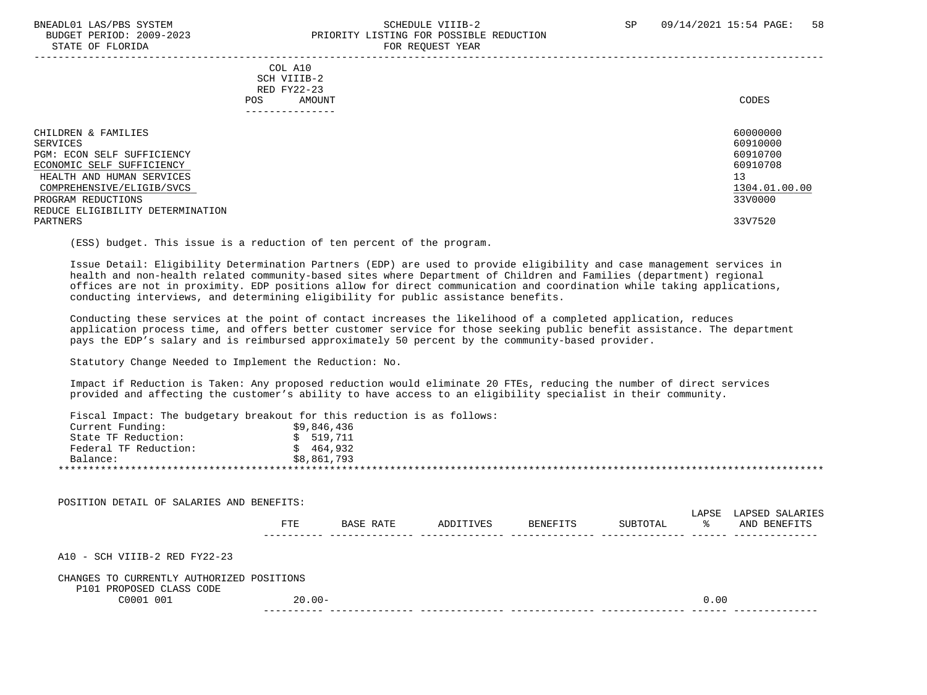#### BNEADL01 LAS/PBS SYSTEM SCHEDULE VIIIB-2 SCHEDULE VIIIB-2 SP 09/14/2021 15:54 PAGE: 58 BUDGET PERIOD: 2009-2023 PRIORITY LISTING FOR POSSIBLE REDUCTION STATE OF FLORIDA FOR REQUEST YEAR FOR REQUEST THAT THE REDUCT OF STATE OF STATE OF STATE OF STATE OF STATE OF STATE OF STATE OF STATE OF STATE OF STATE OF STATE OF STATE OF STATE OF STATE OF STATE OF STATE OF STATE OF STAT

|                                                                                                                                                                            | - --- --- <u>-</u> ---- - -----                                            |                                                                                |
|----------------------------------------------------------------------------------------------------------------------------------------------------------------------------|----------------------------------------------------------------------------|--------------------------------------------------------------------------------|
|                                                                                                                                                                            | COL A10<br>SCH VIIIB-2<br>RED FY22-23<br>AMOUNT<br>POS.<br>--------------- | CODES                                                                          |
| CHILDREN & FAMILIES<br>SERVICES<br>PGM: ECON SELF SUFFICIENCY<br>ECONOMIC SELF SUFFICIENCY<br>HEALTH AND HUMAN SERVICES<br>COMPREHENSIVE/ELIGIB/SVCS<br>PROGRAM REDUCTIONS |                                                                            | 60000000<br>60910000<br>60910700<br>60910708<br>13<br>1304.01.00.00<br>33V0000 |
| REDUCE ELIGIBILITY DETERMINATION<br>PARTNERS                                                                                                                               |                                                                            | 33V7520                                                                        |

(ESS) budget. This issue is a reduction of ten percent of the program.

 Issue Detail: Eligibility Determination Partners (EDP) are used to provide eligibility and case management services in health and non-health related community-based sites where Department of Children and Families (department) regional offices are not in proximity. EDP positions allow for direct communication and coordination while taking applications, conducting interviews, and determining eligibility for public assistance benefits.

 Conducting these services at the point of contact increases the likelihood of a completed application, reduces application process time, and offers better customer service for those seeking public benefit assistance. The department pays the EDP's salary and is reimbursed approximately 50 percent by the community-based provider.

Statutory Change Needed to Implement the Reduction: No.

 Impact if Reduction is Taken: Any proposed reduction would eliminate 20 FTEs, reducing the number of direct services provided and affecting the customer's ability to have access to an eligibility specialist in their community.

Fiscal Impact: The budgetary breakout for this reduction is as follows:

| Current Funding:      | \$9,846,436 |
|-----------------------|-------------|
| State TF Reduction:   | 519.711     |
| Federal TF Reduction: | 464,932     |
| Balance:              | \$8,861,793 |
|                       |             |

| POSITION DETAIL OF SALARIES AND BENEFITS:                             |            |           |           |          |          |             |                                 |
|-----------------------------------------------------------------------|------------|-----------|-----------|----------|----------|-------------|---------------------------------|
|                                                                       | <b>FTE</b> | BASE RATE | ADDITIVES | BENEFITS | SUBTOTAL | LAPSE<br>ႜႜ | LAPSED SALARIES<br>AND BENEFITS |
| $A10 - SCH VIIIB-2 RED FY22-23$                                       |            |           |           |          |          |             |                                 |
| CHANGES TO CURRENTLY AUTHORIZED POSITIONS<br>P101 PROPOSED CLASS CODE |            |           |           |          |          |             |                                 |
| C0001 001                                                             | $20.00 -$  |           |           |          |          | 0.00        |                                 |
|                                                                       |            |           |           |          |          |             |                                 |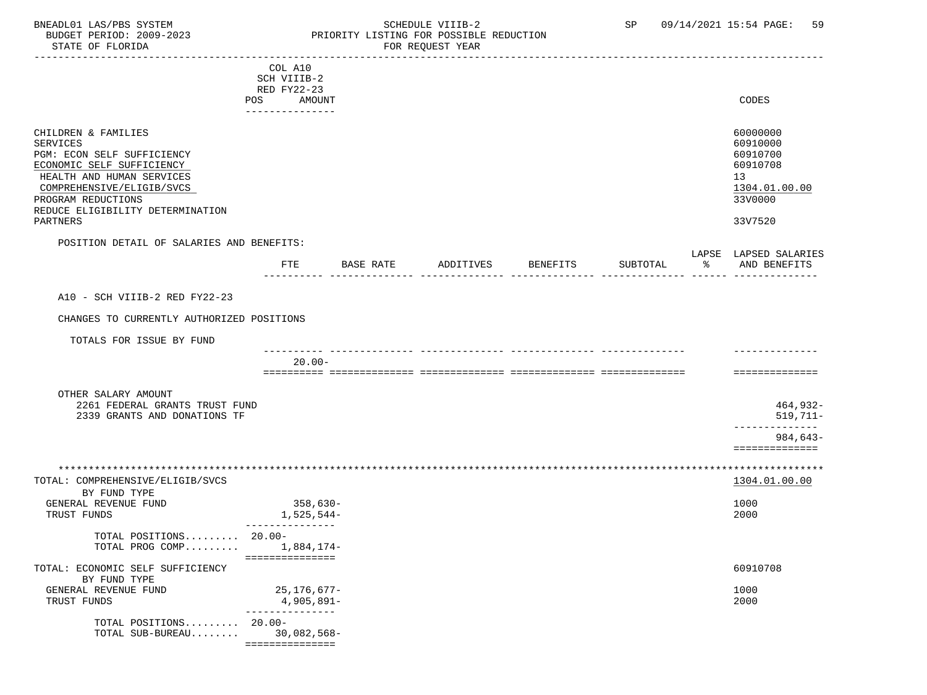### BNEADL01 LAS/PBS SYSTEM SOME SOME SCHEDULE VIIIB-2 SP 09/14/2021 15:54 PAGE: 59<br>BUDGET PERIOD: 2009-2023 RESORTTY LISTING FOR POSSIBLE REDUCTION BUDGET PERIOD: 2009-2023 PRIORITY LISTING FOR POSSIBLE REDUCTION<br>FOR REQUEST YEAR FOR REQUEST YEAR

|                                                                                                                                                                                                                            | COL A10<br>SCH VIIIB-2<br>RED FY22-23        |           |           |          |          |                                                                                           |
|----------------------------------------------------------------------------------------------------------------------------------------------------------------------------------------------------------------------------|----------------------------------------------|-----------|-----------|----------|----------|-------------------------------------------------------------------------------------------|
|                                                                                                                                                                                                                            | AMOUNT<br>POS<br><u> Le Belese Belese de</u> |           |           |          |          | CODES                                                                                     |
| CHILDREN & FAMILIES<br>SERVICES<br>PGM: ECON SELF SUFFICIENCY<br>ECONOMIC SELF SUFFICIENCY<br>HEALTH AND HUMAN SERVICES<br>COMPREHENSIVE/ELIGIB/SVCS<br>PROGRAM REDUCTIONS<br>REDUCE ELIGIBILITY DETERMINATION<br>PARTNERS |                                              |           |           |          |          | 60000000<br>60910000<br>60910700<br>60910708<br>13<br>1304.01.00.00<br>33V0000<br>33V7520 |
| POSITION DETAIL OF SALARIES AND BENEFITS:                                                                                                                                                                                  |                                              |           |           |          |          | LAPSE LAPSED SALARIES                                                                     |
|                                                                                                                                                                                                                            | FTE                                          | BASE RATE | ADDITIVES | BENEFITS | SUBTOTAL | % AND BENEFITS                                                                            |
| A10 - SCH VIIIB-2 RED FY22-23                                                                                                                                                                                              |                                              |           |           |          |          |                                                                                           |
| CHANGES TO CURRENTLY AUTHORIZED POSITIONS                                                                                                                                                                                  |                                              |           |           |          |          |                                                                                           |
| TOTALS FOR ISSUE BY FUND                                                                                                                                                                                                   |                                              |           |           |          |          |                                                                                           |
|                                                                                                                                                                                                                            | $20.00 -$                                    |           |           |          |          | ==============                                                                            |
| OTHER SALARY AMOUNT<br>2261 FEDERAL GRANTS TRUST FUND<br>2339 GRANTS AND DONATIONS TF                                                                                                                                      |                                              |           |           |          |          | 464,932-<br>$519,711-$                                                                    |
|                                                                                                                                                                                                                            |                                              |           |           |          |          | ----------<br>$984,643-$<br>==============                                                |
|                                                                                                                                                                                                                            |                                              |           |           |          |          |                                                                                           |
| TOTAL: COMPREHENSIVE/ELIGIB/SVCS<br>BY FUND TYPE                                                                                                                                                                           |                                              |           |           |          |          | 1304.01.00.00                                                                             |
| GENERAL REVENUE FUND<br>TRUST FUNDS                                                                                                                                                                                        | $358,630-$<br>1,525,544-                     |           |           |          |          | 1000<br>2000                                                                              |
| TOTAL POSITIONS 20.00-<br>TOTAL PROG COMP $1,884,174-$                                                                                                                                                                     | ===============                              |           |           |          |          |                                                                                           |
| TOTAL: ECONOMIC SELF SUFFICIENCY<br>BY FUND TYPE                                                                                                                                                                           |                                              |           |           |          |          | 60910708                                                                                  |
| GENERAL REVENUE FUND<br>TRUST FUNDS                                                                                                                                                                                        | 25,176,677-<br>4,905,891-<br>--------------- |           |           |          |          | 1000<br>2000                                                                              |
| TOTAL POSITIONS 20.00-<br>TOTAL SUB-BUREAU                                                                                                                                                                                 | $30,082,568 -$<br>===============            |           |           |          |          |                                                                                           |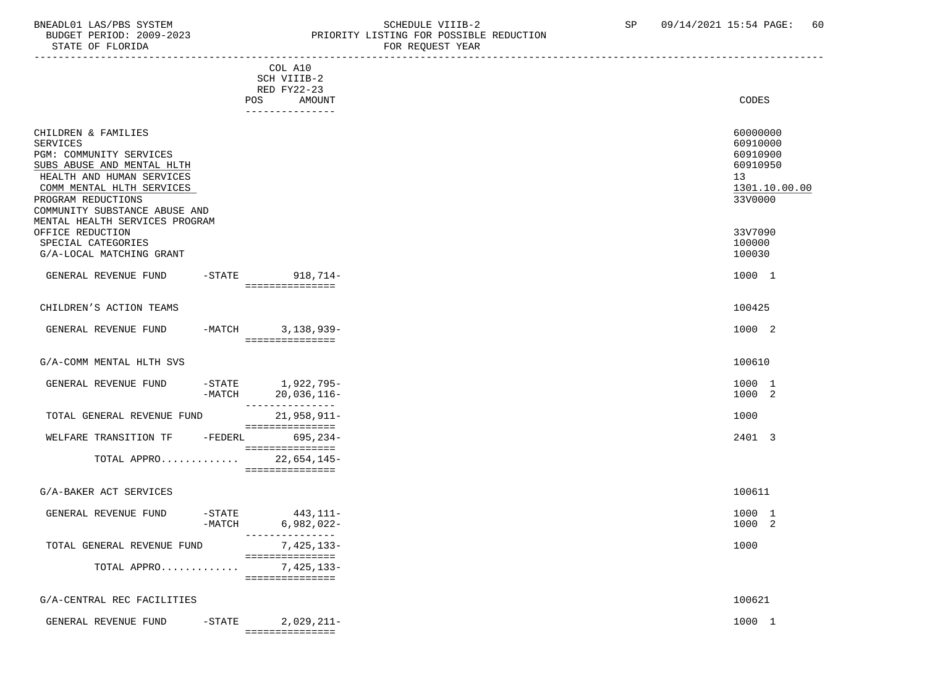STATE OF FLORIDA

# BNEADL01 LAS/PBS SYSTEM SCHEDULE VIIIB-2 SCHEDULE VIIIB-2 SP 09/14/2021 15:54 PAGE: 60<br>BUDGET PERIOD: 2009-2023 PRIORITY LISTING FOR POSSIBLE REDUCTION PRIORITY LISTING FOR POSSIBLE REDUCTION<br>FOR REQUEST YEAR

|                                                                                                                                                                                                                                                                                              | COL A10<br>SCH VIIIB-2<br>RED FY22-23<br>AMOUNT<br>POS<br>_______________ | CODES                                                                                               |
|----------------------------------------------------------------------------------------------------------------------------------------------------------------------------------------------------------------------------------------------------------------------------------------------|---------------------------------------------------------------------------|-----------------------------------------------------------------------------------------------------|
| CHILDREN & FAMILIES<br><b>SERVICES</b><br>PGM: COMMUNITY SERVICES<br>SUBS ABUSE AND MENTAL HLTH<br>HEALTH AND HUMAN SERVICES<br>COMM MENTAL HLTH SERVICES<br>PROGRAM REDUCTIONS<br>COMMUNITY SUBSTANCE ABUSE AND<br>MENTAL HEALTH SERVICES PROGRAM<br>OFFICE REDUCTION<br>SPECIAL CATEGORIES |                                                                           | 60000000<br>60910000<br>60910900<br>60910950<br>13<br>1301.10.00.00<br>33V0000<br>33V7090<br>100000 |
| G/A-LOCAL MATCHING GRANT                                                                                                                                                                                                                                                                     |                                                                           | 100030                                                                                              |
| GENERAL REVENUE FUND                                                                                                                                                                                                                                                                         | -STATE 918,714-                                                           | 1000 1                                                                                              |
|                                                                                                                                                                                                                                                                                              | ===============                                                           |                                                                                                     |
| CHILDREN'S ACTION TEAMS                                                                                                                                                                                                                                                                      |                                                                           | 100425                                                                                              |
| GENERAL REVENUE FUND<br>$-MATCH$                                                                                                                                                                                                                                                             | $3,138,939-$<br>===============                                           | 1000 2                                                                                              |
| G/A-COMM MENTAL HLTH SVS                                                                                                                                                                                                                                                                     |                                                                           | 100610                                                                                              |
| GENERAL REVENUE FUND<br>$-MATCH$                                                                                                                                                                                                                                                             | -STATE 1,922,795-<br>20,036,116-<br>---------------                       | 1000 1<br>1000 2                                                                                    |
| TOTAL GENERAL REVENUE FUND                                                                                                                                                                                                                                                                   | 21,958,911-<br>===============                                            | 1000                                                                                                |
| WELFARE TRANSITION TF<br>$-FEDERL$                                                                                                                                                                                                                                                           | 695,234-<br>===============                                               | 2401 3                                                                                              |
| TOTAL APPRO                                                                                                                                                                                                                                                                                  | 22,654,145-<br>===============                                            |                                                                                                     |
| G/A-BAKER ACT SERVICES                                                                                                                                                                                                                                                                       |                                                                           | 100611                                                                                              |
| GENERAL REVENUE FUND<br>$-$ STATE<br>$-MATCH$                                                                                                                                                                                                                                                | 443,111-<br>$6,982,022-$<br>---------------                               | 1000 1<br>1000 2                                                                                    |
| TOTAL GENERAL REVENUE FUND                                                                                                                                                                                                                                                                   | 7,425,133-<br>===============                                             | 1000                                                                                                |
| TOTAL APPRO                                                                                                                                                                                                                                                                                  | 7,425,133-<br>===============                                             |                                                                                                     |
| G/A-CENTRAL REC FACILITIES                                                                                                                                                                                                                                                                   |                                                                           | 100621                                                                                              |
|                                                                                                                                                                                                                                                                                              |                                                                           |                                                                                                     |
| GENERAL REVENUE FUND<br>$-STATE$                                                                                                                                                                                                                                                             | $2,029,211-$<br>===============                                           | 1000 1                                                                                              |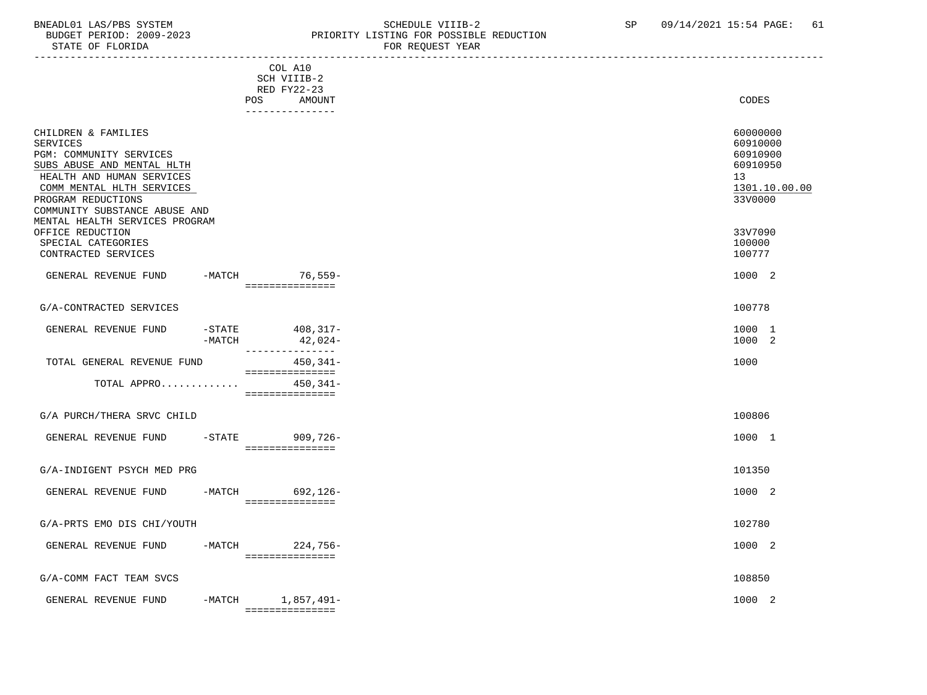#### BNEADL01 LAS/PBS SYSTEM SALLE STRING THE SCHEDULE VIIIB-2 SP 09/14/2021 15:54 PAGE: 61 BUDGET PERIOD: 2009-2023 PRIORITY LISTING FOR POSSIBLE REDUCTION FOR REQUEST YEAR

|                                                                                                                                                                                                                                                    |        | COL A10<br>SCH VIIIB-2<br>RED FY22-23           |                                                                                             |
|----------------------------------------------------------------------------------------------------------------------------------------------------------------------------------------------------------------------------------------------------|--------|-------------------------------------------------|---------------------------------------------------------------------------------------------|
|                                                                                                                                                                                                                                                    |        | POS<br>AMOUNT<br>---------------                | <b>CODES</b>                                                                                |
| CHILDREN & FAMILIES<br><b>SERVICES</b><br>PGM: COMMUNITY SERVICES<br>SUBS ABUSE AND MENTAL HLTH<br>HEALTH AND HUMAN SERVICES<br>COMM MENTAL HLTH SERVICES<br>PROGRAM REDUCTIONS<br>COMMUNITY SUBSTANCE ABUSE AND<br>MENTAL HEALTH SERVICES PROGRAM |        |                                                 | 60000000<br>60910000<br>60910900<br>60910950<br>13 <sup>°</sup><br>1301.10.00.00<br>33V0000 |
| OFFICE REDUCTION<br>SPECIAL CATEGORIES<br>CONTRACTED SERVICES                                                                                                                                                                                      |        |                                                 | 33V7090<br>100000<br>100777                                                                 |
| GENERAL REVENUE FUND                                                                                                                                                                                                                               |        | -MATCH 76,559-<br>________________              | 1000 2                                                                                      |
| G/A-CONTRACTED SERVICES                                                                                                                                                                                                                            |        |                                                 | 100778                                                                                      |
| GENERAL REVENUE FUND                                                                                                                                                                                                                               | -MATCH | -STATE 408,317-<br>$42,024-$<br>--------------- | 1000 1<br>1000 2                                                                            |
| TOTAL GENERAL REVENUE FUND                                                                                                                                                                                                                         |        | $450, 341 -$<br>===============                 | 1000                                                                                        |
| TOTAL APPRO                                                                                                                                                                                                                                        |        | $450, 341 -$<br>===============                 |                                                                                             |
| G/A PURCH/THERA SRVC CHILD                                                                                                                                                                                                                         |        |                                                 | 100806                                                                                      |
| GENERAL REVENUE FUND                                                                                                                                                                                                                               |        | -STATE 909,726-<br>- ================           | 1000 1                                                                                      |
| G/A-INDIGENT PSYCH MED PRG                                                                                                                                                                                                                         |        |                                                 | 101350                                                                                      |
| GENERAL REVENUE FUND                                                                                                                                                                                                                               |        | -MATCH 692, 126-<br>________________            | 1000 2                                                                                      |
| G/A-PRTS EMO DIS CHI/YOUTH                                                                                                                                                                                                                         |        |                                                 | 102780                                                                                      |
| GENERAL REVENUE FUND                                                                                                                                                                                                                               |        | -MATCH 224,756-<br>_____________________        | 1000 2                                                                                      |
| G/A-COMM FACT TEAM SVCS                                                                                                                                                                                                                            |        |                                                 | 108850                                                                                      |
| GENERAL REVENUE FUND                                                                                                                                                                                                                               |        | -MATCH 1,857,491-<br>================           | 1000 2                                                                                      |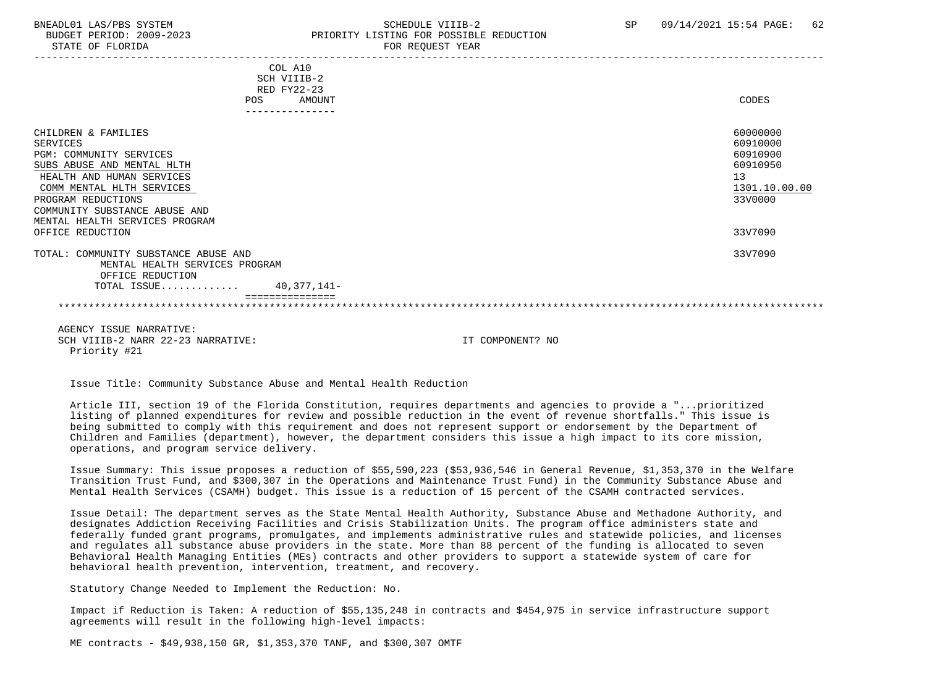#### BNEADL01 LAS/PBS SYSTEM SCHEDULE VIIIB-2 SCHEDULE VIIIB-2 SP 09/14/2021 15:54 PAGE: 62 BUDGET PERIOD: 2009-2023 PRIORITY LISTING FOR POSSIBLE REDUCTION STATE OF FLORIDA FOR REQUEST YEAR FOR REQUEST YEAR

| COL A10                              |               |
|--------------------------------------|---------------|
| SCH VIIIB-2<br>RED FY22-23           |               |
| AMOUNT<br><b>POS</b>                 | CODES         |
| ---------------                      |               |
|                                      |               |
| CHILDREN & FAMILIES                  | 60000000      |
| <b>SERVICES</b>                      | 60910000      |
| PGM: COMMUNITY SERVICES              | 60910900      |
| SUBS ABUSE AND MENTAL HLTH           | 60910950      |
| HEALTH AND HUMAN SERVICES            | 13            |
| COMM MENTAL HLTH SERVICES            | 1301.10.00.00 |
| PROGRAM REDUCTIONS                   | 33V0000       |
| COMMUNITY SUBSTANCE ABUSE AND        |               |
| MENTAL HEALTH SERVICES PROGRAM       |               |
| OFFICE REDUCTION                     | 33V7090       |
| TOTAL: COMMUNITY SUBSTANCE ABUSE AND | 33V7090       |
| MENTAL HEALTH SERVICES PROGRAM       |               |
| OFFICE REDUCTION                     |               |
| TOTAL ISSUE 40,377,141-              |               |
|                                      |               |
|                                      |               |
|                                      |               |

 AGENCY ISSUE NARRATIVE: SCH VIIIB-2 NARR 22-23 NARRATIVE: IT COMPONENT? NO Priority #21

Issue Title: Community Substance Abuse and Mental Health Reduction

 Article III, section 19 of the Florida Constitution, requires departments and agencies to provide a "...prioritized listing of planned expenditures for review and possible reduction in the event of revenue shortfalls." This issue is being submitted to comply with this requirement and does not represent support or endorsement by the Department of Children and Families (department), however, the department considers this issue a high impact to its core mission, operations, and program service delivery.

 Issue Summary: This issue proposes a reduction of \$55,590,223 (\$53,936,546 in General Revenue, \$1,353,370 in the Welfare Transition Trust Fund, and \$300,307 in the Operations and Maintenance Trust Fund) in the Community Substance Abuse and Mental Health Services (CSAMH) budget. This issue is a reduction of 15 percent of the CSAMH contracted services.

 Issue Detail: The department serves as the State Mental Health Authority, Substance Abuse and Methadone Authority, and designates Addiction Receiving Facilities and Crisis Stabilization Units. The program office administers state and federally funded grant programs, promulgates, and implements administrative rules and statewide policies, and licenses and regulates all substance abuse providers in the state. More than 88 percent of the funding is allocated to seven Behavioral Health Managing Entities (MEs) contracts and other providers to support a statewide system of care for behavioral health prevention, intervention, treatment, and recovery.

Statutory Change Needed to Implement the Reduction: No.

 Impact if Reduction is Taken: A reduction of \$55,135,248 in contracts and \$454,975 in service infrastructure support agreements will result in the following high-level impacts:

ME contracts - \$49,938,150 GR, \$1,353,370 TANF, and \$300,307 OMTF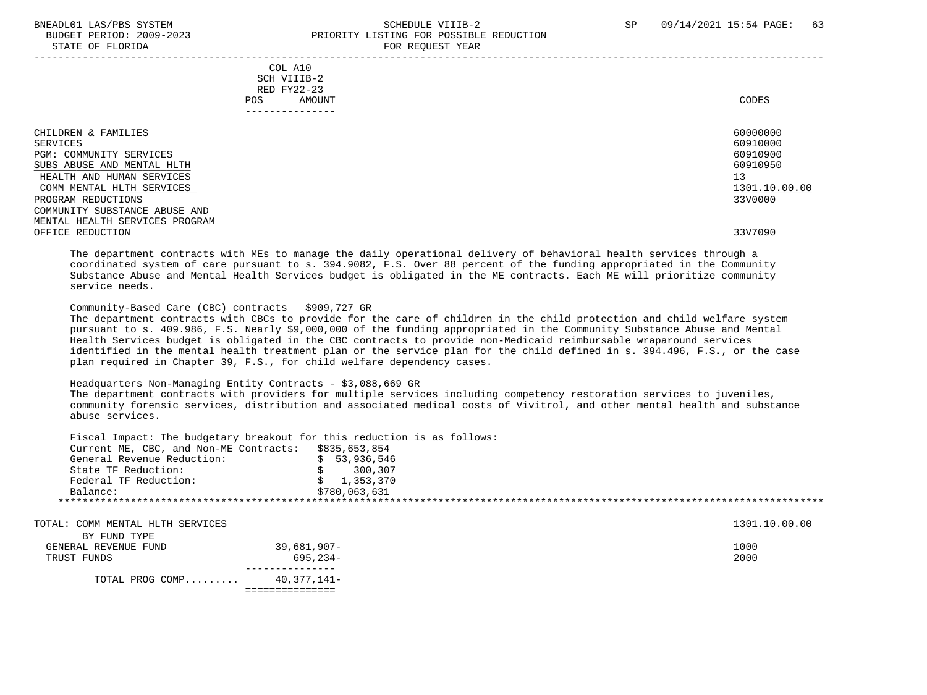#### BNEADL01 LAS/PBS SYSTEM SCHEDULE VIIIB-2 SCHEDULE VIIIB-2 SP 09/14/2021 15:54 PAGE: 63 BUDGET PERIOD: 2009-2023 PRIORITY LISTING FOR POSSIBLE REDUCTION STATE OF FLORIDA FOR REQUEST YEAR FOR REQUEST YEAR

|                                                                                                                                                                                                                                                                 | POS. | COL A10<br>SCH VIIIB-2<br>RED FY22-23<br>AMOUNT                                                                 | CODES                                                                                     |
|-----------------------------------------------------------------------------------------------------------------------------------------------------------------------------------------------------------------------------------------------------------------|------|-----------------------------------------------------------------------------------------------------------------|-------------------------------------------------------------------------------------------|
|                                                                                                                                                                                                                                                                 |      | ---------------                                                                                                 |                                                                                           |
| CHILDREN & FAMILIES<br>SERVICES<br>PGM: COMMUNITY SERVICES<br>SUBS ABUSE AND MENTAL HLTH<br>HEALTH AND HUMAN SERVICES<br>COMM MENTAL HLTH SERVICES<br>PROGRAM REDUCTIONS<br>COMMUNITY SUBSTANCE ABUSE AND<br>MENTAL HEALTH SERVICES PROGRAM<br>OFFICE REDUCTION |      |                                                                                                                 | 60000000<br>60910000<br>60910900<br>60910950<br>13<br>1301.10.00.00<br>33V0000<br>33V7090 |
|                                                                                                                                                                                                                                                                 |      | rent and the state of the state of the state of the state of the state of the state of the state of the state o |                                                                                           |

 The department contracts with MEs to manage the daily operational delivery of behavioral health services through a coordinated system of care pursuant to s. 394.9082, F.S. Over 88 percent of the funding appropriated in the Community Substance Abuse and Mental Health Services budget is obligated in the ME contracts. Each ME will prioritize community service needs.

Community-Based Care (CBC) contracts \$909,727 GR

 The department contracts with CBCs to provide for the care of children in the child protection and child welfare system pursuant to s. 409.986, F.S. Nearly \$9,000,000 of the funding appropriated in the Community Substance Abuse and Mental Health Services budget is obligated in the CBC contracts to provide non-Medicaid reimbursable wraparound services identified in the mental health treatment plan or the service plan for the child defined in s. 394.496, F.S., or the case plan required in Chapter 39, F.S., for child welfare dependency cases.

#### Headquarters Non-Managing Entity Contracts - \$3,088,669 GR

 The department contracts with providers for multiple services including competency restoration services to juveniles, community forensic services, distribution and associated medical costs of Vivitrol, and other mental health and substance abuse services.

 Fiscal Impact: The budgetary breakout for this reduction is as follows: Current ME, CBC, and Non-ME Contracts: \$835,653,854<br>General Revenue Reduction: \$ 53,936,546 General Revenue Reduction:  $\frac{1}{5}$  53,936,546<br>State TF Reduction:  $\frac{1}{5}$  300.307 State TF Reduction:  $\frac{1}{5}$  300,307<br>Federal TF Reduction:  $\frac{1}{5}$  300,370 Federal TF Reduction: Balance: \$780,063,631 \*\*\*\*\*\*\*\*\*\*\*\*\*\*\*\*\*\*\*\*\*\*\*\*\*\*\*\*\*\*\*\*\*\*\*\*\*\*\*\*\*\*\*\*\*\*\*\*\*\*\*\*\*\*\*\*\*\*\*\*\*\*\*\*\*\*\*\*\*\*\*\*\*\*\*\*\*\*\*\*\*\*\*\*\*\*\*\*\*\*\*\*\*\*\*\*\*\*\*\*\*\*\*\*\*\*\*\*\*\*\*\*\*\*\*\*\*\*\*\*\*\*\*\*\*\*\*

TOTAL: COMM MENTAL HLTH SERVICES 1301.10.00.00 ALL TOTAL: COMM MENTAL HLTH SERVICES

| TOTAL PROG COMP      | 40.377.141- |
|----------------------|-------------|
| TRUST FUNDS          | 695,234-    |
| GENERAL REVENUE FUND | 39,681,907- |
| BY FUND TYPE         |             |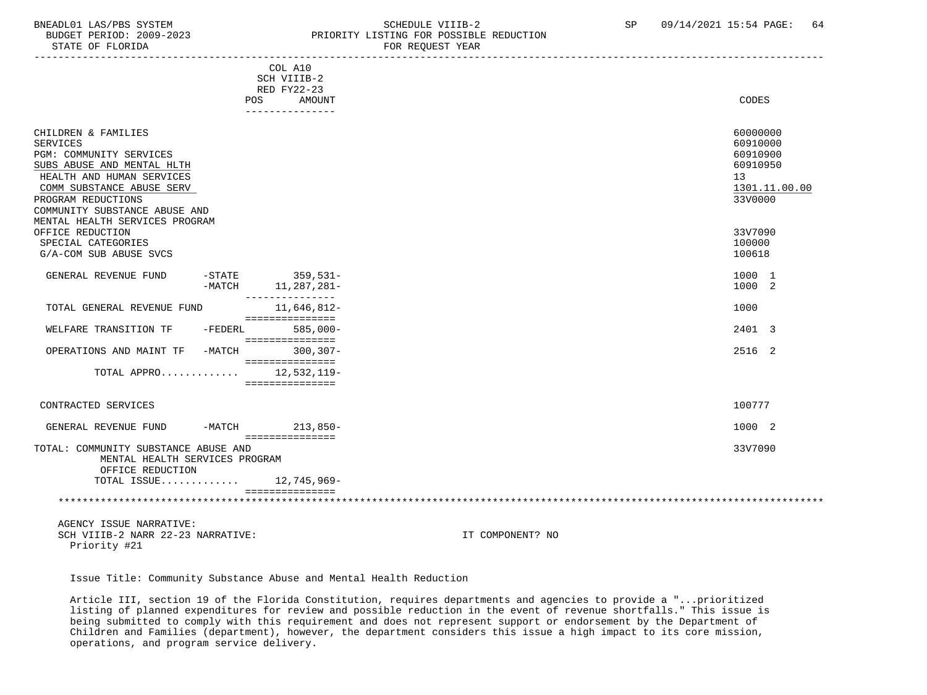#### BNEADL01 LAS/PBS SYSTEM SCHEDULE VIIIB-2 SCHEDULE VIIIB-2 SP 09/14/2021 15:54 PAGE: 64 BUDGET PERIOD: 2009-2023<br>
STATE OF FLORIDA<br>
FOR REOUEST YEAR FOR REQUEST YEAR

| COL A10<br>SCH VIIIB-2                                                                                                                                                                                                                                                                                              |               |
|---------------------------------------------------------------------------------------------------------------------------------------------------------------------------------------------------------------------------------------------------------------------------------------------------------------------|---------------|
| RED FY22-23<br>CODES<br>AMOUNT<br>POS<br>_______________                                                                                                                                                                                                                                                            |               |
| CHILDREN & FAMILIES<br>60000000<br><b>SERVICES</b><br>60910000<br>PGM: COMMUNITY SERVICES<br>60910900<br>SUBS ABUSE AND MENTAL HLTH<br>60910950<br>HEALTH AND HUMAN SERVICES<br>13<br>COMM SUBSTANCE ABUSE SERV<br>PROGRAM REDUCTIONS<br>33V0000<br>COMMUNITY SUBSTANCE ABUSE AND<br>MENTAL HEALTH SERVICES PROGRAM | 1301.11.00.00 |
| OFFICE REDUCTION<br>33V7090<br>100000<br>SPECIAL CATEGORIES<br>G/A-COM SUB ABUSE SVCS<br>100618                                                                                                                                                                                                                     |               |
| -STATE 359,531-<br>GENERAL REVENUE FUND<br>1000 1<br>1000 2<br>11,287,281-<br>-MATCH<br>---------------                                                                                                                                                                                                             |               |
| 11,646,812-<br>1000<br>TOTAL GENERAL REVENUE FUND<br>===============                                                                                                                                                                                                                                                |               |
| $585,000-$<br>2401 3<br>WELFARE TRANSITION TF<br>-FEDERL<br>===============                                                                                                                                                                                                                                         |               |
| -MATCH<br>$300.307 -$<br>2516 2<br>OPERATIONS AND MAINT TF<br>===============                                                                                                                                                                                                                                       |               |
| TOTAL APPRO<br>12,532,119-<br>===============                                                                                                                                                                                                                                                                       |               |
| 100777<br>CONTRACTED SERVICES                                                                                                                                                                                                                                                                                       |               |
| 1000 2<br>-MATCH 213,850-<br>GENERAL REVENUE FUND<br>===============                                                                                                                                                                                                                                                |               |
| 33V7090<br>TOTAL: COMMUNITY SUBSTANCE ABUSE AND<br>MENTAL HEALTH SERVICES PROGRAM<br>OFFICE REDUCTION                                                                                                                                                                                                               |               |
| TOTAL ISSUE 12,745,969-                                                                                                                                                                                                                                                                                             |               |

 AGENCY ISSUE NARRATIVE: SCH VIIIB-2 NARR 22-23 NARRATIVE: IT COMPONENT? NO Priority #21

Issue Title: Community Substance Abuse and Mental Health Reduction

 Article III, section 19 of the Florida Constitution, requires departments and agencies to provide a "...prioritized listing of planned expenditures for review and possible reduction in the event of revenue shortfalls." This issue is being submitted to comply with this requirement and does not represent support or endorsement by the Department of Children and Families (department), however, the department considers this issue a high impact to its core mission, operations, and program service delivery.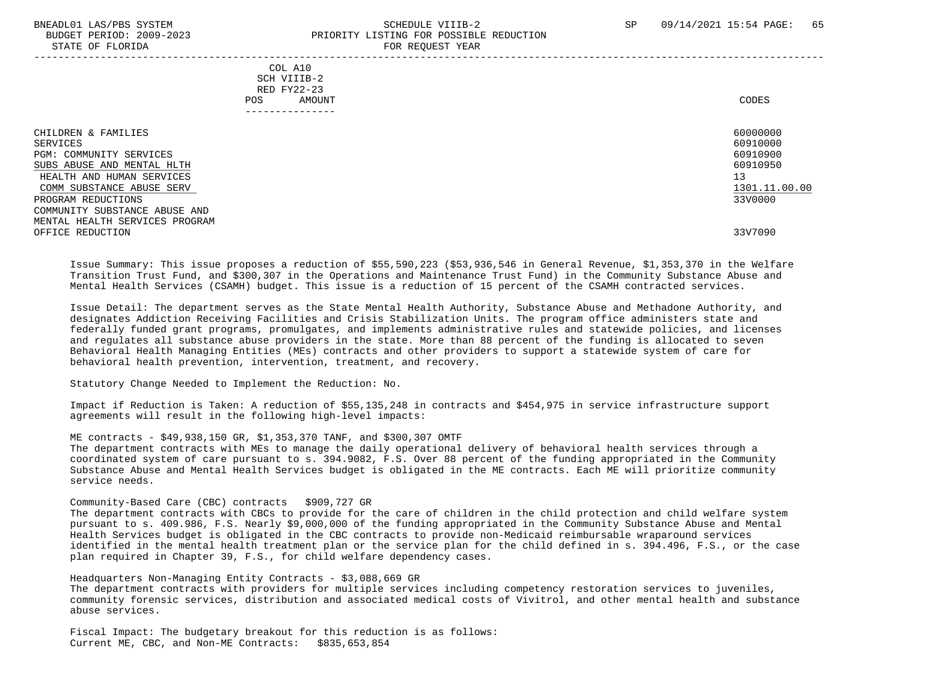STATE OF FLORIDA

## BNEADL01 LAS/PBS SYSTEM SCHEDULE VIIIB-2 SCHEDULE VIIIB-2 SP 09/14/2021 15:54 PAGE: 65 BUDGET PERIOD: 2009-2023<br>
PRIORITY LISTING FOR POSSIBLE REDUCTION<br>
FOR PEOUTEST VEAP

| COL A10<br>SCH VIIIB-2<br>RED FY22-23<br>AMOUNT<br>POS<br>. _ _ _ _ _ _ _ _ _ _ _ _ _ | CODES                                                                                     |
|---------------------------------------------------------------------------------------|-------------------------------------------------------------------------------------------|
|                                                                                       | 60000000<br>60910000<br>60910900<br>60910950<br>13<br>1301.11.00.00<br>33V0000<br>33V7090 |
|                                                                                       |                                                                                           |

 Issue Summary: This issue proposes a reduction of \$55,590,223 (\$53,936,546 in General Revenue, \$1,353,370 in the Welfare Transition Trust Fund, and \$300,307 in the Operations and Maintenance Trust Fund) in the Community Substance Abuse and Mental Health Services (CSAMH) budget. This issue is a reduction of 15 percent of the CSAMH contracted services.

 Issue Detail: The department serves as the State Mental Health Authority, Substance Abuse and Methadone Authority, and designates Addiction Receiving Facilities and Crisis Stabilization Units. The program office administers state and federally funded grant programs, promulgates, and implements administrative rules and statewide policies, and licenses and regulates all substance abuse providers in the state. More than 88 percent of the funding is allocated to seven Behavioral Health Managing Entities (MEs) contracts and other providers to support a statewide system of care for behavioral health prevention, intervention, treatment, and recovery.

Statutory Change Needed to Implement the Reduction: No.

 Impact if Reduction is Taken: A reduction of \$55,135,248 in contracts and \$454,975 in service infrastructure support agreements will result in the following high-level impacts:

ME contracts - \$49,938,150 GR, \$1,353,370 TANF, and \$300,307 OMTF

 The department contracts with MEs to manage the daily operational delivery of behavioral health services through a coordinated system of care pursuant to s. 394.9082, F.S. Over 88 percent of the funding appropriated in the Community Substance Abuse and Mental Health Services budget is obligated in the ME contracts. Each ME will prioritize community service needs.

#### Community-Based Care (CBC) contracts \$909,727 GR

 The department contracts with CBCs to provide for the care of children in the child protection and child welfare system pursuant to s. 409.986, F.S. Nearly \$9,000,000 of the funding appropriated in the Community Substance Abuse and Mental Health Services budget is obligated in the CBC contracts to provide non-Medicaid reimbursable wraparound services identified in the mental health treatment plan or the service plan for the child defined in s. 394.496, F.S., or the case plan required in Chapter 39, F.S., for child welfare dependency cases.

#### Headquarters Non-Managing Entity Contracts - \$3,088,669 GR

 The department contracts with providers for multiple services including competency restoration services to juveniles, community forensic services, distribution and associated medical costs of Vivitrol, and other mental health and substance abuse services.

 Fiscal Impact: The budgetary breakout for this reduction is as follows: Current ME, CBC, and Non-ME Contracts: \$835,653,854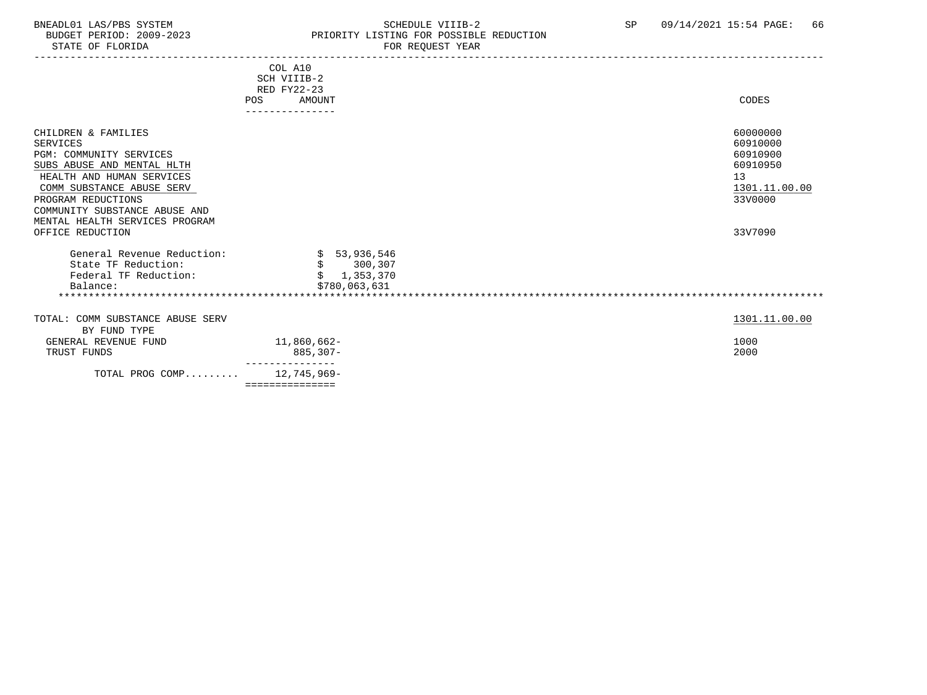### BNEADL01 LAS/PBS SYSTEM SCHEDULE VIIIB-2 SCHEDULE VIIIB-2 SP 09/14/2021 15:54 PAGE: 66<br>BUDGET PERIOD: 2009-2023 PRIORITY LISTING FOR POSSIBLE REDUCTION ension increase of the control of the control of the priority listing for possible reduction<br>BUDGET PERIOD: 2009-2023 PRIORITY LISTING FOR REQUEST YEAR FOR REQUEST YEAR

|                                                                                                                                                                                                                                                    | COL A10<br>SCH VIIIB-2<br>RED FY22-23                     |                                                                                |
|----------------------------------------------------------------------------------------------------------------------------------------------------------------------------------------------------------------------------------------------------|-----------------------------------------------------------|--------------------------------------------------------------------------------|
|                                                                                                                                                                                                                                                    | AMOUNT<br><b>POS</b>                                      | CODES                                                                          |
|                                                                                                                                                                                                                                                    |                                                           |                                                                                |
| CHILDREN & FAMILIES<br><b>SERVICES</b><br>PGM: COMMUNITY SERVICES<br>SUBS ABUSE AND MENTAL HLTH<br>HEALTH AND HUMAN SERVICES<br>COMM SUBSTANCE ABUSE SERV<br>PROGRAM REDUCTIONS<br>COMMUNITY SUBSTANCE ABUSE AND<br>MENTAL HEALTH SERVICES PROGRAM |                                                           | 60000000<br>60910000<br>60910900<br>60910950<br>13<br>1301.11.00.00<br>33V0000 |
| OFFICE REDUCTION                                                                                                                                                                                                                                   |                                                           | 33V7090                                                                        |
| General Revenue Reduction:<br>State TF Reduction:<br>Federal TF Reduction:<br>Balance:                                                                                                                                                             | \$53,936,546<br>\$300,307<br>\$1,353,370<br>\$780,063,631 |                                                                                |
| TOTAL: COMM SUBSTANCE ABUSE SERV<br>BY FUND TYPE<br>GENERAL REVENUE FUND<br>TRUST FUNDS                                                                                                                                                            | 11,860,662-<br>885,307-                                   | 1301.11.00.00<br>1000<br>2000                                                  |
|                                                                                                                                                                                                                                                    |                                                           |                                                                                |
| TOTAL PROG COMP                                                                                                                                                                                                                                    | 12,745,969-<br>===============                            |                                                                                |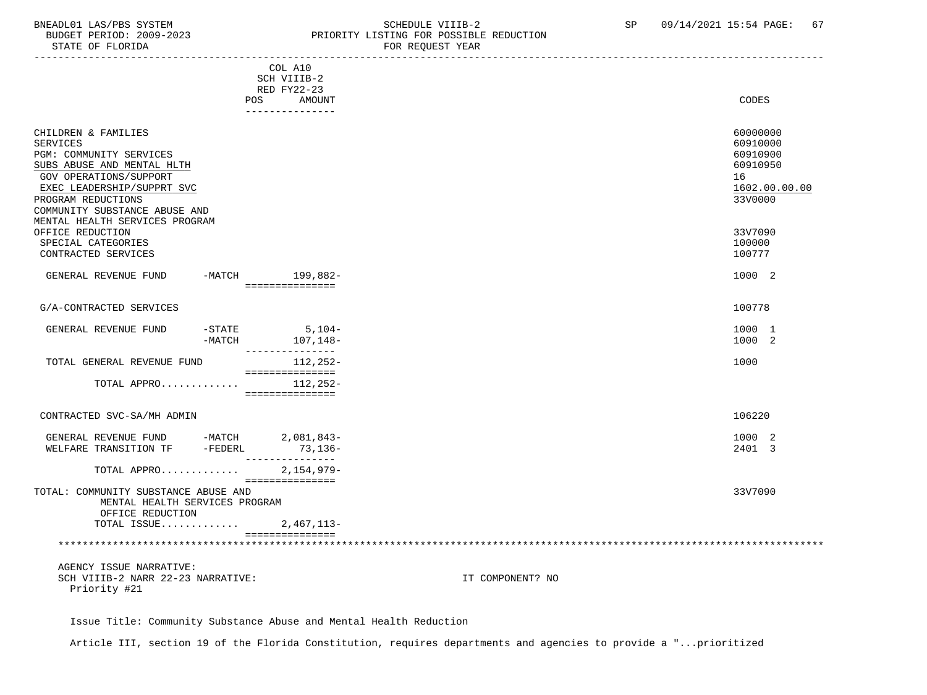STATE OF FLORIDA

# BNEADL01 LAS/PBS SYSTEM SCHEDULE VIIIB-2 SCHEDULE VIIIB-2 SP 09/14/2021 15:54 PAGE: 67<br>BUDGET PERIOD: 2009-2023 PRIORITY LISTING FOR POSSIBLE REDUCTION PRIORITY LISTING FOR POSSIBLE REDUCTION<br>FOR REQUEST YEAR

|                                        | COL A10                         |                  |               |
|----------------------------------------|---------------------------------|------------------|---------------|
|                                        | SCH VIIIB-2                     |                  |               |
|                                        | RED FY22-23                     |                  |               |
| POS                                    | AMOUNT                          |                  | CODES         |
|                                        | ----------------                |                  |               |
| CHILDREN & FAMILIES                    |                                 |                  | 60000000      |
| <b>SERVICES</b>                        |                                 |                  | 60910000      |
| PGM: COMMUNITY SERVICES                |                                 |                  | 60910900      |
| SUBS ABUSE AND MENTAL HLTH             |                                 |                  | 60910950      |
| <b>GOV OPERATIONS/SUPPORT</b>          |                                 | 16               |               |
|                                        |                                 |                  | 1602.00.00.00 |
| EXEC LEADERSHIP/SUPPRT SVC             |                                 |                  |               |
| PROGRAM REDUCTIONS                     |                                 |                  | 33V0000       |
| COMMUNITY SUBSTANCE ABUSE AND          |                                 |                  |               |
| MENTAL HEALTH SERVICES PROGRAM         |                                 |                  | 33V7090       |
| OFFICE REDUCTION<br>SPECIAL CATEGORIES |                                 |                  | 100000        |
| CONTRACTED SERVICES                    |                                 |                  | 100777        |
|                                        |                                 |                  |               |
| GENERAL REVENUE FUND                   | -MATCH 199,882-                 |                  | 1000 2        |
|                                        | ===============                 |                  |               |
|                                        |                                 |                  |               |
| G/A-CONTRACTED SERVICES                |                                 |                  | 100778        |
|                                        |                                 |                  |               |
| -STATE<br>GENERAL REVENUE FUND         | $5,104-$                        |                  | 1000 1        |
| -MATCH                                 | 107,148–                        |                  | 1000 2        |
|                                        | ----------------                |                  | 1000          |
| TOTAL GENERAL REVENUE FUND             | 112,252-<br>===============     |                  |               |
| TOTAL APPRO                            | 112,252-                        |                  |               |
|                                        | ===============                 |                  |               |
|                                        |                                 |                  |               |
| CONTRACTED SVC-SA/MH ADMIN             |                                 |                  | 106220        |
|                                        |                                 |                  |               |
| GENERAL REVENUE FUND -MATCH 2,081,843- |                                 |                  | 1000 2        |
| WELFARE TRANSITION TF<br>-FEDERL       | $73,136-$                       |                  | 2401 3        |
|                                        | _______________                 |                  |               |
| TOTAL APPRO                            | $2,154,979-$<br>=============== |                  |               |
| TOTAL: COMMUNITY SUBSTANCE ABUSE AND   |                                 |                  | 33V7090       |
| MENTAL HEALTH SERVICES PROGRAM         |                                 |                  |               |
| OFFICE REDUCTION                       |                                 |                  |               |
| TOTAL ISSUE                            | 2,467,113-                      |                  |               |
|                                        | ===============                 |                  |               |
|                                        |                                 |                  |               |
|                                        |                                 |                  |               |
| AGENCY ISSUE NARRATIVE:                |                                 |                  |               |
| SCH VIIIB-2 NARR 22-23 NARRATIVE:      |                                 | IT COMPONENT? NO |               |

Priority #21

Issue Title: Community Substance Abuse and Mental Health Reduction

Article III, section 19 of the Florida Constitution, requires departments and agencies to provide a "...prioritized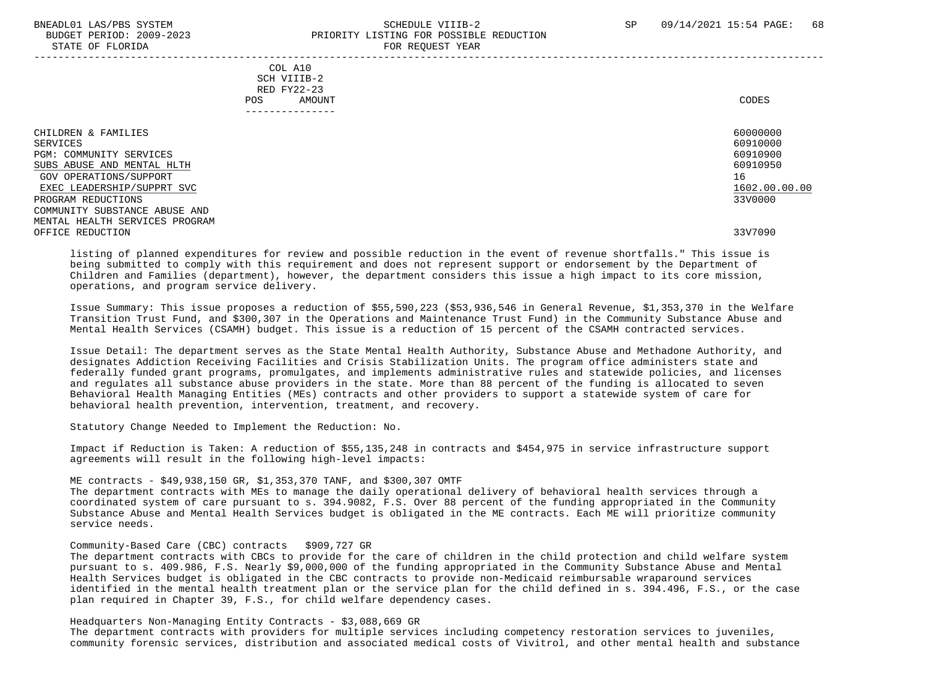#### BNEADL01 LAS/PBS SYSTEM SCHEDULE VIIIB-2 SCHEDULE VIIIB-2 SP 09/14/2021 15:54 PAGE: 68 BUDGET PERIOD: 2009-2023 PRIORITY LISTING FOR POSSIBLE REDUCTION STATE OF FLORIDA FOR REQUEST YEAR FOR REQUEST YEAR

|                                                                                                                                                                                                                                                               | COL A10<br>SCH VIIIB-2<br>RED FY22-23<br>AMOUNT<br>POS<br>-------------- | CODES                                                                                     |
|---------------------------------------------------------------------------------------------------------------------------------------------------------------------------------------------------------------------------------------------------------------|--------------------------------------------------------------------------|-------------------------------------------------------------------------------------------|
| CHILDREN & FAMILIES<br>SERVICES<br>PGM: COMMUNITY SERVICES<br>SUBS ABUSE AND MENTAL HLTH<br>GOV OPERATIONS/SUPPORT<br>EXEC LEADERSHIP/SUPPRT SVC<br>PROGRAM REDUCTIONS<br>COMMUNITY SUBSTANCE ABUSE AND<br>MENTAL HEALTH SERVICES PROGRAM<br>OFFICE REDUCTION |                                                                          | 60000000<br>60910000<br>60910900<br>60910950<br>16<br>1602.00.00.00<br>33V0000<br>33V7090 |

 listing of planned expenditures for review and possible reduction in the event of revenue shortfalls." This issue is being submitted to comply with this requirement and does not represent support or endorsement by the Department of Children and Families (department), however, the department considers this issue a high impact to its core mission, operations, and program service delivery.

 Issue Summary: This issue proposes a reduction of \$55,590,223 (\$53,936,546 in General Revenue, \$1,353,370 in the Welfare Transition Trust Fund, and \$300,307 in the Operations and Maintenance Trust Fund) in the Community Substance Abuse and Mental Health Services (CSAMH) budget. This issue is a reduction of 15 percent of the CSAMH contracted services.

 Issue Detail: The department serves as the State Mental Health Authority, Substance Abuse and Methadone Authority, and designates Addiction Receiving Facilities and Crisis Stabilization Units. The program office administers state and federally funded grant programs, promulgates, and implements administrative rules and statewide policies, and licenses and regulates all substance abuse providers in the state. More than 88 percent of the funding is allocated to seven Behavioral Health Managing Entities (MEs) contracts and other providers to support a statewide system of care for behavioral health prevention, intervention, treatment, and recovery.

Statutory Change Needed to Implement the Reduction: No.

 Impact if Reduction is Taken: A reduction of \$55,135,248 in contracts and \$454,975 in service infrastructure support agreements will result in the following high-level impacts:

ME contracts - \$49,938,150 GR, \$1,353,370 TANF, and \$300,307 OMTF

 The department contracts with MEs to manage the daily operational delivery of behavioral health services through a coordinated system of care pursuant to s. 394.9082, F.S. Over 88 percent of the funding appropriated in the Community Substance Abuse and Mental Health Services budget is obligated in the ME contracts. Each ME will prioritize community service needs.

#### Community-Based Care (CBC) contracts \$909,727 GR

 The department contracts with CBCs to provide for the care of children in the child protection and child welfare system pursuant to s. 409.986, F.S. Nearly \$9,000,000 of the funding appropriated in the Community Substance Abuse and Mental Health Services budget is obligated in the CBC contracts to provide non-Medicaid reimbursable wraparound services identified in the mental health treatment plan or the service plan for the child defined in s. 394.496, F.S., or the case plan required in Chapter 39, F.S., for child welfare dependency cases.

Headquarters Non-Managing Entity Contracts - \$3,088,669 GR

 The department contracts with providers for multiple services including competency restoration services to juveniles, community forensic services, distribution and associated medical costs of Vivitrol, and other mental health and substance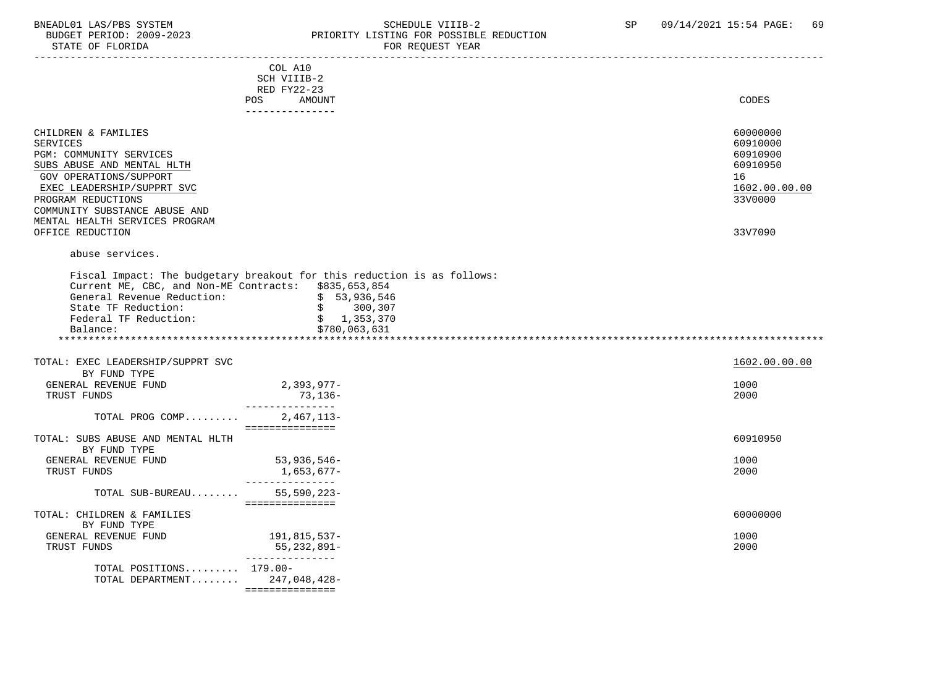### BNEADL01 LAS/PBS SYSTEM SOME SOME SOME SCHEDULE VIIIB-2 SP 09/14/2021 15:54 PAGE: 69<br>BUDGET PERIOD: 2009-2023 REIORITY LISTING FOR POSSIBLE REDUCTION BUDGET PERIOD: 2009-2023 PRIORITY LISTING FOR POSSIBLE REDUCTION FOR REQUEST YEAR

|                                                                                                                                                                                                                                                  | ---------------<br>COL A10<br>SCH VIIIB-2<br>RED FY22-23  |                                                                                |
|--------------------------------------------------------------------------------------------------------------------------------------------------------------------------------------------------------------------------------------------------|-----------------------------------------------------------|--------------------------------------------------------------------------------|
|                                                                                                                                                                                                                                                  | <b>POS</b><br>AMOUNT<br>---------------                   | CODES                                                                          |
| CHILDREN & FAMILIES<br><b>SERVICES</b><br>PGM: COMMUNITY SERVICES<br>SUBS ABUSE AND MENTAL HLTH<br>GOV OPERATIONS/SUPPORT<br>EXEC LEADERSHIP/SUPPRT SVC<br>PROGRAM REDUCTIONS<br>COMMUNITY SUBSTANCE ABUSE AND<br>MENTAL HEALTH SERVICES PROGRAM |                                                           | 60000000<br>60910000<br>60910900<br>60910950<br>16<br>1602.00.00.00<br>33V0000 |
| OFFICE REDUCTION<br>abuse services.                                                                                                                                                                                                              |                                                           | 33V7090                                                                        |
| Fiscal Impact: The budgetary breakout for this reduction is as follows:<br>Current ME, CBC, and Non-ME Contracts: \$835,653,854<br>General Revenue Reduction:<br>State TF Reduction:<br>Federal TF Reduction:<br>Balance:                        | \$53,936,546<br>\$300,307<br>\$1,353,370<br>\$780,063,631 |                                                                                |
| TOTAL: EXEC LEADERSHIP/SUPPRT SVC<br>BY FUND TYPE                                                                                                                                                                                                |                                                           | 1602.00.00.00                                                                  |
| GENERAL REVENUE FUND<br>TRUST FUNDS                                                                                                                                                                                                              | 2,393,977-<br>73,136-<br>_______________                  | 1000<br>2000                                                                   |
| TOTAL PROG COMP                                                                                                                                                                                                                                  | $2,467,113-$<br>===============                           |                                                                                |
| TOTAL: SUBS ABUSE AND MENTAL HLTH<br>BY FUND TYPE                                                                                                                                                                                                |                                                           | 60910950                                                                       |
| GENERAL REVENUE FUND<br>TRUST FUNDS                                                                                                                                                                                                              | 53, 936, 546-<br>1,653,677–<br>________________           | 1000<br>2000                                                                   |
| TOTAL SUB-BUREAU                                                                                                                                                                                                                                 | $55,590,223-$<br>===============                          |                                                                                |
| TOTAL: CHILDREN & FAMILIES<br>BY FUND TYPE<br>GENERAL REVENUE FUND<br>TRUST FUNDS                                                                                                                                                                | 191,815,537-<br>55,232,891-                               | 60000000<br>1000<br>2000                                                       |
| TOTAL POSITIONS 179.00-<br>TOTAL DEPARTMENT $247,048,428-$                                                                                                                                                                                       | ----------------                                          |                                                                                |

===============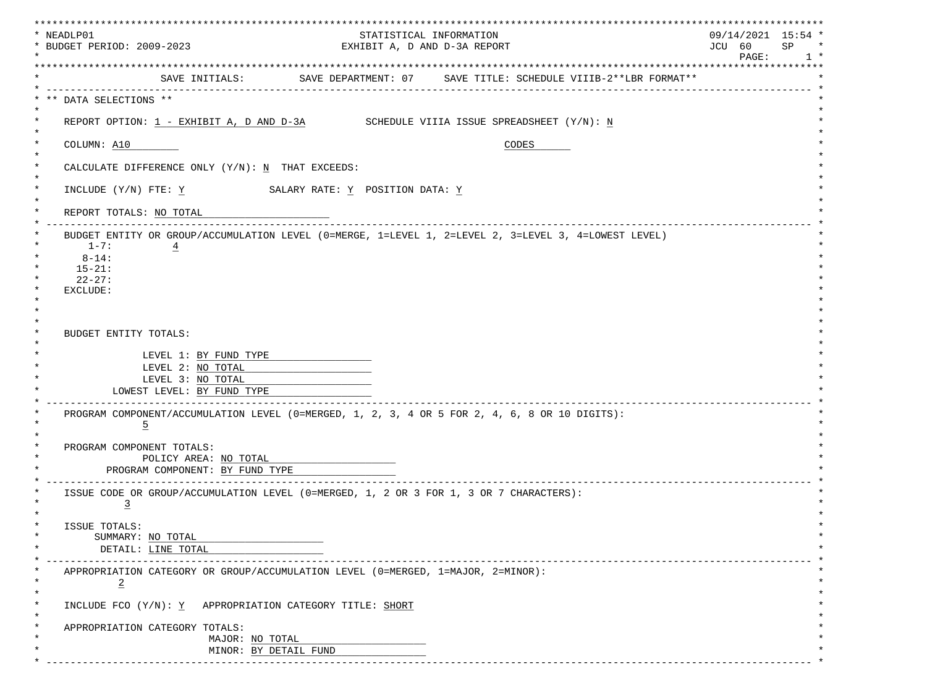| * NEADLP01<br>* BUDGET PERIOD: 2009-2023 |                                                          |                                                                                                      | STATISTICAL INFORMATION | EXHIBIT A, D AND D-3A REPORT       |       | JCU 60              | $09/14/2021$ 15:54 * | SP |
|------------------------------------------|----------------------------------------------------------|------------------------------------------------------------------------------------------------------|-------------------------|------------------------------------|-------|---------------------|----------------------|----|
|                                          |                                                          |                                                                                                      |                         | ********************************** |       | ******************* | $\mathtt{PAGE}$ :    |    |
|                                          |                                                          | SAVE INITIALS: SAVE DEPARTMENT: 07 SAVE TITLE: SCHEDULE VIIIB-2**LBR FORMAT**                        |                         |                                    |       |                     |                      |    |
| ** DATA SELECTIONS **                    |                                                          |                                                                                                      |                         |                                    |       |                     |                      |    |
|                                          |                                                          | REPORT OPTION: $1$ - EXHIBIT A, D AND D-3A SCHEDULE VIIIA ISSUE SPREADSHEET $(Y/N)$ : N              |                         |                                    |       |                     |                      |    |
| COLUMN: A10                              |                                                          |                                                                                                      |                         |                                    | CODES |                     |                      |    |
|                                          |                                                          | CALCULATE DIFFERENCE ONLY (Y/N): N THAT EXCEEDS:                                                     |                         |                                    |       |                     |                      |    |
|                                          |                                                          | INCLUDE $(Y/N)$ FTE: $\underline{Y}$ SALARY RATE: $\underline{Y}$ POSITION DATA: $\underline{Y}$     |                         |                                    |       |                     |                      |    |
| REPORT TOTALS: NO TOTAL                  |                                                          |                                                                                                      |                         |                                    |       |                     |                      |    |
|                                          |                                                          | BUDGET ENTITY OR GROUP/ACCUMULATION LEVEL (0=MERGE, 1=LEVEL 1, 2=LEVEL 2, 3=LEVEL 3, 4=LOWEST LEVEL) |                         |                                    |       |                     |                      |    |
| $1 - 7:$<br>$8 - 14:$                    | $\overline{4}$                                           |                                                                                                      |                         |                                    |       |                     |                      |    |
| $15 - 21:$                               |                                                          |                                                                                                      |                         |                                    |       |                     |                      |    |
| $22 - 27:$                               |                                                          |                                                                                                      |                         |                                    |       |                     |                      |    |
| EXCLUDE:                                 |                                                          |                                                                                                      |                         |                                    |       |                     |                      |    |
|                                          |                                                          |                                                                                                      |                         |                                    |       |                     |                      |    |
| BUDGET ENTITY TOTALS:                    |                                                          |                                                                                                      |                         |                                    |       |                     |                      |    |
|                                          | LEVEL 1: BY FUND TYPE                                    |                                                                                                      |                         |                                    |       |                     |                      |    |
|                                          | LEVEL 2: NO TOTAL                                        |                                                                                                      |                         |                                    |       |                     |                      |    |
|                                          | LEVEL 3: NO TOTAL                                        |                                                                                                      |                         |                                    |       |                     |                      |    |
|                                          | LOWEST LEVEL: BY FUND TYPE                               |                                                                                                      |                         |                                    |       |                     |                      |    |
| $\overline{5}$                           |                                                          | PROGRAM COMPONENT/ACCUMULATION LEVEL (0=MERGED, 1, 2, 3, 4 OR 5 FOR 2, 4, 6, 8 OR 10 DIGITS):        |                         |                                    |       |                     |                      |    |
|                                          |                                                          |                                                                                                      |                         |                                    |       |                     |                      |    |
| PROGRAM COMPONENT TOTALS:                |                                                          |                                                                                                      |                         |                                    |       |                     |                      |    |
|                                          | POLICY AREA: NO TOTAL<br>PROGRAM COMPONENT: BY FUND TYPE |                                                                                                      |                         |                                    |       |                     |                      |    |
|                                          |                                                          | ISSUE CODE OR GROUP/ACCUMULATION LEVEL (0=MERGED, 1, 2 OR 3 FOR 1, 3 OR 7 CHARACTERS):               |                         |                                    |       |                     |                      |    |
| $\overline{3}$                           |                                                          |                                                                                                      |                         |                                    |       |                     |                      |    |
| ISSUE TOTALS:                            |                                                          |                                                                                                      |                         |                                    |       |                     |                      |    |
| SUMMARY: NO TOTAL                        |                                                          |                                                                                                      |                         |                                    |       |                     |                      |    |
|                                          | DETAIL: LINE TOTAL                                       |                                                                                                      |                         |                                    |       |                     |                      |    |
| $\overline{2}$                           |                                                          | APPROPRIATION CATEGORY OR GROUP/ACCUMULATION LEVEL (0=MERGED, 1=MAJOR, 2=MINOR):                     |                         |                                    |       |                     |                      |    |
|                                          |                                                          | INCLUDE FCO $(Y/N): Y$ APPROPRIATION CATEGORY TITLE: SHORT                                           |                         |                                    |       |                     |                      |    |
|                                          | APPROPRIATION CATEGORY TOTALS:                           |                                                                                                      |                         |                                    |       |                     |                      |    |
|                                          |                                                          |                                                                                                      |                         |                                    |       |                     |                      |    |
|                                          |                                                          | MAJOR: NO TOTAL                                                                                      |                         |                                    |       |                     |                      |    |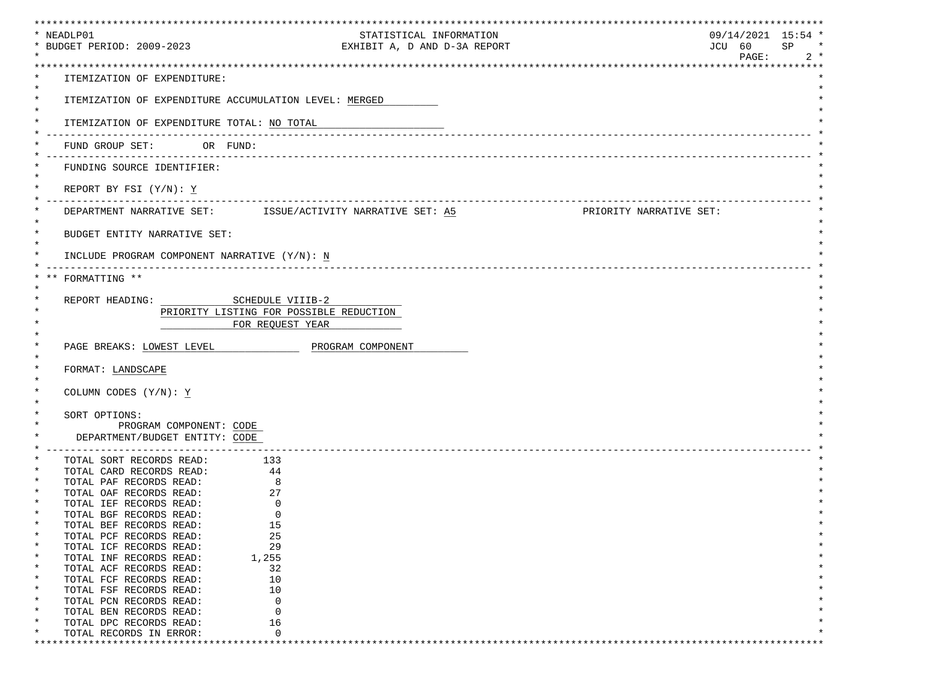| *************************************                                  | **************************                                                            | ***************************** |              |
|------------------------------------------------------------------------|---------------------------------------------------------------------------------------|-------------------------------|--------------|
| * NEADLP01                                                             | STATISTICAL INFORMATION                                                               | $09/14/2021$ 15:54 *          |              |
| * BUDGET PERIOD: 2009-2023                                             | EXHIBIT A, D AND D-3A REPORT                                                          | JCU 60                        | SP<br>$\ast$ |
|                                                                        |                                                                                       | PAGE:                         | $2 *$        |
|                                                                        |                                                                                       |                               |              |
| ITEMIZATION OF EXPENDITURE:                                            |                                                                                       |                               |              |
|                                                                        | ITEMIZATION OF EXPENDITURE ACCUMULATION LEVEL: MERGED                                 |                               |              |
|                                                                        |                                                                                       |                               |              |
| ITEMIZATION OF EXPENDITURE TOTAL: NO TOTAL                             |                                                                                       |                               |              |
|                                                                        |                                                                                       |                               |              |
| FUND GROUP SET: OR FUND:                                               |                                                                                       |                               |              |
|                                                                        |                                                                                       |                               |              |
| FUNDING SOURCE IDENTIFIER:                                             |                                                                                       |                               |              |
|                                                                        |                                                                                       |                               |              |
| REPORT BY FSI $(Y/N): Y$                                               |                                                                                       |                               |              |
|                                                                        |                                                                                       |                               |              |
|                                                                        | DEPARTMENT NARRATIVE SET: ISSUE/ACTIVITY NARRATIVE SET: A5<br>PRIORITY NARRATIVE SET: |                               |              |
| $^\star$                                                               |                                                                                       |                               |              |
| BUDGET ENTITY NARRATIVE SET:                                           |                                                                                       |                               |              |
| INCLUDE PROGRAM COMPONENT NARRATIVE (Y/N): N                           |                                                                                       |                               |              |
|                                                                        |                                                                                       |                               |              |
| FORMATTING **                                                          |                                                                                       |                               |              |
|                                                                        |                                                                                       |                               |              |
| REPORT HEADING: SCHEDULE VIIIB-2                                       |                                                                                       |                               |              |
|                                                                        | PRIORITY LISTING FOR POSSIBLE REDUCTION                                               |                               |              |
|                                                                        | FOR REQUEST YEAR                                                                      |                               |              |
|                                                                        |                                                                                       |                               |              |
|                                                                        | PAGE BREAKS: LOWEST LEVEL FOR PROGRAM COMPONENT                                       |                               |              |
|                                                                        |                                                                                       |                               |              |
| FORMAT: LANDSCAPE                                                      |                                                                                       |                               |              |
|                                                                        |                                                                                       |                               |              |
| COLUMN CODES (Y/N): Y                                                  |                                                                                       |                               |              |
|                                                                        |                                                                                       |                               |              |
| SORT OPTIONS:                                                          |                                                                                       |                               |              |
| PROGRAM COMPONENT: CODE                                                |                                                                                       |                               |              |
| DEPARTMENT/BUDGET ENTITY: CODE<br>----------------------------         |                                                                                       |                               |              |
| TOTAL SORT RECORDS READ: 133                                           |                                                                                       |                               |              |
| TOTAL CARD RECORDS READ: 44                                            |                                                                                       |                               |              |
| TOTAL PAF RECORDS READ:                                                | 8                                                                                     |                               |              |
| TOTAL OAF RECORDS READ:                                                | $\overline{27}$                                                                       |                               |              |
| TOTAL IEF RECORDS READ:                                                | $\overline{0}$                                                                        |                               |              |
| TOTAL BGF RECORDS READ:                                                | $\mathbf 0$                                                                           |                               |              |
| *<br>TOTAL BEF RECORDS READ:                                           | 15                                                                                    |                               |              |
| $^\star$<br>TOTAL PCF RECORDS READ:                                    | 25                                                                                    |                               |              |
| $\ast$<br>TOTAL ICF RECORDS READ:                                      | 29                                                                                    |                               |              |
| $\ast$<br>TOTAL INF RECORDS READ:<br>TOTAL ACF RECORDS READ:<br>$\ast$ | 1,255<br>32                                                                           |                               |              |
| $\ast$<br>TOTAL FCF RECORDS READ:                                      | 10                                                                                    |                               |              |
| $\ast$<br>TOTAL FSF RECORDS READ:                                      | 10                                                                                    |                               |              |
| $\ast$<br>TOTAL PCN RECORDS READ:                                      | $\mathbf 0$                                                                           |                               |              |
| $\ast$<br>TOTAL BEN RECORDS READ:                                      | $\Omega$                                                                              |                               |              |
| $\ast$<br>TOTAL DPC RECORDS READ:                                      | 16                                                                                    |                               |              |
| TOTAL RECORDS IN ERROR:                                                | $\Omega$                                                                              |                               |              |
|                                                                        |                                                                                       |                               |              |